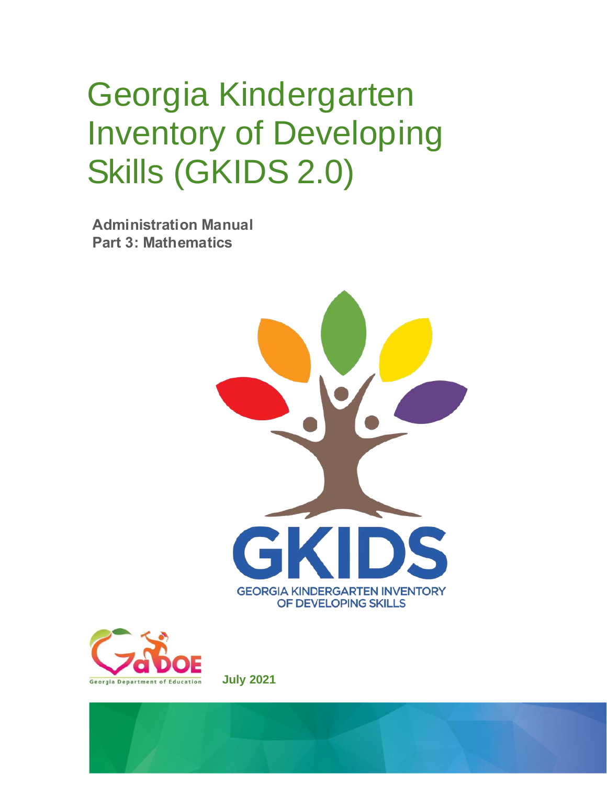# Georgia Kindergarten Inventory of Developing Skills (GKIDS 2.0)

**Administration Manual Part 3: Mathematics**





**July 2021**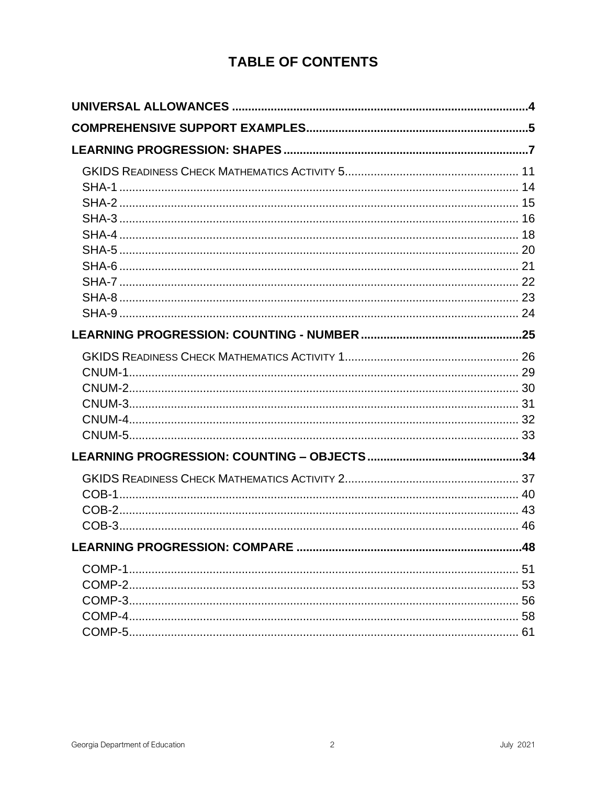# **TABLE OF CONTENTS**

 $\overline{c}$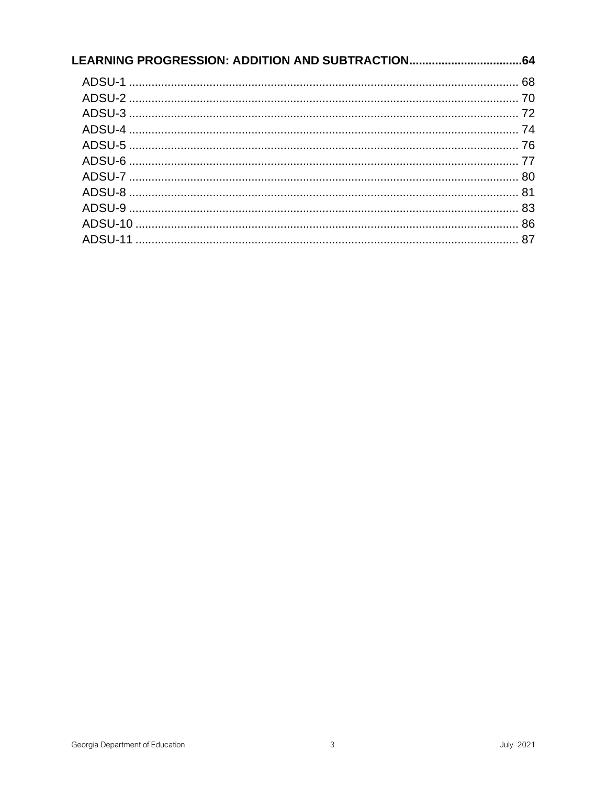| LEARNING PROGRESSION: ADDITION AND SUBTRACTION | .64 |
|------------------------------------------------|-----|
|                                                |     |
|                                                |     |
|                                                |     |
|                                                |     |
|                                                |     |
|                                                |     |
|                                                |     |
|                                                |     |
|                                                |     |
|                                                |     |
|                                                |     |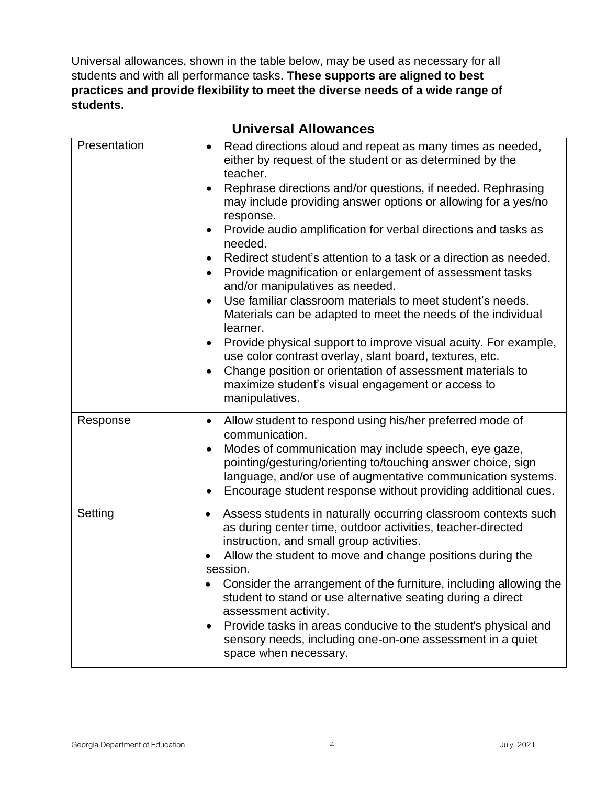<span id="page-3-1"></span>Universal allowances, shown in the table below, may be used as necessary for all students and with all performance tasks. **These supports are aligned to best practices and provide flexibility to meet the diverse needs of a wide range of students.**

<span id="page-3-0"></span>

|              | UIIIVUI JAI AIIUWAIIUU                                                                                                                                                                                                                                                                                                                                                                                                                                                                                                                                                                                                                                                                                                                                                                                                                                                                                                                                                                        |
|--------------|-----------------------------------------------------------------------------------------------------------------------------------------------------------------------------------------------------------------------------------------------------------------------------------------------------------------------------------------------------------------------------------------------------------------------------------------------------------------------------------------------------------------------------------------------------------------------------------------------------------------------------------------------------------------------------------------------------------------------------------------------------------------------------------------------------------------------------------------------------------------------------------------------------------------------------------------------------------------------------------------------|
| Presentation | Read directions aloud and repeat as many times as needed,<br>$\bullet$<br>either by request of the student or as determined by the<br>teacher.<br>Rephrase directions and/or questions, if needed. Rephrasing<br>may include providing answer options or allowing for a yes/no<br>response.<br>Provide audio amplification for verbal directions and tasks as<br>needed.<br>Redirect student's attention to a task or a direction as needed.<br>Provide magnification or enlargement of assessment tasks<br>$\bullet$<br>and/or manipulatives as needed.<br>Use familiar classroom materials to meet student's needs.<br>$\bullet$<br>Materials can be adapted to meet the needs of the individual<br>learner.<br>Provide physical support to improve visual acuity. For example,<br>use color contrast overlay, slant board, textures, etc.<br>Change position or orientation of assessment materials to<br>$\bullet$<br>maximize student's visual engagement or access to<br>manipulatives. |
| Response     | Allow student to respond using his/her preferred mode of<br>$\bullet$<br>communication.<br>Modes of communication may include speech, eye gaze,<br>$\bullet$<br>pointing/gesturing/orienting to/touching answer choice, sign<br>language, and/or use of augmentative communication systems.<br>Encourage student response without providing additional cues.                                                                                                                                                                                                                                                                                                                                                                                                                                                                                                                                                                                                                                  |
| Setting      | Assess students in naturally occurring classroom contexts such<br>$\bullet$<br>as during center time, outdoor activities, teacher-directed<br>instruction, and small group activities.<br>Allow the student to move and change positions during the<br>session.<br>Consider the arrangement of the furniture, including allowing the<br>student to stand or use alternative seating during a direct<br>assessment activity.<br>Provide tasks in areas conducive to the student's physical and<br>sensory needs, including one-on-one assessment in a quiet<br>space when necessary.                                                                                                                                                                                                                                                                                                                                                                                                           |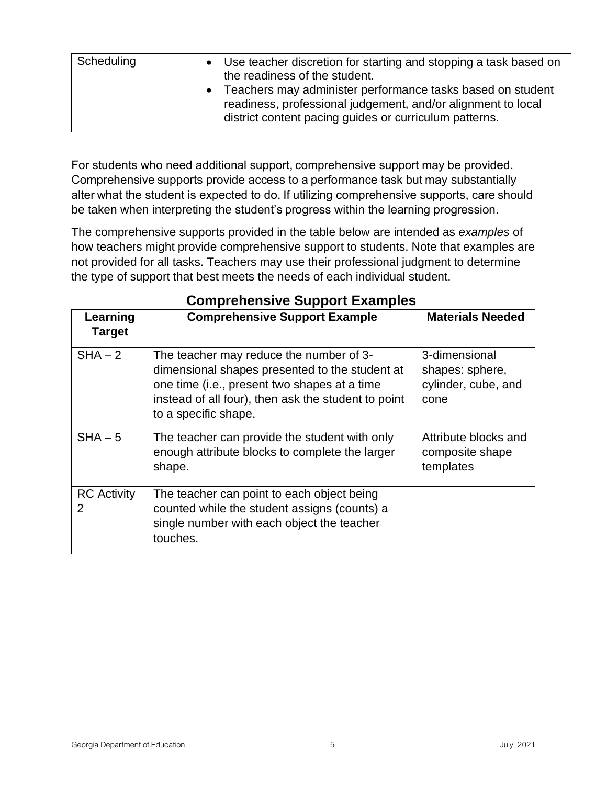| Scheduling<br>• Use teacher discretion for starting and stopping a task based on<br>the readiness of the student.<br>Teachers may administer performance tasks based on student<br>$\bullet$<br>readiness, professional judgement, and/or alignment to local |
|--------------------------------------------------------------------------------------------------------------------------------------------------------------------------------------------------------------------------------------------------------------|
| district content pacing guides or curriculum patterns.                                                                                                                                                                                                       |

For students who need additional support, comprehensive support may be provided.  Comprehensive supports provide access to a performance task but may substantially alter what the student is expected to do. If utilizing comprehensive supports, care should be taken when interpreting the student's progress within the learning progression.

The comprehensive supports provided in the table below are intended as *examples* of how teachers might provide comprehensive support to students. Note that examples are not provided for all tasks. Teachers may use their professional judgment to determine the type of support that best meets the needs of each individual student.

<span id="page-4-0"></span>

|                           | Complements oupport Examples                                                                                                                                                                                             |                                                                 |  |  |  |  |
|---------------------------|--------------------------------------------------------------------------------------------------------------------------------------------------------------------------------------------------------------------------|-----------------------------------------------------------------|--|--|--|--|
| Learning<br><b>Target</b> | <b>Comprehensive Support Example</b>                                                                                                                                                                                     | <b>Materials Needed</b>                                         |  |  |  |  |
| $SHA - 2$                 | The teacher may reduce the number of 3-<br>dimensional shapes presented to the student at<br>one time (i.e., present two shapes at a time<br>instead of all four), then ask the student to point<br>to a specific shape. | 3-dimensional<br>shapes: sphere,<br>cylinder, cube, and<br>cone |  |  |  |  |
| $SHA - 5$                 | The teacher can provide the student with only<br>enough attribute blocks to complete the larger<br>shape.                                                                                                                | Attribute blocks and<br>composite shape<br>templates            |  |  |  |  |
| <b>RC</b> Activity<br>2   | The teacher can point to each object being<br>counted while the student assigns (counts) a<br>single number with each object the teacher<br>touches.                                                                     |                                                                 |  |  |  |  |

## **Comprehensive Support Examples**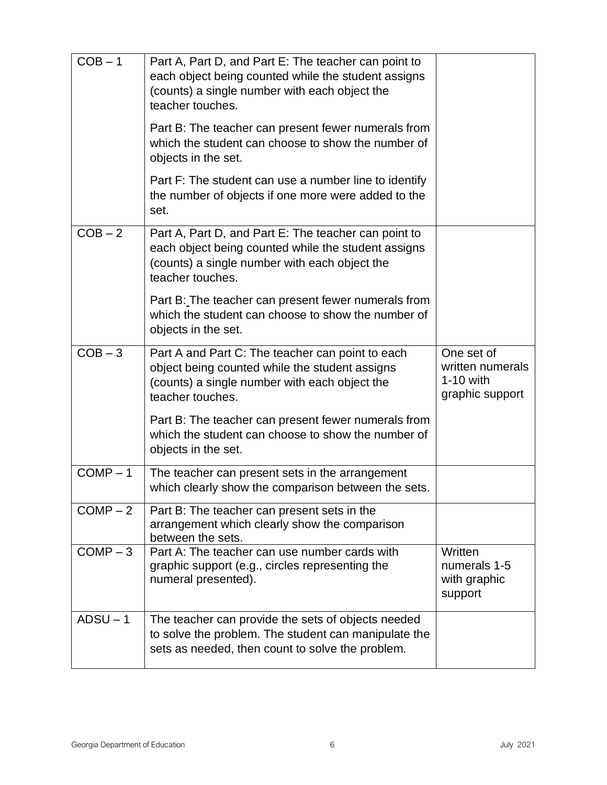| $COB - 1$  | Part A, Part D, and Part E: The teacher can point to<br>each object being counted while the student assigns<br>(counts) a single number with each object the<br>teacher touches. |                                                                  |
|------------|----------------------------------------------------------------------------------------------------------------------------------------------------------------------------------|------------------------------------------------------------------|
|            | Part B: The teacher can present fewer numerals from<br>which the student can choose to show the number of<br>objects in the set.                                                 |                                                                  |
|            | Part F: The student can use a number line to identify<br>the number of objects if one more were added to the<br>set.                                                             |                                                                  |
| $COB - 2$  | Part A, Part D, and Part E: The teacher can point to<br>each object being counted while the student assigns<br>(counts) a single number with each object the<br>teacher touches. |                                                                  |
|            | Part B: The teacher can present fewer numerals from<br>which the student can choose to show the number of<br>objects in the set.                                                 |                                                                  |
| $COB - 3$  | Part A and Part C: The teacher can point to each<br>object being counted while the student assigns<br>(counts) a single number with each object the<br>teacher touches.          | One set of<br>written numerals<br>$1-10$ with<br>graphic support |
|            | Part B: The teacher can present fewer numerals from<br>which the student can choose to show the number of<br>objects in the set.                                                 |                                                                  |
| $COMP-1$   | The teacher can present sets in the arrangement<br>which clearly show the comparison between the sets.                                                                           |                                                                  |
| $COMP-2$   | Part B: The teacher can present sets in the<br>arrangement which clearly show the comparison<br>between the sets.                                                                |                                                                  |
| $COMP-3$   | Part A: The teacher can use number cards with<br>graphic support (e.g., circles representing the<br>numeral presented).                                                          | Written<br>numerals 1-5<br>with graphic<br>support               |
| $ADSU - 1$ | The teacher can provide the sets of objects needed<br>to solve the problem. The student can manipulate the<br>sets as needed, then count to solve the problem.                   |                                                                  |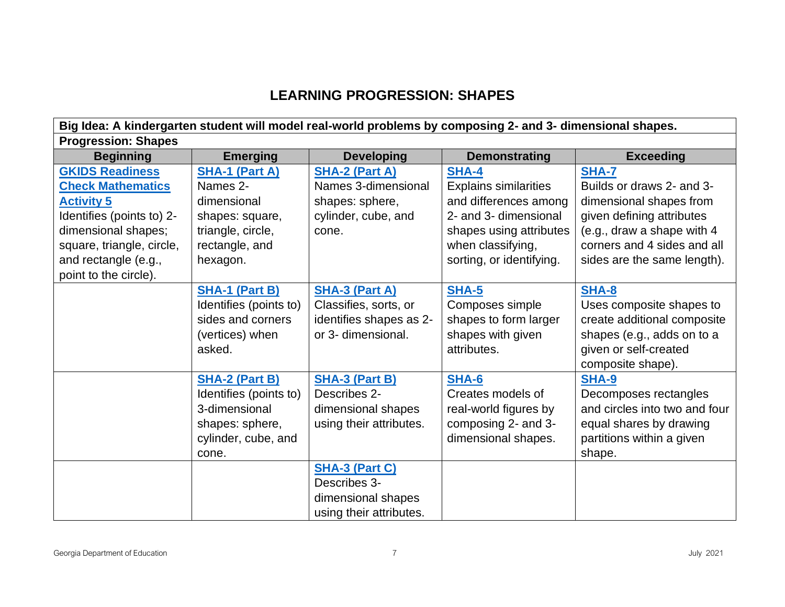# **LEARNING PROGRESSION: SHAPES**

<span id="page-6-0"></span>

| Big Idea: A kindergarten student will model real-world problems by composing 2- and 3- dimensional shapes. |                        |                         |                              |                               |
|------------------------------------------------------------------------------------------------------------|------------------------|-------------------------|------------------------------|-------------------------------|
| <b>Progression: Shapes</b>                                                                                 |                        |                         |                              |                               |
| <b>Beginning</b>                                                                                           | <b>Emerging</b>        | <b>Developing</b>       | <b>Demonstrating</b>         | <b>Exceeding</b>              |
| <b>GKIDS Readiness</b>                                                                                     | <b>SHA-1 (Part A)</b>  | <b>SHA-2 (Part A)</b>   | <b>SHA-4</b>                 | SHA-7                         |
| <b>Check Mathematics</b>                                                                                   | Names 2-               | Names 3-dimensional     | <b>Explains similarities</b> | Builds or draws 2- and 3-     |
| <b>Activity 5</b>                                                                                          | dimensional            | shapes: sphere,         | and differences among        | dimensional shapes from       |
| Identifies (points to) 2-                                                                                  | shapes: square,        | cylinder, cube, and     | 2- and 3- dimensional        | given defining attributes     |
| dimensional shapes;                                                                                        | triangle, circle,      | cone.                   | shapes using attributes      | (e.g., draw a shape with 4    |
| square, triangle, circle,                                                                                  | rectangle, and         |                         | when classifying,            | corners and 4 sides and all   |
| and rectangle (e.g.,                                                                                       | hexagon.               |                         | sorting, or identifying.     | sides are the same length).   |
| point to the circle).                                                                                      |                        |                         |                              |                               |
|                                                                                                            | <b>SHA-1 (Part B)</b>  | <b>SHA-3 (Part A)</b>   | <b>SHA-5</b>                 | <b>SHA-8</b>                  |
|                                                                                                            | Identifies (points to) | Classifies, sorts, or   | Composes simple              | Uses composite shapes to      |
|                                                                                                            | sides and corners      | identifies shapes as 2- | shapes to form larger        | create additional composite   |
|                                                                                                            | (vertices) when        | or 3- dimensional.      | shapes with given            | shapes (e.g., adds on to a    |
|                                                                                                            | asked.                 |                         | attributes.                  | given or self-created         |
|                                                                                                            |                        |                         |                              | composite shape).             |
|                                                                                                            | <b>SHA-2 (Part B)</b>  | <b>SHA-3 (Part B)</b>   | <b>SHA-6</b>                 | SHA-9                         |
|                                                                                                            | Identifies (points to) | Describes 2-            | Creates models of            | Decomposes rectangles         |
|                                                                                                            | 3-dimensional          | dimensional shapes      | real-world figures by        | and circles into two and four |
|                                                                                                            | shapes: sphere,        | using their attributes. | composing 2- and 3-          | equal shares by drawing       |
|                                                                                                            | cylinder, cube, and    |                         | dimensional shapes.          | partitions within a given     |
|                                                                                                            | cone.                  |                         |                              | shape.                        |
|                                                                                                            |                        | <b>SHA-3 (Part C)</b>   |                              |                               |
|                                                                                                            |                        | Describes 3-            |                              |                               |
|                                                                                                            |                        | dimensional shapes      |                              |                               |
|                                                                                                            |                        | using their attributes. |                              |                               |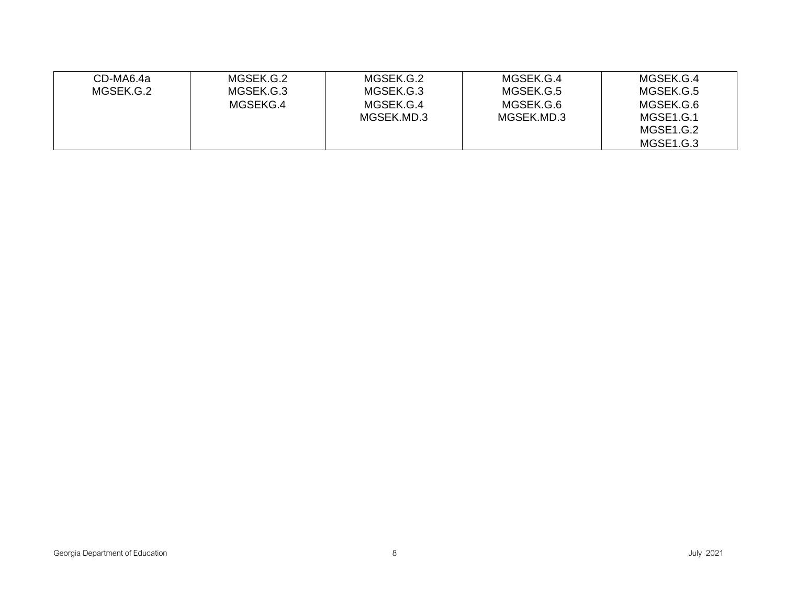| CD-MA6.4a | MGSEK.G.2 | MGSEK.G.2  | MGSEK.G.4  | MGSEK.G.4 |
|-----------|-----------|------------|------------|-----------|
| MGSEK.G.2 | MGSEK.G.3 | MGSEK.G.3  | MGSEK.G.5  | MGSEK.G.5 |
|           | MGSEKG.4  | MGSEK.G.4  | MGSEK.G.6  | MGSEK.G.6 |
|           |           | MGSEK.MD.3 | MGSEK.MD.3 | MGSE1.G.1 |
|           |           |            |            | MGSE1.G.2 |
|           |           |            |            | MGSE1.G.3 |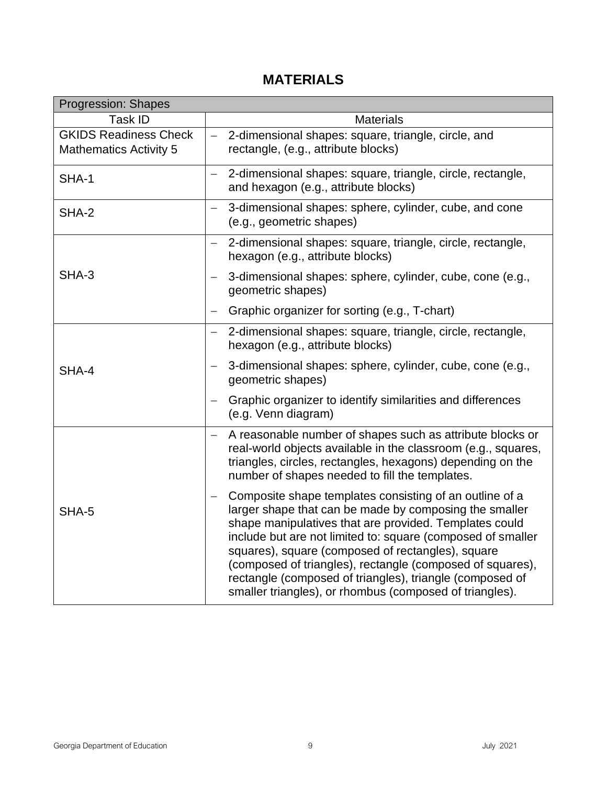# **MATERIALS**

| <b>Progression: Shapes</b>                                    |                                                                                                                                                                                                                                                                                                                                                                                                                                                                                     |
|---------------------------------------------------------------|-------------------------------------------------------------------------------------------------------------------------------------------------------------------------------------------------------------------------------------------------------------------------------------------------------------------------------------------------------------------------------------------------------------------------------------------------------------------------------------|
| Task ID                                                       | <b>Materials</b>                                                                                                                                                                                                                                                                                                                                                                                                                                                                    |
| <b>GKIDS Readiness Check</b><br><b>Mathematics Activity 5</b> | $\equiv$<br>2-dimensional shapes: square, triangle, circle, and<br>rectangle, (e.g., attribute blocks)                                                                                                                                                                                                                                                                                                                                                                              |
| SHA-1                                                         | 2-dimensional shapes: square, triangle, circle, rectangle,<br>$\overline{\phantom{0}}$<br>and hexagon (e.g., attribute blocks)                                                                                                                                                                                                                                                                                                                                                      |
| SHA-2                                                         | 3-dimensional shapes: sphere, cylinder, cube, and cone<br>(e.g., geometric shapes)                                                                                                                                                                                                                                                                                                                                                                                                  |
|                                                               | 2-dimensional shapes: square, triangle, circle, rectangle,<br>hexagon (e.g., attribute blocks)                                                                                                                                                                                                                                                                                                                                                                                      |
| SHA-3                                                         | 3-dimensional shapes: sphere, cylinder, cube, cone (e.g.,<br>geometric shapes)                                                                                                                                                                                                                                                                                                                                                                                                      |
|                                                               | Graphic organizer for sorting (e.g., T-chart)                                                                                                                                                                                                                                                                                                                                                                                                                                       |
|                                                               | 2-dimensional shapes: square, triangle, circle, rectangle,<br>hexagon (e.g., attribute blocks)                                                                                                                                                                                                                                                                                                                                                                                      |
| SHA-4                                                         | 3-dimensional shapes: sphere, cylinder, cube, cone (e.g.,<br>geometric shapes)                                                                                                                                                                                                                                                                                                                                                                                                      |
|                                                               | Graphic organizer to identify similarities and differences<br>(e.g. Venn diagram)                                                                                                                                                                                                                                                                                                                                                                                                   |
|                                                               | A reasonable number of shapes such as attribute blocks or<br>$\equiv$<br>real-world objects available in the classroom (e.g., squares,<br>triangles, circles, rectangles, hexagons) depending on the<br>number of shapes needed to fill the templates.                                                                                                                                                                                                                              |
| SHA-5                                                         | Composite shape templates consisting of an outline of a<br>larger shape that can be made by composing the smaller<br>shape manipulatives that are provided. Templates could<br>include but are not limited to: square (composed of smaller<br>squares), square (composed of rectangles), square<br>(composed of triangles), rectangle (composed of squares),<br>rectangle (composed of triangles), triangle (composed of<br>smaller triangles), or rhombus (composed of triangles). |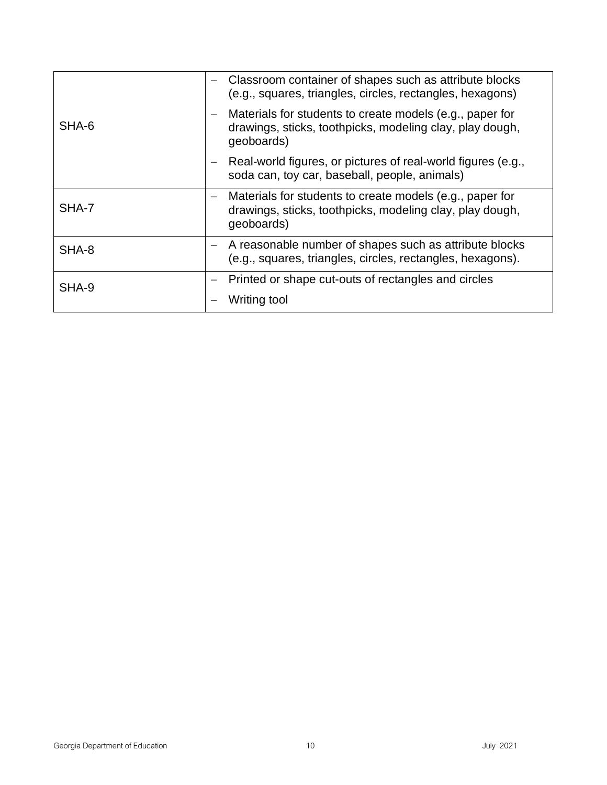|       |  | Classroom container of shapes such as attribute blocks<br>(e.g., squares, triangles, circles, rectangles, hexagons)                |
|-------|--|------------------------------------------------------------------------------------------------------------------------------------|
| SHA-6 |  | Materials for students to create models (e.g., paper for<br>drawings, sticks, toothpicks, modeling clay, play dough,<br>geoboards) |
|       |  | Real-world figures, or pictures of real-world figures (e.g.,<br>soda can, toy car, baseball, people, animals)                      |
| SHA-7 |  | Materials for students to create models (e.g., paper for<br>drawings, sticks, toothpicks, modeling clay, play dough,<br>geoboards) |
| SHA-8 |  | A reasonable number of shapes such as attribute blocks<br>(e.g., squares, triangles, circles, rectangles, hexagons).               |
| SHA-9 |  | Printed or shape cut-outs of rectangles and circles                                                                                |
|       |  | Writing tool                                                                                                                       |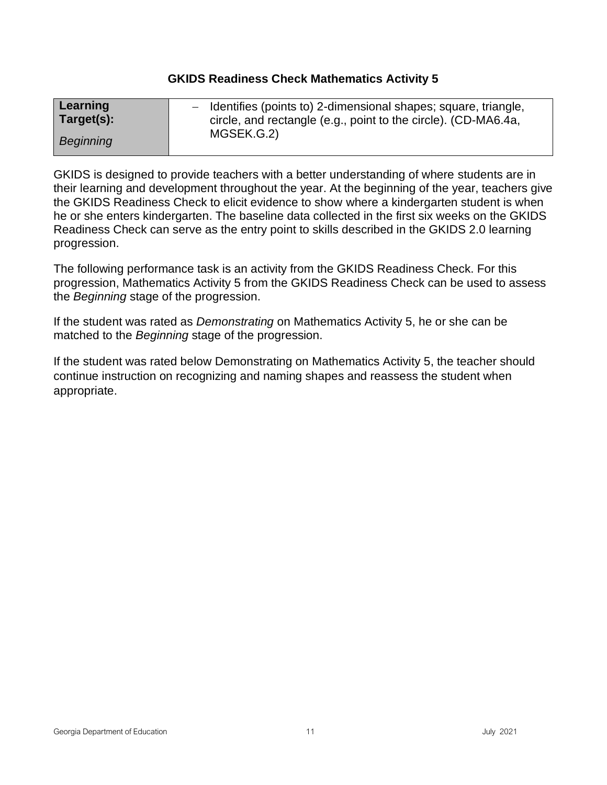#### **GKIDS Readiness Check Mathematics Activity 5**

<span id="page-10-0"></span>

| Learning   | - Identifies (points to) 2-dimensional shapes; square, triangle,             |
|------------|------------------------------------------------------------------------------|
| Target(s): | circle, and rectangle (e.g., point to the circle). (CD-MA6.4a,<br>MGSEK.G.2) |
| Beginning  |                                                                              |

GKIDS is designed to provide teachers with a better understanding of where students are in their learning and development throughout the year. At the beginning of the year, teachers give the GKIDS Readiness Check to elicit evidence to show where a kindergarten student is when he or she enters kindergarten. The baseline data collected in the first six weeks on the GKIDS Readiness Check can serve as the entry point to skills described in the GKIDS 2.0 learning progression.

The following performance task is an activity from the GKIDS Readiness Check. For this progression, Mathematics Activity 5 from the GKIDS Readiness Check can be used to assess the *Beginning* stage of the progression.

If the student was rated as *Demonstrating* on Mathematics Activity 5, he or she can be matched to the *Beginning* stage of the progression.

If the student was rated below Demonstrating on Mathematics Activity 5, the teacher should continue instruction on recognizing and naming shapes and reassess the student when appropriate.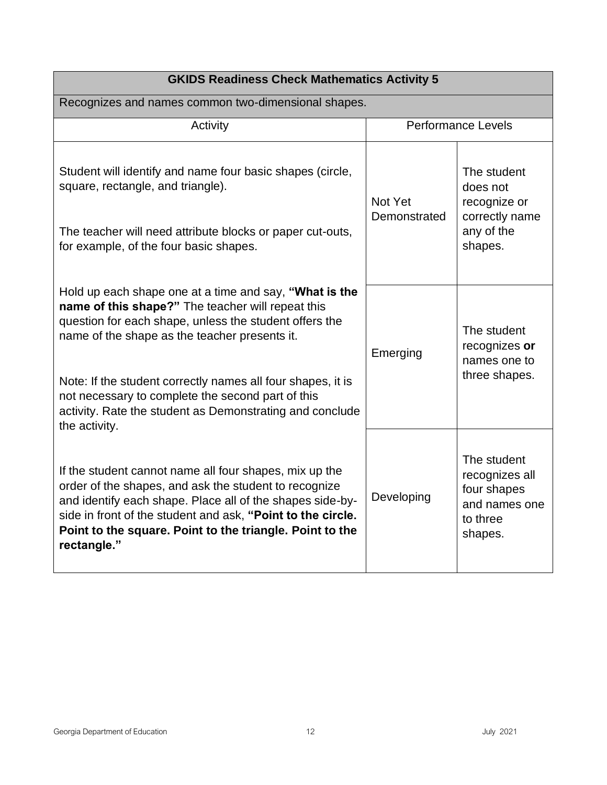| <b>GKIDS Readiness Check Mathematics Activity 5</b>                                                                                                                                                                                                                                                                                                                                                                     |                           |                                                                                      |  |
|-------------------------------------------------------------------------------------------------------------------------------------------------------------------------------------------------------------------------------------------------------------------------------------------------------------------------------------------------------------------------------------------------------------------------|---------------------------|--------------------------------------------------------------------------------------|--|
| Recognizes and names common two-dimensional shapes.                                                                                                                                                                                                                                                                                                                                                                     |                           |                                                                                      |  |
| Activity                                                                                                                                                                                                                                                                                                                                                                                                                | <b>Performance Levels</b> |                                                                                      |  |
| Student will identify and name four basic shapes (circle,<br>square, rectangle, and triangle).<br>The teacher will need attribute blocks or paper cut-outs,<br>for example, of the four basic shapes.                                                                                                                                                                                                                   | Not Yet<br>Demonstrated   | The student<br>does not<br>recognize or<br>correctly name<br>any of the<br>shapes.   |  |
| Hold up each shape one at a time and say, "What is the<br>name of this shape?" The teacher will repeat this<br>question for each shape, unless the student offers the<br>name of the shape as the teacher presents it.<br>Note: If the student correctly names all four shapes, it is<br>not necessary to complete the second part of this<br>activity. Rate the student as Demonstrating and conclude<br>the activity. | Emerging                  | The student<br>recognizes or<br>names one to<br>three shapes.                        |  |
| If the student cannot name all four shapes, mix up the<br>order of the shapes, and ask the student to recognize<br>and identify each shape. Place all of the shapes side-by-<br>side in front of the student and ask, "Point to the circle.<br>Point to the square. Point to the triangle. Point to the<br>rectangle."                                                                                                  | Developing                | The student<br>recognizes all<br>four shapes<br>and names one<br>to three<br>shapes. |  |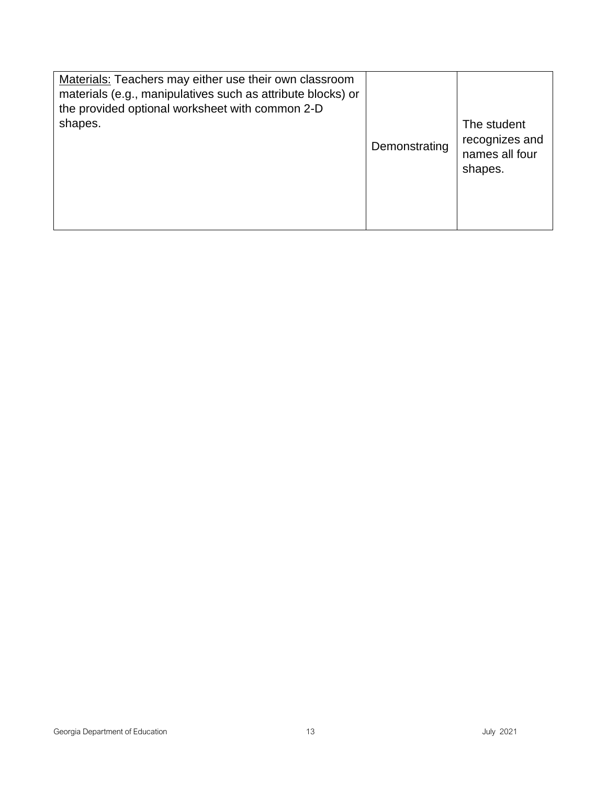| Materials: Teachers may either use their own classroom<br>materials (e.g., manipulatives such as attribute blocks) or<br>the provided optional worksheet with common 2-D<br>shapes. | Demonstrating | The student<br>recognizes and<br>names all four<br>shapes. |
|-------------------------------------------------------------------------------------------------------------------------------------------------------------------------------------|---------------|------------------------------------------------------------|
|-------------------------------------------------------------------------------------------------------------------------------------------------------------------------------------|---------------|------------------------------------------------------------|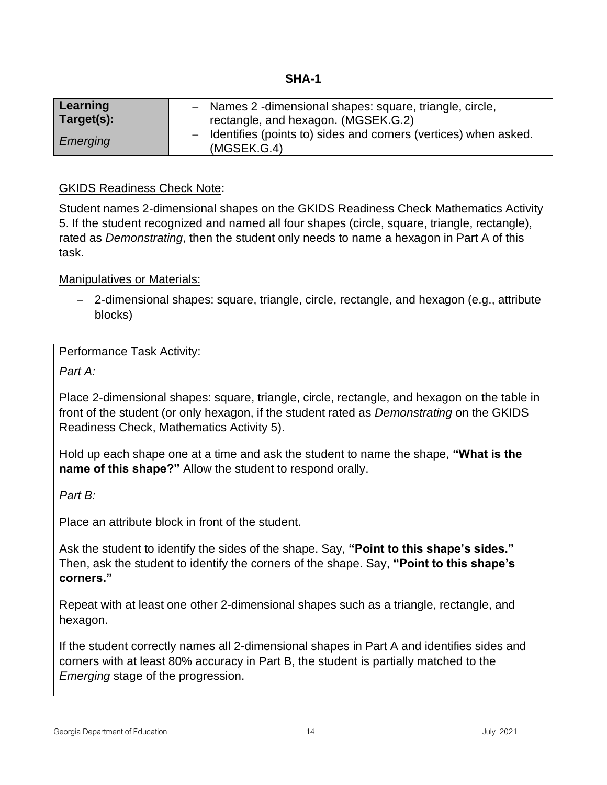<span id="page-13-0"></span>

| Learning   | - Names 2 -dimensional shapes: square, triangle, circle,                         |
|------------|----------------------------------------------------------------------------------|
| Target(s): | rectangle, and hexagon. (MGSEK.G.2)                                              |
| Emerging   | - Identifies (points to) sides and corners (vertices) when asked.<br>(MGSEK.G.4) |

## GKIDS Readiness Check Note:

Student names 2-dimensional shapes on the GKIDS Readiness Check Mathematics Activity 5. If the student recognized and named all four shapes (circle, square, triangle, rectangle), rated as *Demonstrating*, then the student only needs to name a hexagon in Part A of this task.

Manipulatives or Materials:

− 2-dimensional shapes: square, triangle, circle, rectangle, and hexagon (e.g., attribute blocks)

#### Performance Task Activity:

*Part A:*

Place 2-dimensional shapes: square, triangle, circle, rectangle, and hexagon on the table in front of the student (or only hexagon, if the student rated as *Demonstrating* on the GKIDS Readiness Check, Mathematics Activity 5).

Hold up each shape one at a time and ask the student to name the shape, **"What is the name of this shape?"** Allow the student to respond orally.

*Part B:*

Place an attribute block in front of the student.

Ask the student to identify the sides of the shape. Say, **"Point to this shape's sides."**  Then, ask the student to identify the corners of the shape. Say, **"Point to this shape's corners."**

Repeat with at least one other 2-dimensional shapes such as a triangle, rectangle, and hexagon.

If the student correctly names all 2-dimensional shapes in Part A and identifies sides and corners with at least 80% accuracy in Part B, the student is partially matched to the *Emerging* stage of the progression.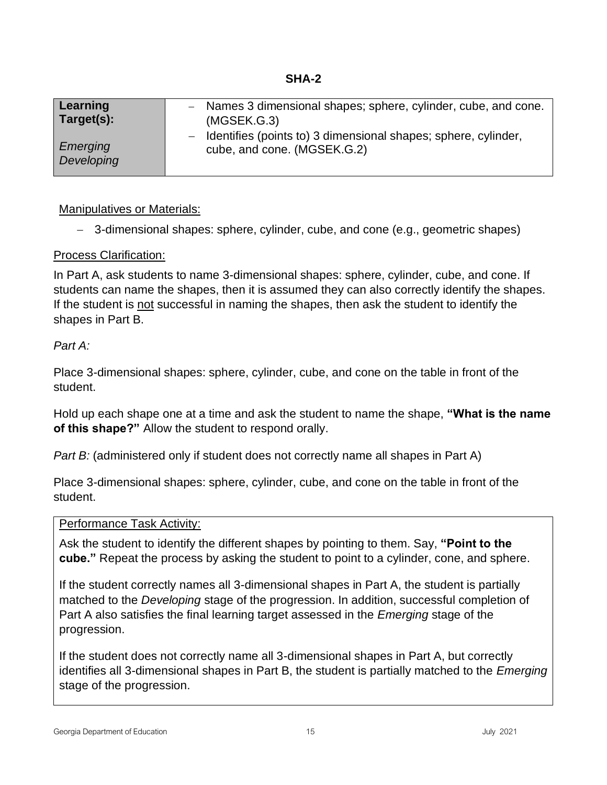<span id="page-14-0"></span>

| Learning   | Names 3 dimensional shapes; sphere, cylinder, cube, and cone.    |
|------------|------------------------------------------------------------------|
| Target(s): | (MGSEK.G.3)                                                      |
| Emerging   | - Identifies (points to) 3 dimensional shapes; sphere, cylinder, |
| Developing | cube, and cone. (MGSEK.G.2)                                      |

− 3-dimensional shapes: sphere, cylinder, cube, and cone (e.g., geometric shapes)

## Process Clarification:

In Part A, ask students to name 3-dimensional shapes: sphere, cylinder, cube, and cone. If students can name the shapes, then it is assumed they can also correctly identify the shapes. If the student is not successful in naming the shapes, then ask the student to identify the shapes in Part B.

## *Part A:*

Place 3-dimensional shapes: sphere, cylinder, cube, and cone on the table in front of the student.

Hold up each shape one at a time and ask the student to name the shape, **"What is the name of this shape?"** Allow the student to respond orally.

*Part B:* (administered only if student does not correctly name all shapes in Part A)

Place 3-dimensional shapes: sphere, cylinder, cube, and cone on the table in front of the student.

#### Performance Task Activity:

Ask the student to identify the different shapes by pointing to them. Say, **"Point to the cube."** Repeat the process by asking the student to point to a cylinder, cone, and sphere.

If the student correctly names all 3-dimensional shapes in Part A, the student is partially matched to the *Developing* stage of the progression. In addition, successful completion of Part A also satisfies the final learning target assessed in the *Emerging* stage of the progression.

If the student does not correctly name all 3-dimensional shapes in Part A, but correctly identifies all 3-dimensional shapes in Part B, the student is partially matched to the *Emerging* stage of the progression.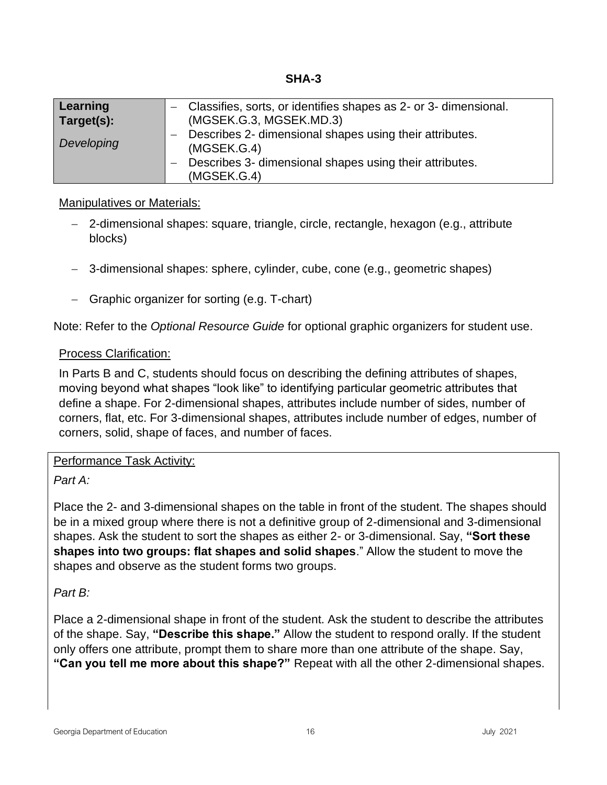**SHA-3**

<span id="page-15-0"></span>

| Learning<br>Target(s): | Classifies, sorts, or identifies shapes as 2- or 3- dimensional.<br>(MGSEK.G.3, MGSEK.MD.3) |
|------------------------|---------------------------------------------------------------------------------------------|
| Developing             | Describes 2- dimensional shapes using their attributes.<br>(MGSEK.G.4)                      |
|                        | Describes 3- dimensional shapes using their attributes.<br>(MGSEK.G.4)                      |

#### Manipulatives or Materials:

- − 2-dimensional shapes: square, triangle, circle, rectangle, hexagon (e.g., attribute blocks)
- − 3-dimensional shapes: sphere, cylinder, cube, cone (e.g., geometric shapes)
- − Graphic organizer for sorting (e.g. T-chart)

Note: Refer to the *Optional Resource Guide* for optional graphic organizers for student use.

#### Process Clarification:

In Parts B and C, students should focus on describing the defining attributes of shapes, moving beyond what shapes "look like" to identifying particular geometric attributes that define a shape. For 2-dimensional shapes, attributes include number of sides, number of corners, flat, etc. For 3-dimensional shapes, attributes include number of edges, number of corners, solid, shape of faces, and number of faces.

#### Performance Task Activity:

#### *Part A:*

Place the 2- and 3-dimensional shapes on the table in front of the student. The shapes should be in a mixed group where there is not a definitive group of 2-dimensional and 3-dimensional shapes. Ask the student to sort the shapes as either 2- or 3-dimensional. Say, **"Sort these shapes into two groups: flat shapes and solid shapes**." Allow the student to move the shapes and observe as the student forms two groups.

#### *Part B:*

Place a 2-dimensional shape in front of the student. Ask the student to describe the attributes of the shape. Say, **"Describe this shape."** Allow the student to respond orally. If the student only offers one attribute, prompt them to share more than one attribute of the shape. Say, **"Can you tell me more about this shape?"** Repeat with all the other 2-dimensional shapes.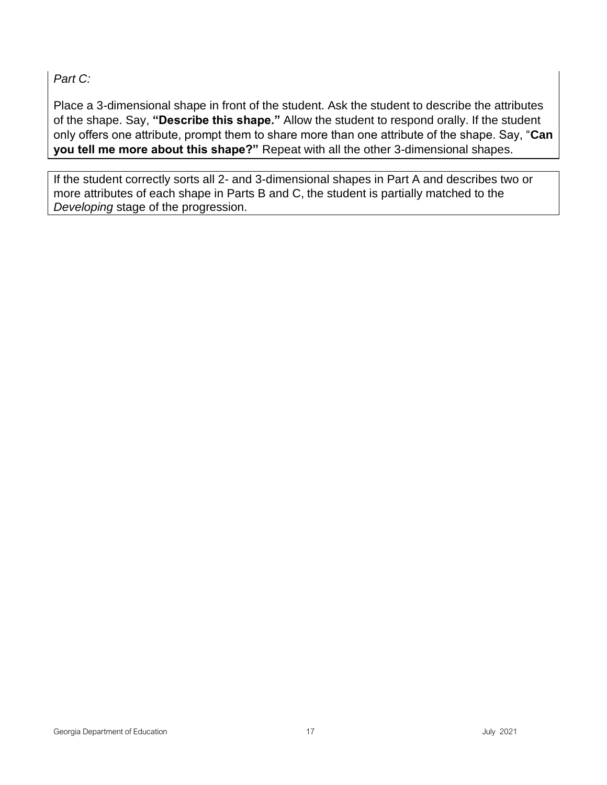*Part C:*

Place a 3-dimensional shape in front of the student. Ask the student to describe the attributes of the shape. Say, **"Describe this shape."** Allow the student to respond orally. If the student only offers one attribute, prompt them to share more than one attribute of the shape. Say, "**Can you tell me more about this shape?"** Repeat with all the other 3-dimensional shapes.

If the student correctly sorts all 2- and 3-dimensional shapes in Part A and describes two or more attributes of each shape in Parts B and C, the student is partially matched to the *Developing* stage of the progression.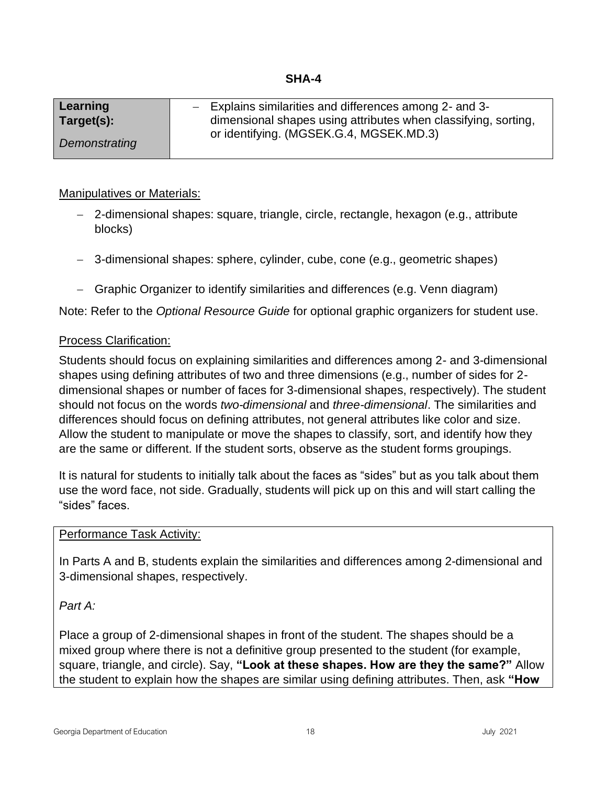<span id="page-17-0"></span>

| Learning      | $-$ Explains similarities and differences among 2- and 3-      |
|---------------|----------------------------------------------------------------|
| Target(s):    | dimensional shapes using attributes when classifying, sorting, |
|               | or identifying. (MGSEK.G.4, MGSEK.MD.3)                        |
| Demonstrating |                                                                |

- − 2-dimensional shapes: square, triangle, circle, rectangle, hexagon (e.g., attribute blocks)
- − 3-dimensional shapes: sphere, cylinder, cube, cone (e.g., geometric shapes)
- − Graphic Organizer to identify similarities and differences (e.g. Venn diagram)

Note: Refer to the *Optional Resource Guide* for optional graphic organizers for student use.

#### Process Clarification:

Students should focus on explaining similarities and differences among 2- and 3-dimensional shapes using defining attributes of two and three dimensions (e.g., number of sides for 2 dimensional shapes or number of faces for 3-dimensional shapes, respectively). The student should not focus on the words *two-dimensional* and *three-dimensional*. The similarities and differences should focus on defining attributes, not general attributes like color and size. Allow the student to manipulate or move the shapes to classify, sort, and identify how they are the same or different. If the student sorts, observe as the student forms groupings.

It is natural for students to initially talk about the faces as "sides" but as you talk about them use the word face, not side. Gradually, students will pick up on this and will start calling the "sides" faces.

#### Performance Task Activity:

In Parts A and B, students explain the similarities and differences among 2-dimensional and 3-dimensional shapes, respectively.

*Part A:*

Place a group of 2-dimensional shapes in front of the student. The shapes should be a mixed group where there is not a definitive group presented to the student (for example, square, triangle, and circle). Say, **"Look at these shapes. How are they the same?"** Allow the student to explain how the shapes are similar using defining attributes. Then, ask **"How**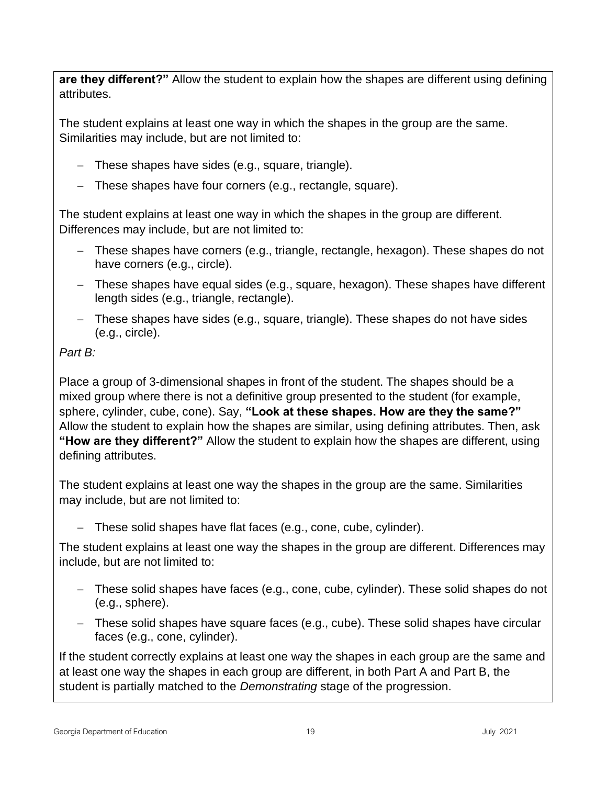**are they different?"** Allow the student to explain how the shapes are different using defining attributes.

The student explains at least one way in which the shapes in the group are the same. Similarities may include, but are not limited to:

- − These shapes have sides (e.g., square, triangle).
- − These shapes have four corners (e.g., rectangle, square).

The student explains at least one way in which the shapes in the group are different. Differences may include, but are not limited to:

- − These shapes have corners (e.g., triangle, rectangle, hexagon). These shapes do not have corners (e.g., circle).
- − These shapes have equal sides (e.g., square, hexagon). These shapes have different length sides (e.g., triangle, rectangle).
- − These shapes have sides (e.g., square, triangle). These shapes do not have sides (e.g., circle).

## *Part B:*

Place a group of 3-dimensional shapes in front of the student. The shapes should be a mixed group where there is not a definitive group presented to the student (for example, sphere, cylinder, cube, cone). Say, **"Look at these shapes. How are they the same?"**  Allow the student to explain how the shapes are similar, using defining attributes. Then, ask **"How are they different?"** Allow the student to explain how the shapes are different, using defining attributes.

The student explains at least one way the shapes in the group are the same. Similarities may include, but are not limited to:

− These solid shapes have flat faces (e.g., cone, cube, cylinder).

The student explains at least one way the shapes in the group are different. Differences may include, but are not limited to:

- − These solid shapes have faces (e.g., cone, cube, cylinder). These solid shapes do not (e.g., sphere).
- − These solid shapes have square faces (e.g., cube). These solid shapes have circular faces (e.g., cone, cylinder).

If the student correctly explains at least one way the shapes in each group are the same and at least one way the shapes in each group are different, in both Part A and Part B, the student is partially matched to the *Demonstrating* stage of the progression.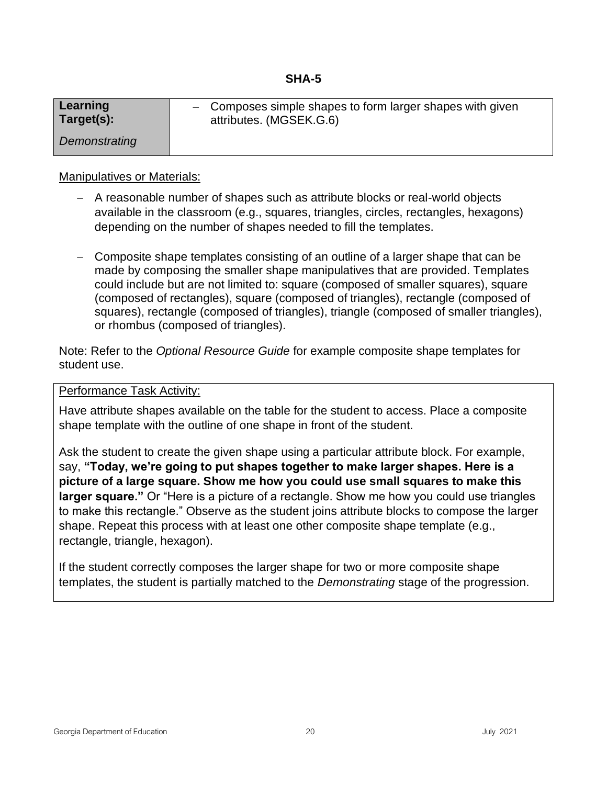<span id="page-19-0"></span>

| Learning      | - Composes simple shapes to form larger shapes with given |
|---------------|-----------------------------------------------------------|
| Target(s):    | attributes. (MGSEK.G.6)                                   |
| Demonstrating |                                                           |

- − A reasonable number of shapes such as attribute blocks or real-world objects available in the classroom (e.g., squares, triangles, circles, rectangles, hexagons) depending on the number of shapes needed to fill the templates.
- − Composite shape templates consisting of an outline of a larger shape that can be made by composing the smaller shape manipulatives that are provided. Templates could include but are not limited to: square (composed of smaller squares), square (composed of rectangles), square (composed of triangles), rectangle (composed of squares), rectangle (composed of triangles), triangle (composed of smaller triangles), or rhombus (composed of triangles).

Note: Refer to the *Optional Resource Guide* for example composite shape templates for student use.

Performance Task Activity:

Have attribute shapes available on the table for the student to access. Place a composite shape template with the outline of one shape in front of the student.

Ask the student to create the given shape using a particular attribute block. For example, say, **"Today, we're going to put shapes together to make larger shapes. Here is a picture of a large square. Show me how you could use small squares to make this larger square."** Or "Here is a picture of a rectangle. Show me how you could use triangles to make this rectangle." Observe as the student joins attribute blocks to compose the larger shape. Repeat this process with at least one other composite shape template (e.g., rectangle, triangle, hexagon).

If the student correctly composes the larger shape for two or more composite shape templates, the student is partially matched to the *Demonstrating* stage of the progression.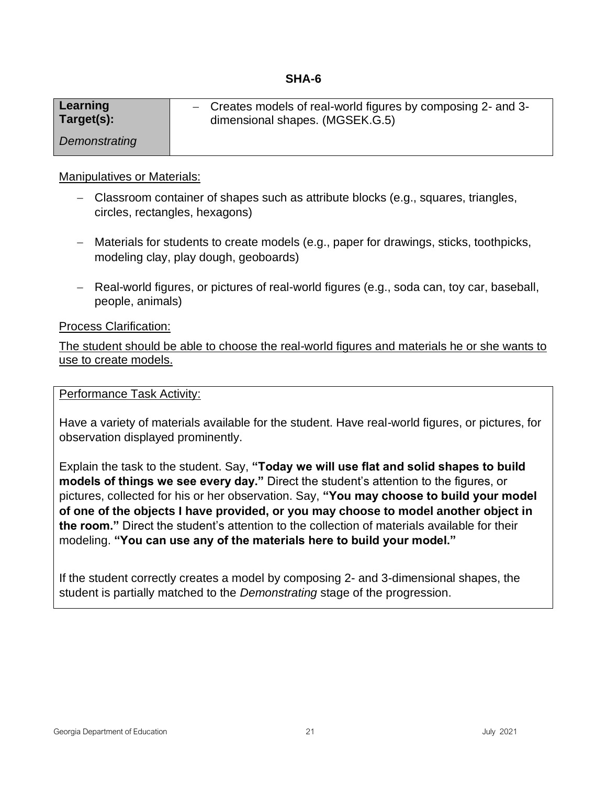#### **SHA-6**

<span id="page-20-0"></span>

| Learning      | - Creates models of real-world figures by composing 2- and 3- |
|---------------|---------------------------------------------------------------|
| Target(s):    | dimensional shapes. (MGSEK.G.5)                               |
| Demonstrating |                                                               |

#### Manipulatives or Materials:

- − Classroom container of shapes such as attribute blocks (e.g., squares, triangles, circles, rectangles, hexagons)
- − Materials for students to create models (e.g., paper for drawings, sticks, toothpicks, modeling clay, play dough, geoboards)
- − Real-world figures, or pictures of real-world figures (e.g., soda can, toy car, baseball, people, animals)

Process Clarification:

The student should be able to choose the real-world figures and materials he or she wants to use to create models.

#### Performance Task Activity:

Have a variety of materials available for the student. Have real-world figures, or pictures, for observation displayed prominently.

Explain the task to the student. Say, **"Today we will use flat and solid shapes to build models of things we see every day."** Direct the student's attention to the figures, or pictures, collected for his or her observation. Say, **"You may choose to build your model of one of the objects I have provided, or you may choose to model another object in the room."** Direct the student's attention to the collection of materials available for their modeling. **"You can use any of the materials here to build your model."**

If the student correctly creates a model by composing 2- and 3-dimensional shapes, the student is partially matched to the *Demonstrating* stage of the progression.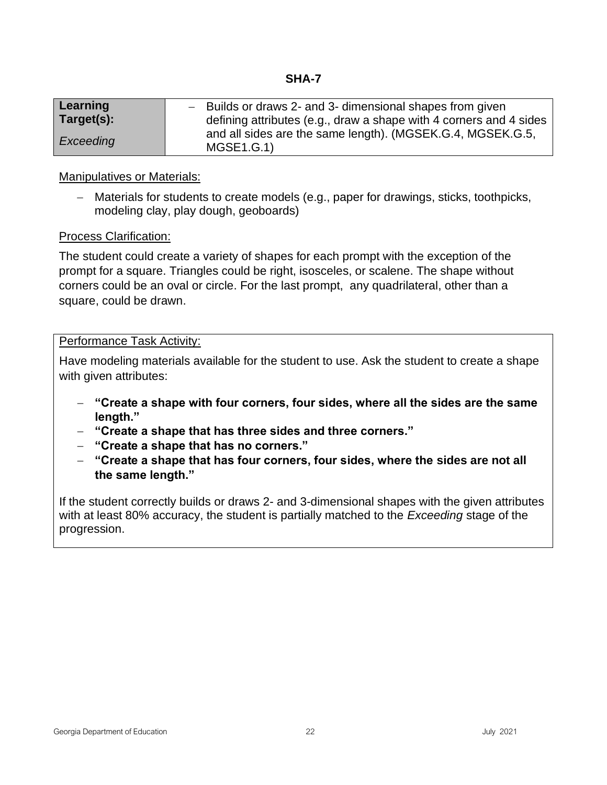<span id="page-21-0"></span>

| Learning   | - Builds or draws 2- and 3- dimensional shapes from given                |  |  |
|------------|--------------------------------------------------------------------------|--|--|
| Target(s): | defining attributes (e.g., draw a shape with 4 corners and 4 sides       |  |  |
| Exceeding  | and all sides are the same length). (MGSEK.G.4, MGSEK.G.5,<br>MGSE1.G.1) |  |  |

− Materials for students to create models (e.g., paper for drawings, sticks, toothpicks, modeling clay, play dough, geoboards)

#### Process Clarification:

The student could create a variety of shapes for each prompt with the exception of the prompt for a square. Triangles could be right, isosceles, or scalene. The shape without corners could be an oval or circle. For the last prompt, any quadrilateral, other than a square, could be drawn.

#### Performance Task Activity:

Have modeling materials available for the student to use. Ask the student to create a shape with given attributes:

- − **"Create a shape with four corners, four sides, where all the sides are the same length."**
- − **"Create a shape that has three sides and three corners."**
- − **"Create a shape that has no corners."**
- − **"Create a shape that has four corners, four sides, where the sides are not all the same length."**

If the student correctly builds or draws 2- and 3-dimensional shapes with the given attributes with at least 80% accuracy, the student is partially matched to the *Exceeding* stage of the progression.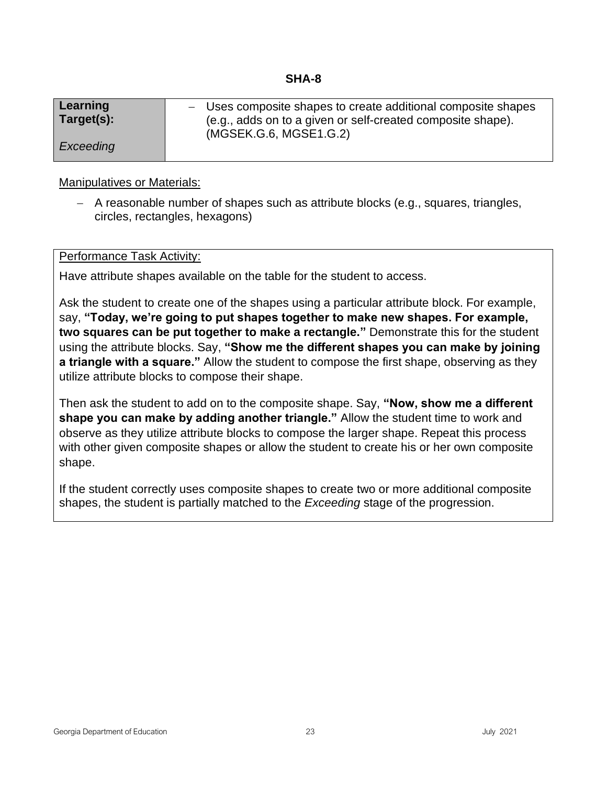<span id="page-22-0"></span>

| Learning   | - Uses composite shapes to create additional composite shapes |
|------------|---------------------------------------------------------------|
| Target(s): | (e.g., adds on to a given or self-created composite shape).   |
| Exceeding  | (MGSEK.G.6, MGSE1.G.2)                                        |

− A reasonable number of shapes such as attribute blocks (e.g., squares, triangles, circles, rectangles, hexagons)

#### Performance Task Activity:

Have attribute shapes available on the table for the student to access.

Ask the student to create one of the shapes using a particular attribute block. For example, say, **"Today, we're going to put shapes together to make new shapes. For example, two squares can be put together to make a rectangle."** Demonstrate this for the student using the attribute blocks. Say, **"Show me the different shapes you can make by joining a triangle with a square."** Allow the student to compose the first shape, observing as they utilize attribute blocks to compose their shape.

Then ask the student to add on to the composite shape. Say, **"Now, show me a different shape you can make by adding another triangle."** Allow the student time to work and observe as they utilize attribute blocks to compose the larger shape. Repeat this process with other given composite shapes or allow the student to create his or her own composite shape.

If the student correctly uses composite shapes to create two or more additional composite shapes, the student is partially matched to the *Exceeding* stage of the progression.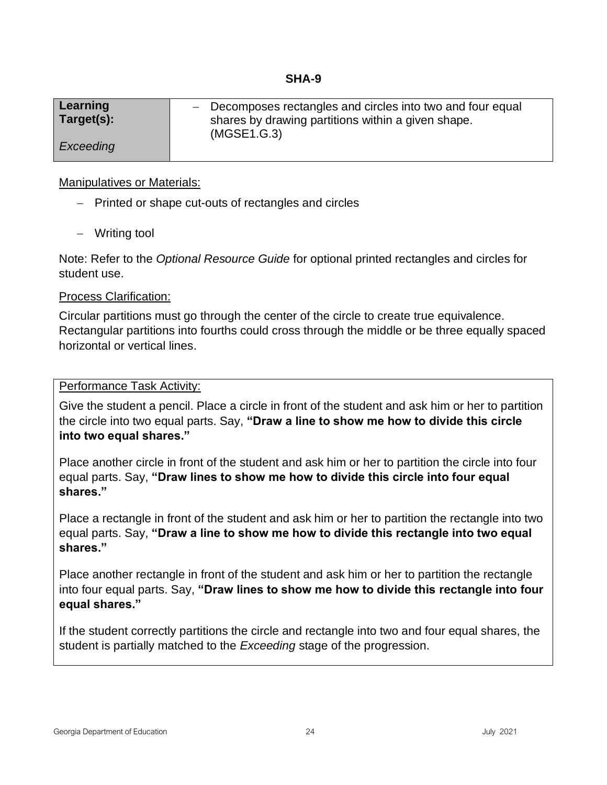<span id="page-23-0"></span>

| Learning<br>Target(s): | - Decomposes rectangles and circles into two and four equal<br>shares by drawing partitions within a given shape.<br>(MGSE1.G.3) |
|------------------------|----------------------------------------------------------------------------------------------------------------------------------|
| Exceeding              |                                                                                                                                  |

- − Printed or shape cut-outs of rectangles and circles
- − Writing tool

Note: Refer to the *Optional Resource Guide* for optional printed rectangles and circles for student use.

#### Process Clarification:

Circular partitions must go through the center of the circle to create true equivalence. Rectangular partitions into fourths could cross through the middle or be three equally spaced horizontal or vertical lines.

#### Performance Task Activity:

Give the student a pencil. Place a circle in front of the student and ask him or her to partition the circle into two equal parts. Say, **"Draw a line to show me how to divide this circle into two equal shares."**

Place another circle in front of the student and ask him or her to partition the circle into four equal parts. Say, **"Draw lines to show me how to divide this circle into four equal shares."**

Place a rectangle in front of the student and ask him or her to partition the rectangle into two equal parts. Say, **"Draw a line to show me how to divide this rectangle into two equal shares."**

Place another rectangle in front of the student and ask him or her to partition the rectangle into four equal parts. Say, **"Draw lines to show me how to divide this rectangle into four equal shares."**

If the student correctly partitions the circle and rectangle into two and four equal shares, the student is partially matched to the *Exceeding* stage of the progression.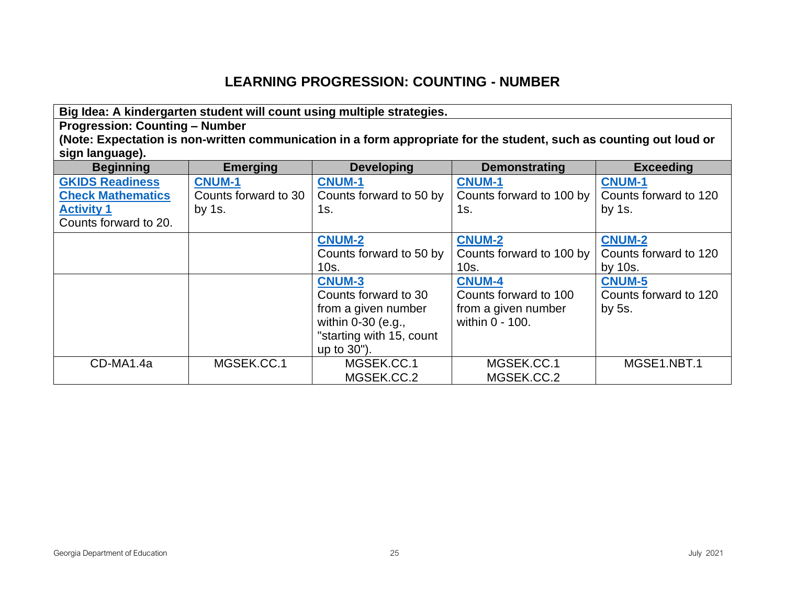## **LEARNING PROGRESSION: COUNTING - NUMBER**

<span id="page-24-0"></span>**Big Idea: A kindergarten student will count using multiple strategies. Progression: Counting – Number (Note: Expectation is non-written communication in a form appropriate for the student, such as counting out loud or sign language). Beginning Emerging Developing Demonstrating Exceeding [GKIDS Readiness](#page-3-1)  [Check Mathematics](#page-3-1)  [Activity 1](#page-3-1)** Counts forward to 20. **[CNUM-1](#page-3-1)** Counts forward to 30 by 1s. **[CNUM-1](#page-3-1)** Counts forward to 50 by  $1s.$ **[CNUM-1](#page-3-1)** Counts forward to 100 by  $1s.$ **[CNUM-1](#page-3-1)** Counts forward to 120 by 1s. **[CNUM-2](#page-3-1)** Counts forward to 50 by 10s. **[CNUM-2](#page-3-1)** Counts forward to 100 by 10s. **[CNUM-2](#page-3-1)** Counts forward to 120 by 10s. **[CNUM-3](#page-3-1)** Counts forward to 30 from a given number within 0-30 (e.g., "starting with 15, count up to 30"). **[CNUM-4](#page-3-1)** Counts forward to 100 from a given number within 0 - 100. **[CNUM-5](#page-3-1)** Counts forward to 120 by 5s. CD-MA1.4a MGSEK.CC.1 MGSEK.CC.1 MGSEK.CC.1 MGSE1.NBT.1

MGSEK.CC.2 MGSEK.CC.2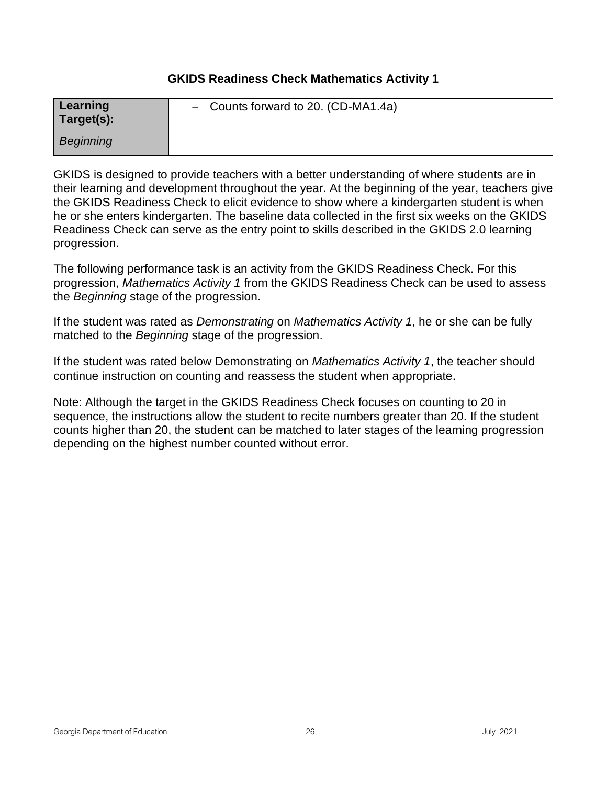#### **GKIDS Readiness Check Mathematics Activity 1**

<span id="page-25-0"></span>

| Learning<br>Target(s): | - Counts forward to 20. (CD-MA1.4a) |
|------------------------|-------------------------------------|
| Beginning              |                                     |

GKIDS is designed to provide teachers with a better understanding of where students are in their learning and development throughout the year. At the beginning of the year, teachers give the GKIDS Readiness Check to elicit evidence to show where a kindergarten student is when he or she enters kindergarten. The baseline data collected in the first six weeks on the GKIDS Readiness Check can serve as the entry point to skills described in the GKIDS 2.0 learning progression.

The following performance task is an activity from the GKIDS Readiness Check. For this progression, *Mathematics Activity 1* from the GKIDS Readiness Check can be used to assess the *Beginning* stage of the progression.

If the student was rated as *Demonstrating* on *Mathematics Activity 1*, he or she can be fully matched to the *Beginning* stage of the progression.

If the student was rated below Demonstrating on *Mathematics Activity 1*, the teacher should continue instruction on counting and reassess the student when appropriate.

Note: Although the target in the GKIDS Readiness Check focuses on counting to 20 in sequence, the instructions allow the student to recite numbers greater than 20. If the student counts higher than 20, the student can be matched to later stages of the learning progression depending on the highest number counted without error.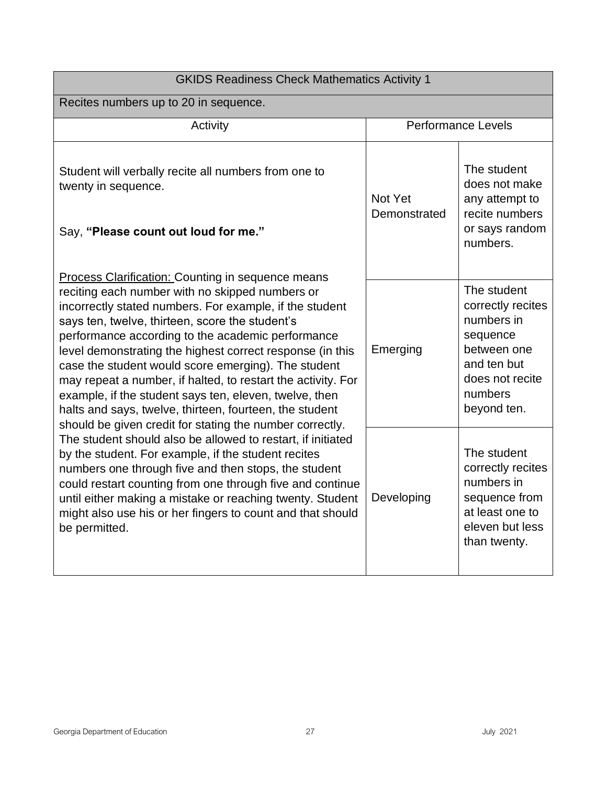| <b>GKIDS Readiness Check Mathematics Activity 1</b>                                                                                                                                                                                                                                                                                                                                                                                                                                                                                                                                                                                                 |                           |                                                                                                                                       |  |
|-----------------------------------------------------------------------------------------------------------------------------------------------------------------------------------------------------------------------------------------------------------------------------------------------------------------------------------------------------------------------------------------------------------------------------------------------------------------------------------------------------------------------------------------------------------------------------------------------------------------------------------------------------|---------------------------|---------------------------------------------------------------------------------------------------------------------------------------|--|
| Recites numbers up to 20 in sequence.                                                                                                                                                                                                                                                                                                                                                                                                                                                                                                                                                                                                               |                           |                                                                                                                                       |  |
| Activity                                                                                                                                                                                                                                                                                                                                                                                                                                                                                                                                                                                                                                            | <b>Performance Levels</b> |                                                                                                                                       |  |
| Student will verbally recite all numbers from one to<br>twenty in sequence.<br>Say, "Please count out loud for me."                                                                                                                                                                                                                                                                                                                                                                                                                                                                                                                                 | Not Yet<br>Demonstrated   | The student<br>does not make<br>any attempt to<br>recite numbers<br>or says random<br>numbers.                                        |  |
| <b>Process Clarification: Counting in sequence means</b><br>reciting each number with no skipped numbers or<br>incorrectly stated numbers. For example, if the student<br>says ten, twelve, thirteen, score the student's<br>performance according to the academic performance<br>level demonstrating the highest correct response (in this<br>case the student would score emerging). The student<br>may repeat a number, if halted, to restart the activity. For<br>example, if the student says ten, eleven, twelve, then<br>halts and says, twelve, thirteen, fourteen, the student<br>should be given credit for stating the number correctly. | Emerging                  | The student<br>correctly recites<br>numbers in<br>sequence<br>between one<br>and ten but<br>does not recite<br>numbers<br>beyond ten. |  |
| The student should also be allowed to restart, if initiated<br>by the student. For example, if the student recites<br>numbers one through five and then stops, the student<br>could restart counting from one through five and continue<br>until either making a mistake or reaching twenty. Student<br>might also use his or her fingers to count and that should<br>be permitted.                                                                                                                                                                                                                                                                 | Developing                | The student<br>correctly recites<br>numbers in<br>sequence from<br>at least one to<br>eleven but less<br>than twenty.                 |  |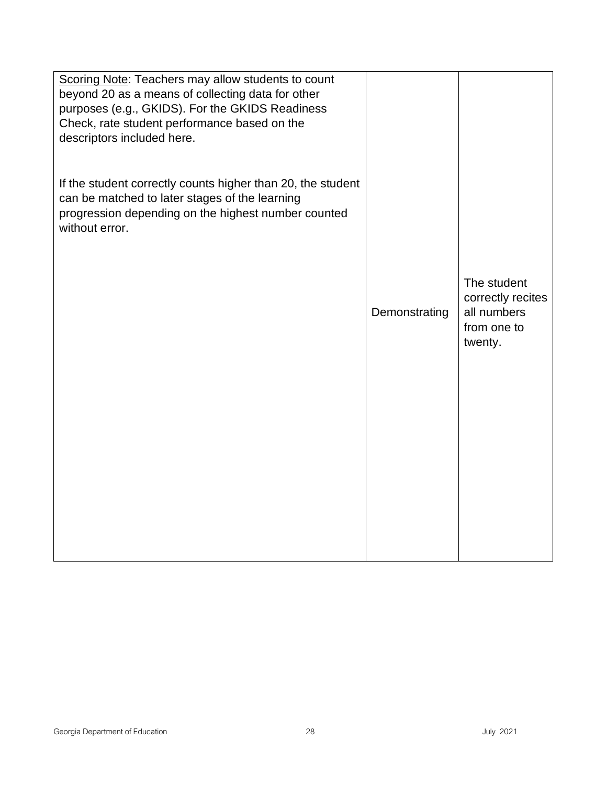| Scoring Note: Teachers may allow students to count<br>beyond 20 as a means of collecting data for other<br>purposes (e.g., GKIDS). For the GKIDS Readiness<br>Check, rate student performance based on the<br>descriptors included here. |               |                                                                           |
|------------------------------------------------------------------------------------------------------------------------------------------------------------------------------------------------------------------------------------------|---------------|---------------------------------------------------------------------------|
| If the student correctly counts higher than 20, the student<br>can be matched to later stages of the learning<br>progression depending on the highest number counted<br>without error.                                                   |               |                                                                           |
|                                                                                                                                                                                                                                          | Demonstrating | The student<br>correctly recites<br>all numbers<br>from one to<br>twenty. |
|                                                                                                                                                                                                                                          |               |                                                                           |
|                                                                                                                                                                                                                                          |               |                                                                           |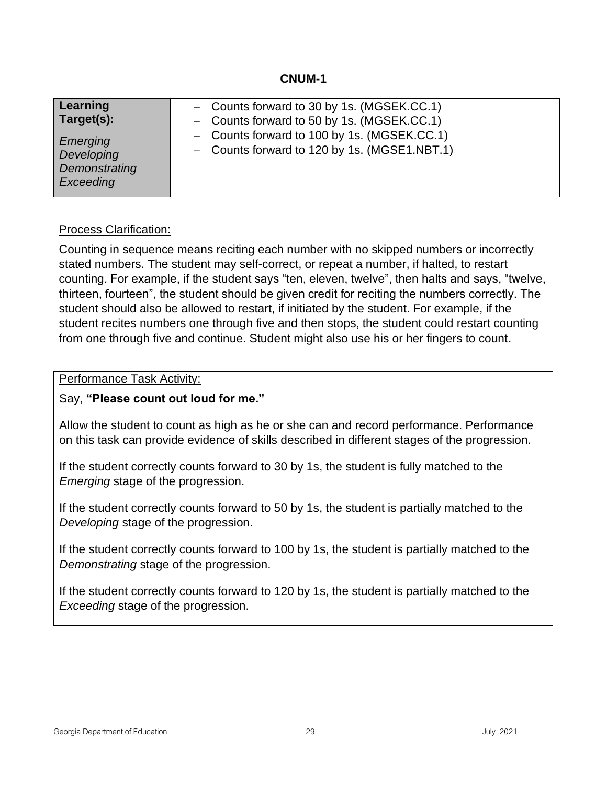<span id="page-28-0"></span>

| Learning                                             | - Counts forward to 30 by 1s. (MGSEK.CC.1)                                                  |
|------------------------------------------------------|---------------------------------------------------------------------------------------------|
| Target(s):                                           | - Counts forward to 50 by 1s. (MGSEK.CC.1)                                                  |
| Emerging<br>Developing<br>Demonstrating<br>Exceeding | - Counts forward to 100 by 1s. (MGSEK.CC.1)<br>- Counts forward to 120 by 1s. (MGSE1.NBT.1) |

#### Process Clarification:

Counting in sequence means reciting each number with no skipped numbers or incorrectly stated numbers. The student may self-correct, or repeat a number, if halted, to restart counting. For example, if the student says "ten, eleven, twelve", then halts and says, "twelve, thirteen, fourteen", the student should be given credit for reciting the numbers correctly. The student should also be allowed to restart, if initiated by the student. For example, if the student recites numbers one through five and then stops, the student could restart counting from one through five and continue. Student might also use his or her fingers to count.

#### Performance Task Activity:

#### Say, **"Please count out loud for me."**

Allow the student to count as high as he or she can and record performance. Performance on this task can provide evidence of skills described in different stages of the progression.

If the student correctly counts forward to 30 by 1s, the student is fully matched to the *Emerging* stage of the progression.

If the student correctly counts forward to 50 by 1s, the student is partially matched to the *Developing* stage of the progression.

If the student correctly counts forward to 100 by 1s, the student is partially matched to the *Demonstrating* stage of the progression.

If the student correctly counts forward to 120 by 1s, the student is partially matched to the *Exceeding* stage of the progression.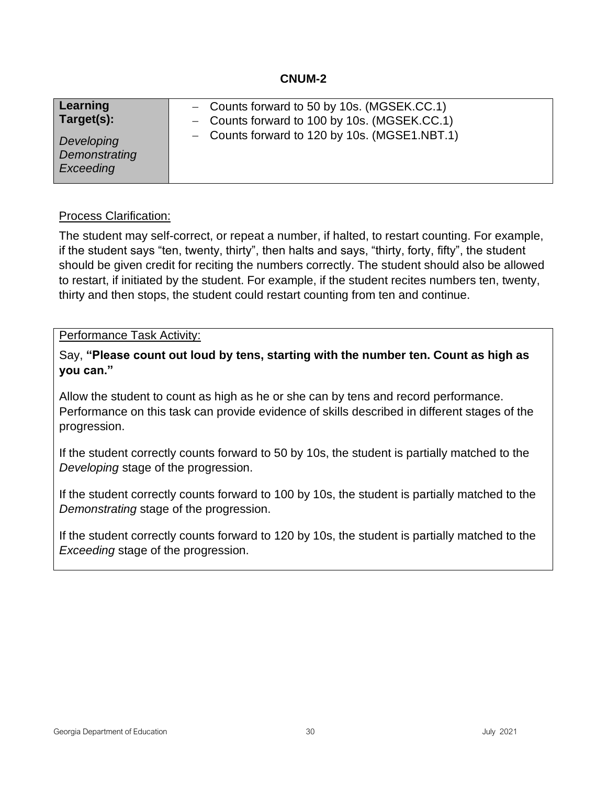<span id="page-29-0"></span>

| Learning<br>Target(s):                   | $-$ Counts forward to 50 by 10s. (MGSEK.CC.1)<br>- Counts forward to 100 by 10s. (MGSEK.CC.1) |  |
|------------------------------------------|-----------------------------------------------------------------------------------------------|--|
| Developing<br>Demonstrating<br>Exceeding | - Counts forward to 120 by 10s. (MGSE1.NBT.1)                                                 |  |

#### Process Clarification:

The student may self-correct, or repeat a number, if halted, to restart counting. For example, if the student says "ten, twenty, thirty", then halts and says, "thirty, forty, fifty", the student should be given credit for reciting the numbers correctly. The student should also be allowed to restart, if initiated by the student. For example, if the student recites numbers ten, twenty, thirty and then stops, the student could restart counting from ten and continue.

#### Performance Task Activity:

Say, **"Please count out loud by tens, starting with the number ten. Count as high as you can."**

Allow the student to count as high as he or she can by tens and record performance. Performance on this task can provide evidence of skills described in different stages of the progression.

If the student correctly counts forward to 50 by 10s, the student is partially matched to the *Developing* stage of the progression.

If the student correctly counts forward to 100 by 10s, the student is partially matched to the *Demonstrating* stage of the progression.

If the student correctly counts forward to 120 by 10s, the student is partially matched to the *Exceeding* stage of the progression.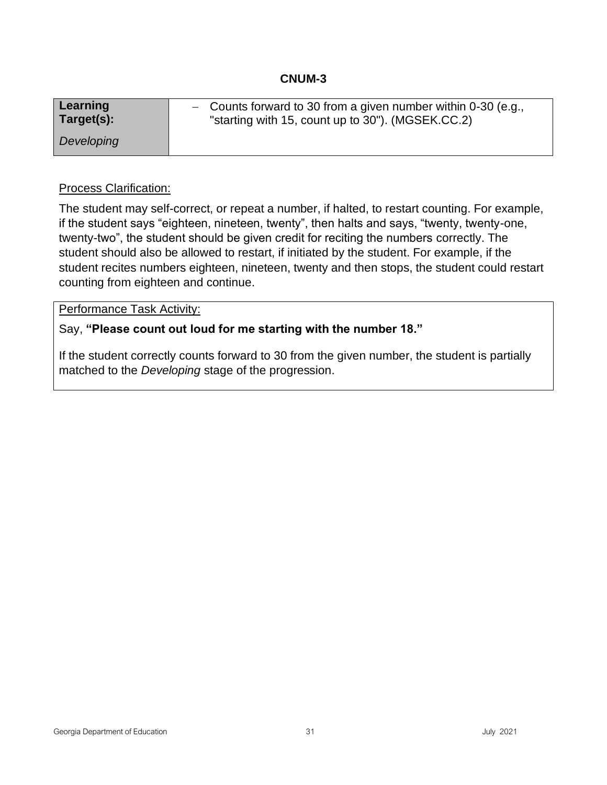<span id="page-30-0"></span>

| Learning   | - Counts forward to 30 from a given number within $0-30$ (e.g., |
|------------|-----------------------------------------------------------------|
| Target(s): | "starting with 15, count up to 30"). (MGSEK.CC.2)               |
| Developing |                                                                 |

#### Process Clarification:

The student may self-correct, or repeat a number, if halted, to restart counting. For example, if the student says "eighteen, nineteen, twenty", then halts and says, "twenty, twenty-one, twenty-two", the student should be given credit for reciting the numbers correctly. The student should also be allowed to restart, if initiated by the student. For example, if the student recites numbers eighteen, nineteen, twenty and then stops, the student could restart counting from eighteen and continue.

#### Performance Task Activity:

## Say, **"Please count out loud for me starting with the number 18."**

If the student correctly counts forward to 30 from the given number, the student is partially matched to the *Developing* stage of the progression.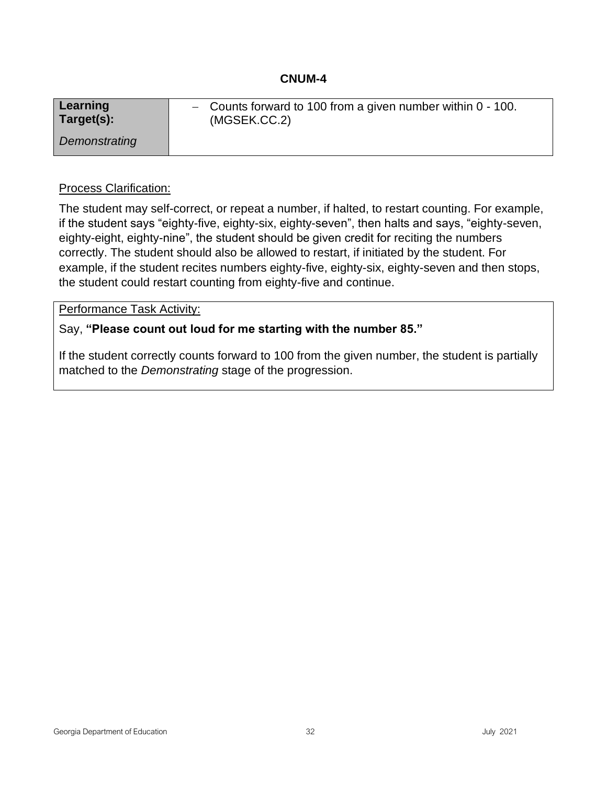<span id="page-31-0"></span>

| Learning      | $\sim$ Counts forward to 100 from a given number within 0 - 100. |
|---------------|------------------------------------------------------------------|
| Target(s):    | (MGSEK.CC.2)                                                     |
| Demonstrating |                                                                  |

#### Process Clarification:

The student may self-correct, or repeat a number, if halted, to restart counting. For example, if the student says "eighty-five, eighty-six, eighty-seven", then halts and says, "eighty-seven, eighty-eight, eighty-nine", the student should be given credit for reciting the numbers correctly. The student should also be allowed to restart, if initiated by the student. For example, if the student recites numbers eighty-five, eighty-six, eighty-seven and then stops, the student could restart counting from eighty-five and continue.

#### Performance Task Activity:

## Say, **"Please count out loud for me starting with the number 85."**

If the student correctly counts forward to 100 from the given number, the student is partially matched to the *Demonstrating* stage of the progression.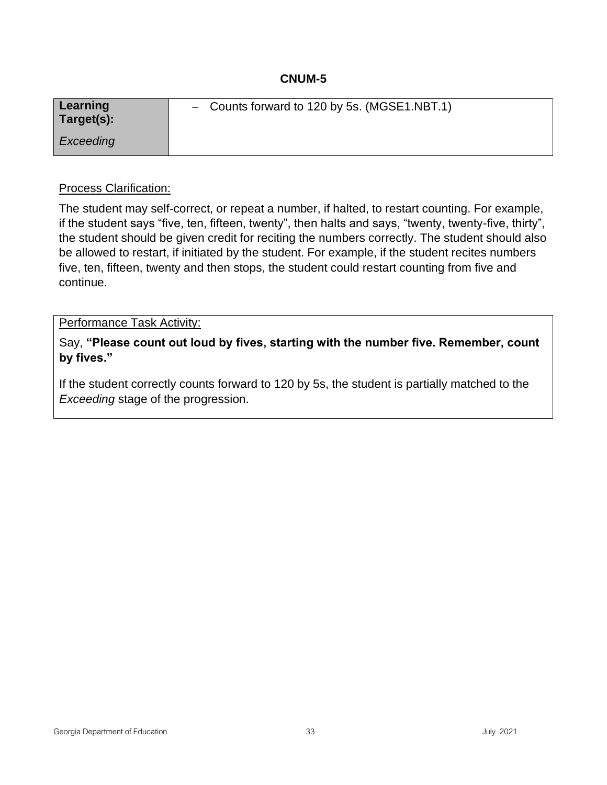<span id="page-32-0"></span>

| Learning<br>Target(s): | - Counts forward to 120 by 5s. (MGSE1.NBT.1) |
|------------------------|----------------------------------------------|
| Exceeding              |                                              |

#### Process Clarification:

The student may self-correct, or repeat a number, if halted, to restart counting. For example, if the student says "five, ten, fifteen, twenty", then halts and says, "twenty, twenty-five, thirty", the student should be given credit for reciting the numbers correctly. The student should also be allowed to restart, if initiated by the student. For example, if the student recites numbers five, ten, fifteen, twenty and then stops, the student could restart counting from five and continue.

#### Performance Task Activity:

Say, **"Please count out loud by fives, starting with the number five. Remember, count by fives."**

If the student correctly counts forward to 120 by 5s, the student is partially matched to the *Exceeding* stage of the progression.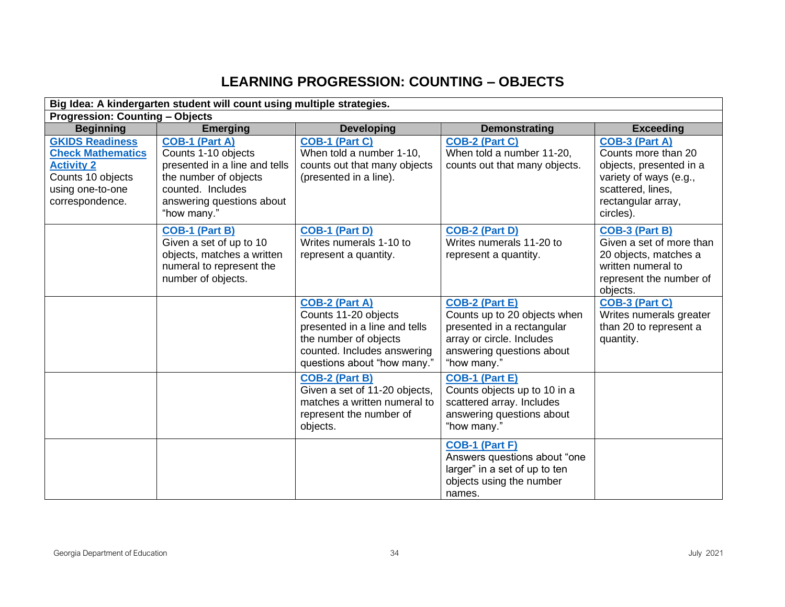# **LEARNING PROGRESSION: COUNTING – OBJECTS**

<span id="page-33-0"></span>

| Big Idea: A kindergarten student will count using multiple strategies.                                                              |                                                                                                                                                                         |                                                                                                                                                                       |                                                                                                                                                              |                                                                                                                                                    |
|-------------------------------------------------------------------------------------------------------------------------------------|-------------------------------------------------------------------------------------------------------------------------------------------------------------------------|-----------------------------------------------------------------------------------------------------------------------------------------------------------------------|--------------------------------------------------------------------------------------------------------------------------------------------------------------|----------------------------------------------------------------------------------------------------------------------------------------------------|
| <b>Progression: Counting - Objects</b>                                                                                              |                                                                                                                                                                         |                                                                                                                                                                       |                                                                                                                                                              |                                                                                                                                                    |
| <b>Beginning</b>                                                                                                                    | <b>Emerging</b>                                                                                                                                                         | <b>Developing</b>                                                                                                                                                     | <b>Demonstrating</b>                                                                                                                                         | <b>Exceeding</b>                                                                                                                                   |
| <b>GKIDS Readiness</b><br><b>Check Mathematics</b><br><b>Activity 2</b><br>Counts 10 objects<br>using one-to-one<br>correspondence. | <b>COB-1 (Part A)</b><br>Counts 1-10 objects<br>presented in a line and tells<br>the number of objects<br>counted. Includes<br>answering questions about<br>"how many." | <b>COB-1 (Part C)</b><br>When told a number 1-10,<br>counts out that many objects<br>(presented in a line).                                                           | <b>COB-2 (Part C)</b><br>When told a number 11-20,<br>counts out that many objects.                                                                          | COB-3 (Part A)<br>Counts more than 20<br>objects, presented in a<br>variety of ways (e.g.,<br>scattered, lines,<br>rectangular array,<br>circles). |
|                                                                                                                                     | <b>COB-1 (Part B)</b><br>Given a set of up to 10<br>objects, matches a written<br>numeral to represent the<br>number of objects.                                        | COB-1 (Part D)<br>Writes numerals 1-10 to<br>represent a quantity.                                                                                                    | COB-2 (Part D)<br>Writes numerals 11-20 to<br>represent a quantity.                                                                                          | <b>COB-3 (Part B)</b><br>Given a set of more than<br>20 objects, matches a<br>written numeral to<br>represent the number of<br>objects.            |
|                                                                                                                                     |                                                                                                                                                                         | <b>COB-2 (Part A)</b><br>Counts 11-20 objects<br>presented in a line and tells<br>the number of objects<br>counted. Includes answering<br>questions about "how many." | <b>COB-2 (Part E)</b><br>Counts up to 20 objects when<br>presented in a rectangular<br>array or circle. Includes<br>answering questions about<br>"how many." | <b>COB-3 (Part C)</b><br>Writes numerals greater<br>than 20 to represent a<br>quantity.                                                            |
|                                                                                                                                     |                                                                                                                                                                         | <b>COB-2 (Part B)</b><br>Given a set of 11-20 objects,<br>matches a written numeral to<br>represent the number of<br>objects.                                         | <b>COB-1 (Part E)</b><br>Counts objects up to 10 in a<br>scattered array. Includes<br>answering questions about<br>"how many."                               |                                                                                                                                                    |
|                                                                                                                                     |                                                                                                                                                                         |                                                                                                                                                                       | <b>COB-1 (Part F)</b><br>Answers questions about "one<br>larger" in a set of up to ten<br>objects using the number<br>names.                                 |                                                                                                                                                    |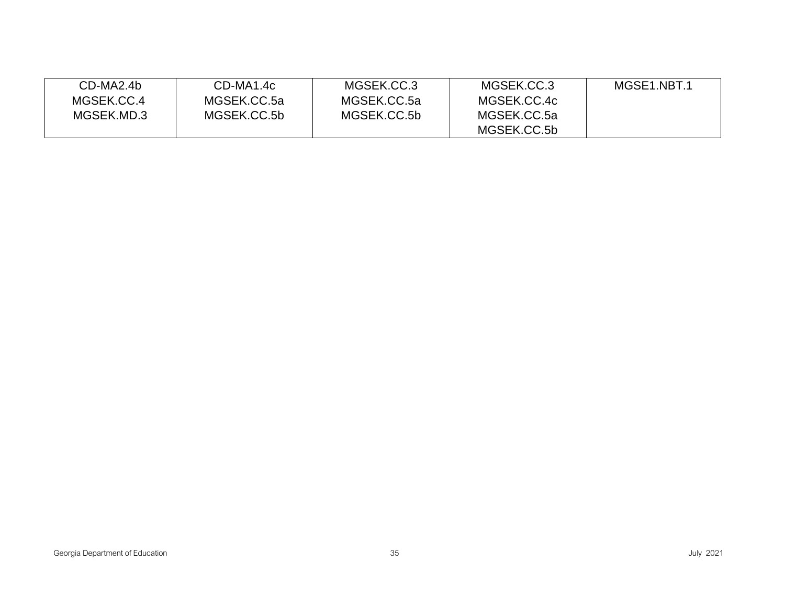| CD-MA2.4b  | CD-MA1.4c   | MGSEK.CC.3  | MGSEK.CC.3  | MGSE1.NBT.1 |
|------------|-------------|-------------|-------------|-------------|
| MGSEK.CC.4 | MGSEK.CC.5a | MGSEK.CC.5a | MGSEK.CC.4c |             |
| MGSEK.MD.3 | MGSEK.CC.5b | MGSEK.CC.5b | MGSEK.CC.5a |             |
|            |             |             | MGSEK.CC.5b |             |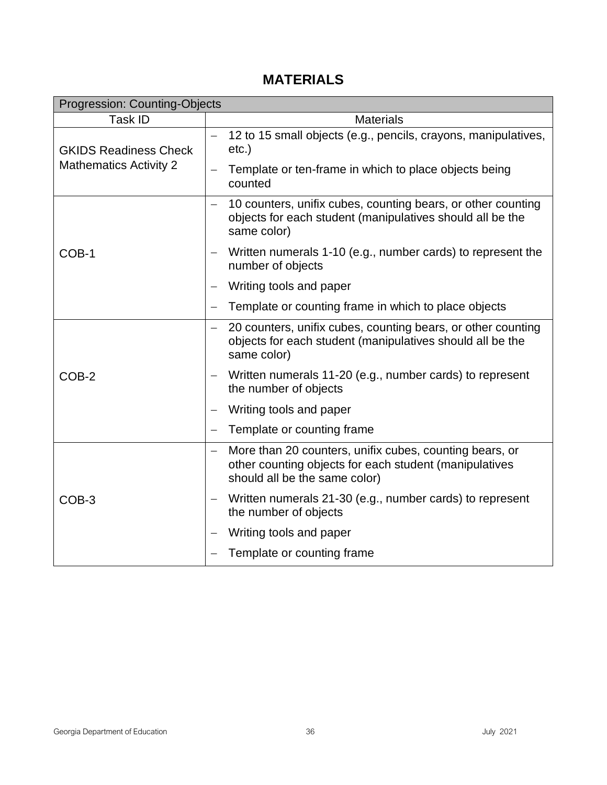# **MATERIALS**

| <b>Progression: Counting-Objects</b>                          |                   |                                                                                                                                                    |  |
|---------------------------------------------------------------|-------------------|----------------------------------------------------------------------------------------------------------------------------------------------------|--|
| Task ID                                                       |                   | <b>Materials</b>                                                                                                                                   |  |
| <b>GKIDS Readiness Check</b><br><b>Mathematics Activity 2</b> | $\qquad \qquad -$ | 12 to 15 small objects (e.g., pencils, crayons, manipulatives,<br>$etc.$ )                                                                         |  |
|                                                               |                   | Template or ten-frame in which to place objects being<br>counted                                                                                   |  |
| COB-1                                                         |                   | 10 counters, unifix cubes, counting bears, or other counting<br>objects for each student (manipulatives should all be the<br>same color)           |  |
|                                                               |                   | Written numerals 1-10 (e.g., number cards) to represent the<br>number of objects                                                                   |  |
|                                                               |                   | Writing tools and paper                                                                                                                            |  |
|                                                               |                   | Template or counting frame in which to place objects                                                                                               |  |
|                                                               |                   | 20 counters, unifix cubes, counting bears, or other counting<br>objects for each student (manipulatives should all be the<br>same color)           |  |
| COB-2                                                         |                   | Written numerals 11-20 (e.g., number cards) to represent<br>the number of objects                                                                  |  |
|                                                               |                   | Writing tools and paper                                                                                                                            |  |
|                                                               |                   | Template or counting frame                                                                                                                         |  |
|                                                               |                   | More than 20 counters, unifix cubes, counting bears, or<br>other counting objects for each student (manipulatives<br>should all be the same color) |  |
| COB-3                                                         |                   | Written numerals 21-30 (e.g., number cards) to represent<br>the number of objects                                                                  |  |
|                                                               |                   | Writing tools and paper                                                                                                                            |  |
|                                                               |                   | Template or counting frame                                                                                                                         |  |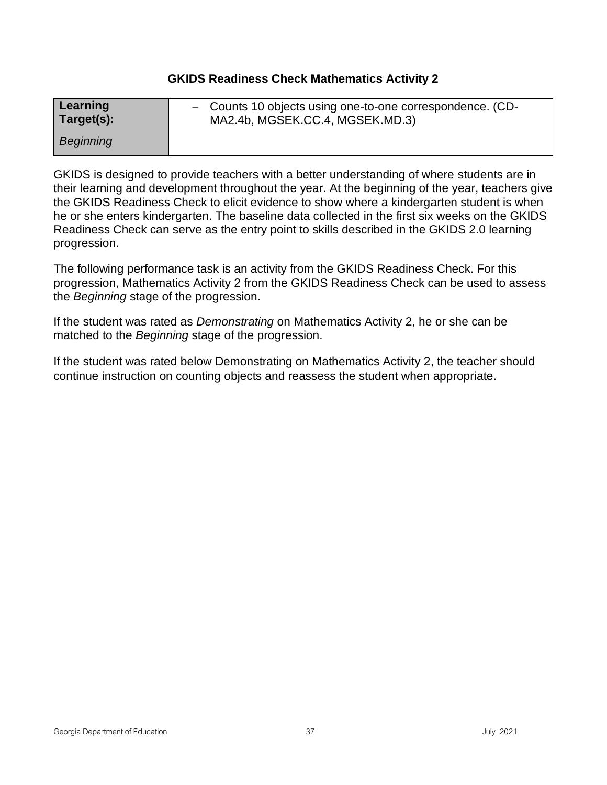# **GKIDS Readiness Check Mathematics Activity 2**

| Learning   | - Counts 10 objects using one-to-one correspondence. (CD- |
|------------|-----------------------------------------------------------|
| Target(s): | MA2.4b, MGSEK.CC.4, MGSEK.MD.3)                           |
| Beginning  |                                                           |

GKIDS is designed to provide teachers with a better understanding of where students are in their learning and development throughout the year. At the beginning of the year, teachers give the GKIDS Readiness Check to elicit evidence to show where a kindergarten student is when he or she enters kindergarten. The baseline data collected in the first six weeks on the GKIDS Readiness Check can serve as the entry point to skills described in the GKIDS 2.0 learning progression.

The following performance task is an activity from the GKIDS Readiness Check. For this progression, Mathematics Activity 2 from the GKIDS Readiness Check can be used to assess the *Beginning* stage of the progression.

If the student was rated as *Demonstrating* on Mathematics Activity 2, he or she can be matched to the *Beginning* stage of the progression.

If the student was rated below Demonstrating on Mathematics Activity 2, the teacher should continue instruction on counting objects and reassess the student when appropriate.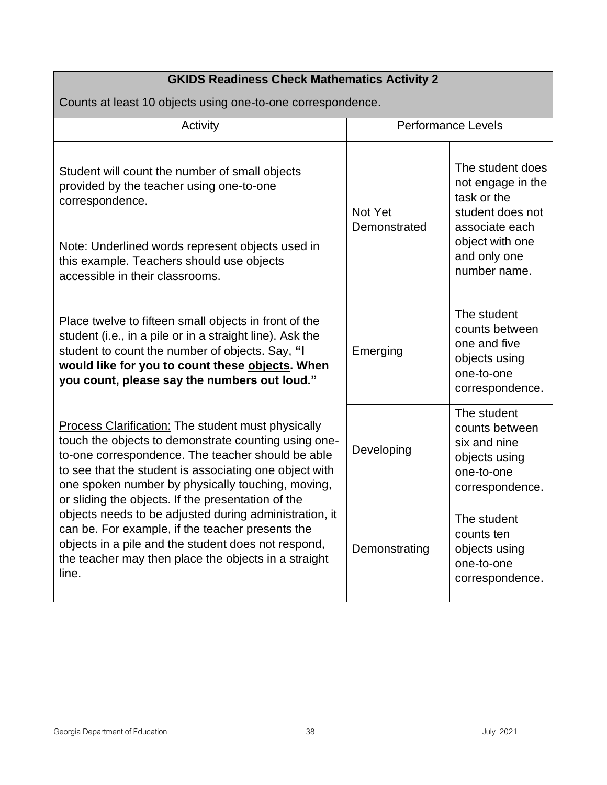| <b>GKIDS Readiness Check Mathematics Activity 2</b>                                                                                                                                                                                                                                                                                         |                         |                                                                                                 |  |
|---------------------------------------------------------------------------------------------------------------------------------------------------------------------------------------------------------------------------------------------------------------------------------------------------------------------------------------------|-------------------------|-------------------------------------------------------------------------------------------------|--|
| Counts at least 10 objects using one-to-one correspondence.                                                                                                                                                                                                                                                                                 |                         |                                                                                                 |  |
| Activity                                                                                                                                                                                                                                                                                                                                    |                         | <b>Performance Levels</b>                                                                       |  |
| Student will count the number of small objects<br>provided by the teacher using one-to-one<br>correspondence.                                                                                                                                                                                                                               | Not Yet<br>Demonstrated | The student does<br>not engage in the<br>task or the<br>student does not<br>associate each      |  |
| Note: Underlined words represent objects used in<br>this example. Teachers should use objects<br>accessible in their classrooms.                                                                                                                                                                                                            |                         | object with one<br>and only one<br>number name.                                                 |  |
| Place twelve to fifteen small objects in front of the<br>student (i.e., in a pile or in a straight line). Ask the<br>student to count the number of objects. Say, "I<br>would like for you to count these objects. When<br>you count, please say the numbers out loud."                                                                     | Emerging                | The student<br>counts between<br>one and five<br>objects using<br>one-to-one<br>correspondence. |  |
| <b>Process Clarification: The student must physically</b><br>touch the objects to demonstrate counting using one-<br>to-one correspondence. The teacher should be able<br>to see that the student is associating one object with<br>one spoken number by physically touching, moving,<br>or sliding the objects. If the presentation of the | Developing              | The student<br>counts between<br>six and nine<br>objects using<br>one-to-one<br>correspondence. |  |
| objects needs to be adjusted during administration, it<br>can be. For example, if the teacher presents the<br>objects in a pile and the student does not respond,<br>the teacher may then place the objects in a straight<br>line.                                                                                                          | Demonstrating           | The student<br>counts ten<br>objects using<br>one-to-one<br>correspondence.                     |  |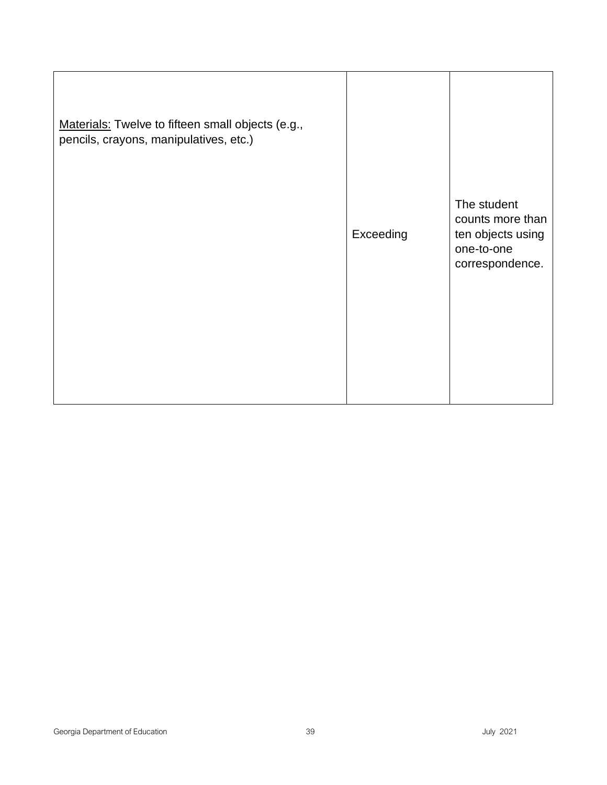| Materials: Twelve to fifteen small objects (e.g.,<br>pencils, crayons, manipulatives, etc.) |           |                                                                                       |
|---------------------------------------------------------------------------------------------|-----------|---------------------------------------------------------------------------------------|
|                                                                                             | Exceeding | The student<br>counts more than<br>ten objects using<br>one-to-one<br>correspondence. |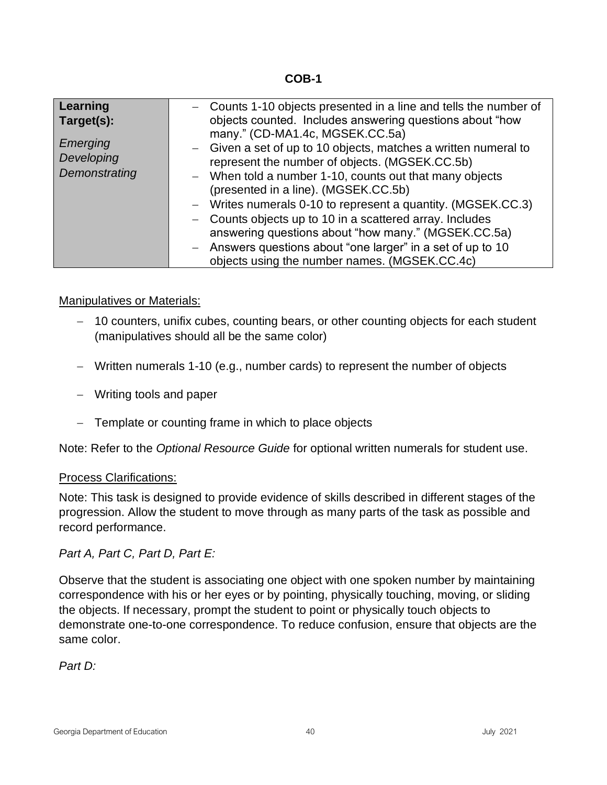**COB-1**

| Learning      | - Counts 1-10 objects presented in a line and tells the number of |
|---------------|-------------------------------------------------------------------|
| Target(s):    | objects counted. Includes answering questions about "how          |
| Emerging      | many." (CD-MA1.4c, MGSEK.CC.5a)                                   |
| Developing    | - Given a set of up to 10 objects, matches a written numeral to   |
| Demonstrating | represent the number of objects. (MGSEK.CC.5b)                    |
|               | - When told a number 1-10, counts out that many objects           |
|               | (presented in a line). (MGSEK.CC.5b)                              |
|               | - Writes numerals 0-10 to represent a quantity. (MGSEK.CC.3)      |
|               | - Counts objects up to 10 in a scattered array. Includes          |
|               | answering questions about "how many." (MGSEK.CC.5a)               |
|               | - Answers questions about "one larger" in a set of up to 10       |
|               | objects using the number names. (MGSEK.CC.4c)                     |

## Manipulatives or Materials:

- − 10 counters, unifix cubes, counting bears, or other counting objects for each student (manipulatives should all be the same color)
- − Written numerals 1-10 (e.g., number cards) to represent the number of objects
- − Writing tools and paper
- − Template or counting frame in which to place objects

Note: Refer to the *Optional Resource Guide* for optional written numerals for student use.

## Process Clarifications:

Note: This task is designed to provide evidence of skills described in different stages of the progression. Allow the student to move through as many parts of the task as possible and record performance.

*Part A, Part C, Part D, Part E:*

Observe that the student is associating one object with one spoken number by maintaining correspondence with his or her eyes or by pointing, physically touching, moving, or sliding the objects. If necessary, prompt the student to point or physically touch objects to demonstrate one-to-one correspondence. To reduce confusion, ensure that objects are the same color.

*Part D:*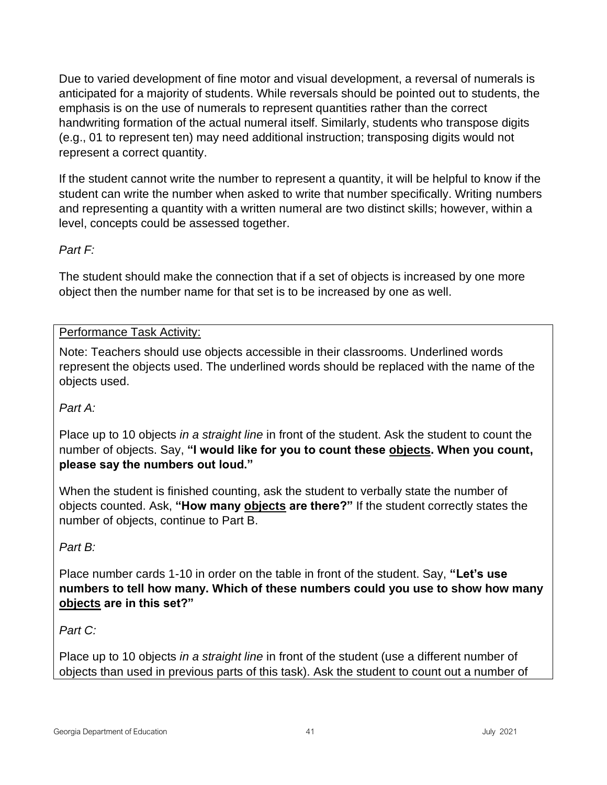Due to varied development of fine motor and visual development, a reversal of numerals is anticipated for a majority of students. While reversals should be pointed out to students, the emphasis is on the use of numerals to represent quantities rather than the correct handwriting formation of the actual numeral itself. Similarly, students who transpose digits (e.g., 01 to represent ten) may need additional instruction; transposing digits would not represent a correct quantity.

If the student cannot write the number to represent a quantity, it will be helpful to know if the student can write the number when asked to write that number specifically. Writing numbers and representing a quantity with a written numeral are two distinct skills; however, within a level, concepts could be assessed together.

# *Part F:*

The student should make the connection that if a set of objects is increased by one more object then the number name for that set is to be increased by one as well.

# Performance Task Activity:

Note: Teachers should use objects accessible in their classrooms. Underlined words represent the objects used. The underlined words should be replaced with the name of the objects used.

# *Part A:*

Place up to 10 objects *in a straight line* in front of the student. Ask the student to count the number of objects. Say, **"I would like for you to count these objects. When you count, please say the numbers out loud."**

When the student is finished counting, ask the student to verbally state the number of objects counted. Ask, **"How many objects are there?"** If the student correctly states the number of objects, continue to Part B.

# *Part B:*

Place number cards 1-10 in order on the table in front of the student. Say, **"Let's use numbers to tell how many. Which of these numbers could you use to show how many objects are in this set?"**

# *Part C:*

Place up to 10 objects *in a straight line* in front of the student (use a different number of objects than used in previous parts of this task). Ask the student to count out a number of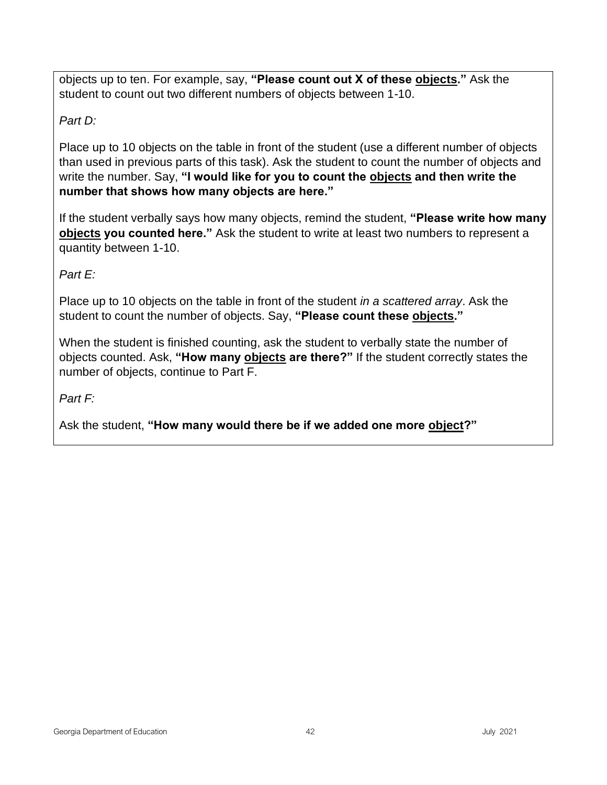objects up to ten. For example, say, **"Please count out X of these objects."** Ask the student to count out two different numbers of objects between 1-10.

# *Part D:*

Place up to 10 objects on the table in front of the student (use a different number of objects than used in previous parts of this task). Ask the student to count the number of objects and write the number. Say, **"I would like for you to count the objects and then write the number that shows how many objects are here."**

If the student verbally says how many objects, remind the student, **"Please write how many objects you counted here."** Ask the student to write at least two numbers to represent a quantity between 1-10.

*Part E:* 

Place up to 10 objects on the table in front of the student *in a scattered array*. Ask the student to count the number of objects. Say, **"Please count these objects."**

When the student is finished counting, ask the student to verbally state the number of objects counted. Ask, **"How many objects are there?"** If the student correctly states the number of objects, continue to Part F.

*Part F:*

Ask the student, **"How many would there be if we added one more object?"**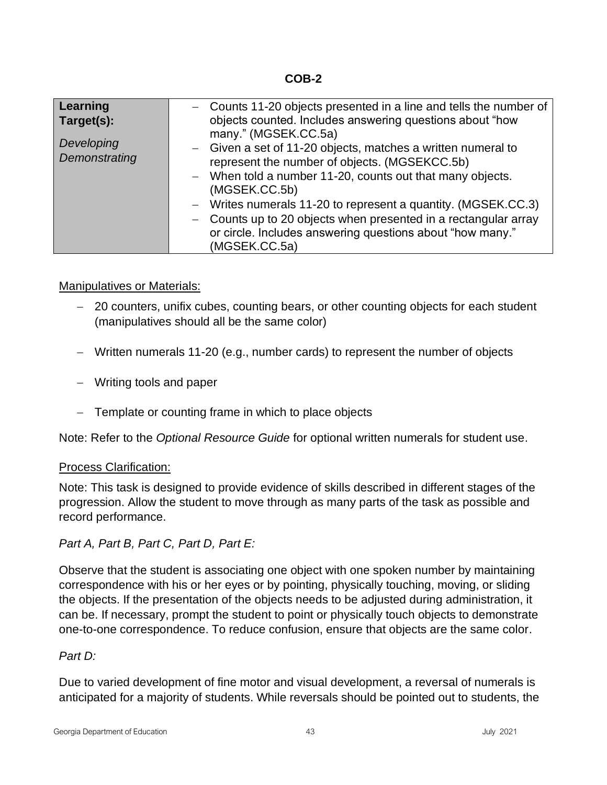**COB-2**

| Learning                 | - Counts 11-20 objects presented in a line and tells the number of                                                                                                         |
|--------------------------|----------------------------------------------------------------------------------------------------------------------------------------------------------------------------|
| Target(s):<br>Developing | objects counted. Includes answering questions about "how<br>many." (MGSEK.CC.5a)                                                                                           |
| Demonstrating            | - Given a set of 11-20 objects, matches a written numeral to<br>represent the number of objects. (MGSEKCC.5b)<br>- When told a number 11-20, counts out that many objects. |
|                          | (MGSEK.CC.5b)                                                                                                                                                              |
|                          | - Writes numerals 11-20 to represent a quantity. (MGSEK.CC.3)<br>- Counts up to 20 objects when presented in a rectangular array                                           |
|                          | or circle. Includes answering questions about "how many."<br>(MGSEK.CC.5a)                                                                                                 |

# Manipulatives or Materials:

- − 20 counters, unifix cubes, counting bears, or other counting objects for each student (manipulatives should all be the same color)
- − Written numerals 11-20 (e.g., number cards) to represent the number of objects
- − Writing tools and paper
- − Template or counting frame in which to place objects

Note: Refer to the *Optional Resource Guide* for optional written numerals for student use.

## Process Clarification:

Note: This task is designed to provide evidence of skills described in different stages of the progression. Allow the student to move through as many parts of the task as possible and record performance.

*Part A, Part B, Part C, Part D, Part E:*

Observe that the student is associating one object with one spoken number by maintaining correspondence with his or her eyes or by pointing, physically touching, moving, or sliding the objects. If the presentation of the objects needs to be adjusted during administration, it can be. If necessary, prompt the student to point or physically touch objects to demonstrate one-to-one correspondence. To reduce confusion, ensure that objects are the same color.

## *Part D:*

Due to varied development of fine motor and visual development, a reversal of numerals is anticipated for a majority of students. While reversals should be pointed out to students, the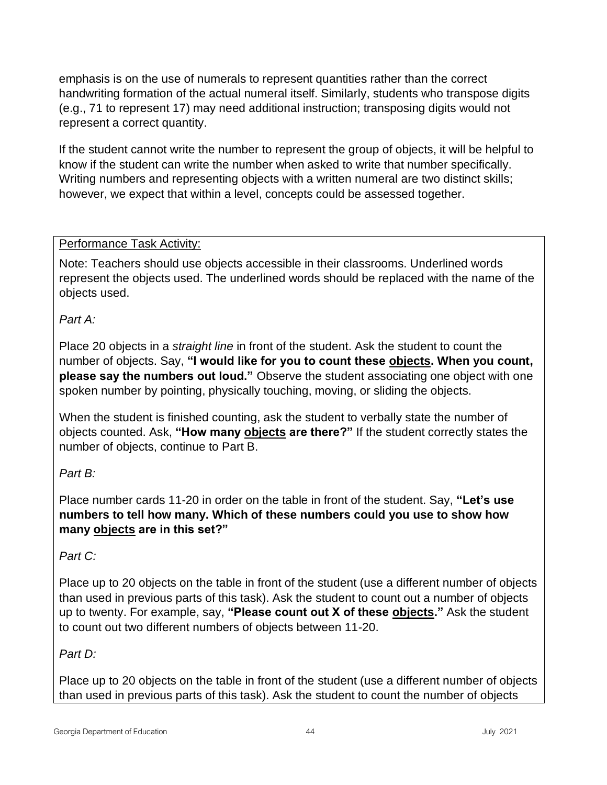emphasis is on the use of numerals to represent quantities rather than the correct handwriting formation of the actual numeral itself. Similarly, students who transpose digits (e.g., 71 to represent 17) may need additional instruction; transposing digits would not represent a correct quantity.

If the student cannot write the number to represent the group of objects, it will be helpful to know if the student can write the number when asked to write that number specifically. Writing numbers and representing objects with a written numeral are two distinct skills; however, we expect that within a level, concepts could be assessed together.

# Performance Task Activity:

Note: Teachers should use objects accessible in their classrooms. Underlined words represent the objects used. The underlined words should be replaced with the name of the objects used.

*Part A:*

Place 20 objects in a *straight line* in front of the student. Ask the student to count the number of objects. Say, **"I would like for you to count these objects. When you count, please say the numbers out loud."** Observe the student associating one object with one spoken number by pointing, physically touching, moving, or sliding the objects.

When the student is finished counting, ask the student to verbally state the number of objects counted. Ask, **"How many objects are there?"** If the student correctly states the number of objects, continue to Part B.

# *Part B:*

Place number cards 11-20 in order on the table in front of the student. Say, **"Let's use numbers to tell how many. Which of these numbers could you use to show how many objects are in this set?"**

# *Part C:*

Place up to 20 objects on the table in front of the student (use a different number of objects than used in previous parts of this task). Ask the student to count out a number of objects up to twenty. For example, say, **"Please count out X of these objects."** Ask the student to count out two different numbers of objects between 11-20.

# *Part D:*

Place up to 20 objects on the table in front of the student (use a different number of objects than used in previous parts of this task). Ask the student to count the number of objects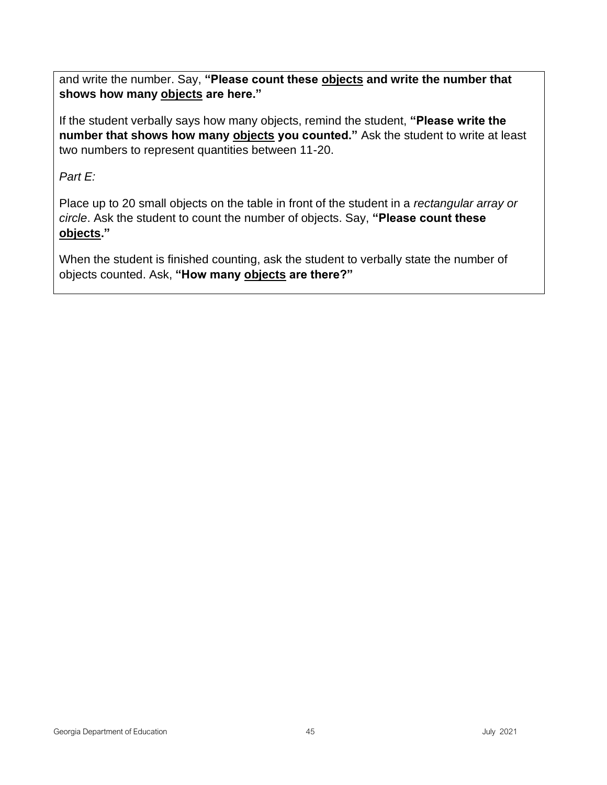and write the number. Say, **"Please count these objects and write the number that shows how many objects are here."**

If the student verbally says how many objects, remind the student, **"Please write the number that shows how many objects you counted."** Ask the student to write at least two numbers to represent quantities between 11-20.

# *Part E:*

Place up to 20 small objects on the table in front of the student in a *rectangular array or circle*. Ask the student to count the number of objects. Say, **"Please count these objects."**

When the student is finished counting, ask the student to verbally state the number of objects counted. Ask, **"How many objects are there?"**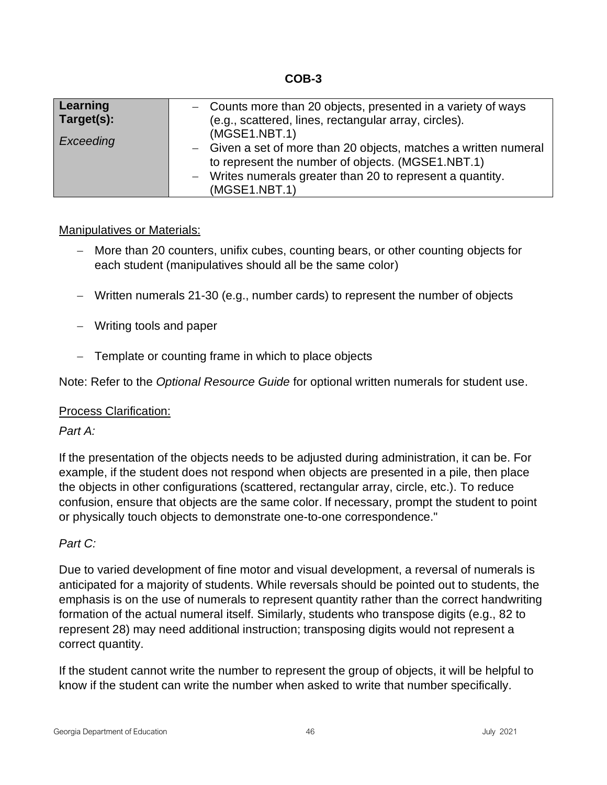**COB-3**

| Learning<br>Target(s):<br>Exceeding | - Counts more than 20 objects, presented in a variety of ways<br>(e.g., scattered, lines, rectangular array, circles).<br>(MGSE1.NBT.1)<br>- Given a set of more than 20 objects, matches a written numeral<br>to represent the number of objects. (MGSE1.NBT.1)<br>- Writes numerals greater than 20 to represent a quantity. |
|-------------------------------------|--------------------------------------------------------------------------------------------------------------------------------------------------------------------------------------------------------------------------------------------------------------------------------------------------------------------------------|
|                                     | (MGSE1.NBT.1)                                                                                                                                                                                                                                                                                                                  |

## Manipulatives or Materials:

- − More than 20 counters, unifix cubes, counting bears, or other counting objects for each student (manipulatives should all be the same color)
- − Written numerals 21-30 (e.g., number cards) to represent the number of objects
- − Writing tools and paper
- − Template or counting frame in which to place objects

Note: Refer to the *Optional Resource Guide* for optional written numerals for student use.

## Process Clarification:

## *Part A:*

If the presentation of the objects needs to be adjusted during administration, it can be. For example, if the student does not respond when objects are presented in a pile, then place the objects in other configurations (scattered, rectangular array, circle, etc.). To reduce confusion, ensure that objects are the same color. If necessary, prompt the student to point or physically touch objects to demonstrate one-to-one correspondence."

## *Part C:*

Due to varied development of fine motor and visual development, a reversal of numerals is anticipated for a majority of students. While reversals should be pointed out to students, the emphasis is on the use of numerals to represent quantity rather than the correct handwriting formation of the actual numeral itself. Similarly, students who transpose digits (e.g., 82 to represent 28) may need additional instruction; transposing digits would not represent a correct quantity.

If the student cannot write the number to represent the group of objects, it will be helpful to know if the student can write the number when asked to write that number specifically.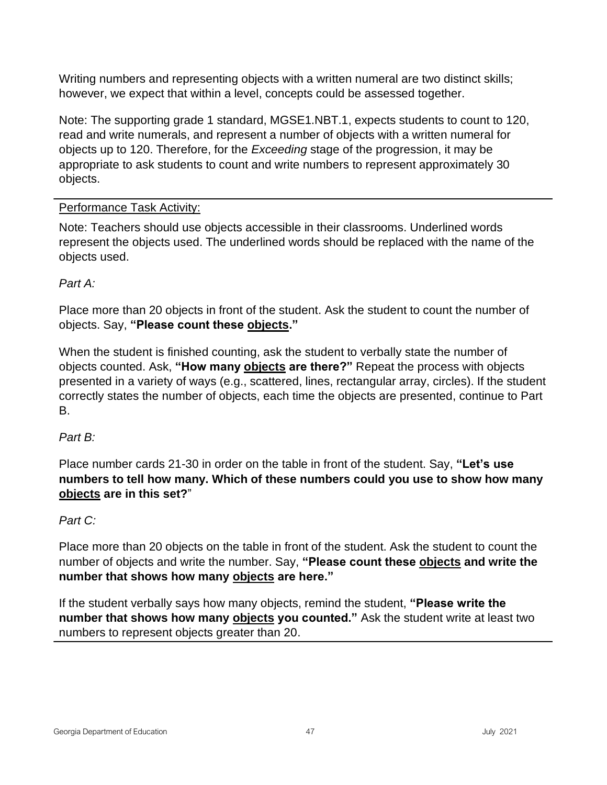Writing numbers and representing objects with a written numeral are two distinct skills; however, we expect that within a level, concepts could be assessed together.

Note: The supporting grade 1 standard, MGSE1.NBT.1, expects students to count to 120, read and write numerals, and represent a number of objects with a written numeral for objects up to 120. Therefore, for the *Exceeding* stage of the progression, it may be appropriate to ask students to count and write numbers to represent approximately 30 objects.

# Performance Task Activity:

Note: Teachers should use objects accessible in their classrooms. Underlined words represent the objects used. The underlined words should be replaced with the name of the objects used.

# *Part A:*

Place more than 20 objects in front of the student. Ask the student to count the number of objects. Say, **"Please count these objects."**

When the student is finished counting, ask the student to verbally state the number of objects counted. Ask, **"How many objects are there?"** Repeat the process with objects presented in a variety of ways (e.g., scattered, lines, rectangular array, circles). If the student correctly states the number of objects, each time the objects are presented, continue to Part B.

# *Part B:*

Place number cards 21-30 in order on the table in front of the student. Say, **"Let's use numbers to tell how many. Which of these numbers could you use to show how many objects are in this set?**"

# *Part C:*

Place more than 20 objects on the table in front of the student. Ask the student to count the number of objects and write the number. Say, **"Please count these objects and write the number that shows how many objects are here."**

If the student verbally says how many objects, remind the student, **"Please write the number that shows how many objects you counted."** Ask the student write at least two numbers to represent objects greater than 20.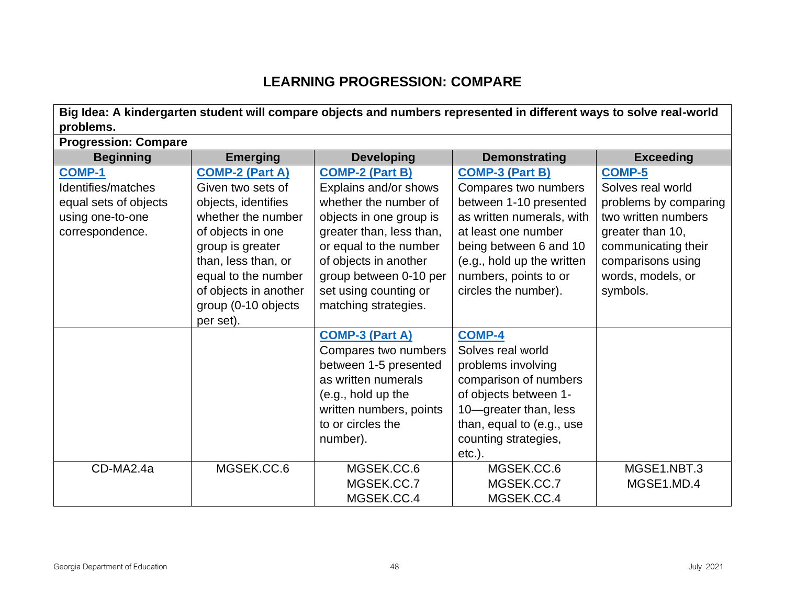# **LEARNING PROGRESSION: COMPARE**

**Big Idea: A kindergarten student will compare objects and numbers represented in different ways to solve real-world problems.**

| <b>Progression: Compare</b> |                        |                          |                            |                       |
|-----------------------------|------------------------|--------------------------|----------------------------|-----------------------|
| <b>Beginning</b>            | <b>Emerging</b>        | <b>Developing</b>        | <b>Demonstrating</b>       | <b>Exceeding</b>      |
| <b>COMP-1</b>               | <b>COMP-2 (Part A)</b> | <b>COMP-2 (Part B)</b>   | <b>COMP-3 (Part B)</b>     | <b>COMP-5</b>         |
| Identifies/matches          | Given two sets of      | Explains and/or shows    | Compares two numbers       | Solves real world     |
| equal sets of objects       | objects, identifies    | whether the number of    | between 1-10 presented     | problems by comparing |
| using one-to-one            | whether the number     | objects in one group is  | as written numerals, with  | two written numbers   |
| correspondence.             | of objects in one      | greater than, less than, | at least one number        | greater than 10,      |
|                             | group is greater       | or equal to the number   | being between 6 and 10     | communicating their   |
|                             | than, less than, or    | of objects in another    | (e.g., hold up the written | comparisons using     |
|                             | equal to the number    | group between 0-10 per   | numbers, points to or      | words, models, or     |
|                             | of objects in another  | set using counting or    | circles the number).       | symbols.              |
|                             | group (0-10 objects    | matching strategies.     |                            |                       |
|                             | per set).              |                          |                            |                       |
|                             |                        | <b>COMP-3 (Part A)</b>   | <b>COMP-4</b>              |                       |
|                             |                        | Compares two numbers     | Solves real world          |                       |
|                             |                        | between 1-5 presented    | problems involving         |                       |
|                             |                        | as written numerals      | comparison of numbers      |                       |
|                             |                        | (e.g., hold up the       | of objects between 1-      |                       |
|                             |                        | written numbers, points  | 10-greater than, less      |                       |
|                             |                        | to or circles the        | than, equal to (e.g., use  |                       |
|                             |                        | number).                 | counting strategies,       |                       |
|                             |                        |                          | $etc.$ ).                  |                       |
| CD-MA2.4a                   | MGSEK.CC.6             | MGSEK.CC.6               | MGSEK.CC.6                 | MGSE1.NBT.3           |
|                             |                        | MGSEK.CC.7               | MGSEK.CC.7                 | MGSE1.MD.4            |
|                             |                        | MGSEK.CC.4               | MGSEK.CC.4                 |                       |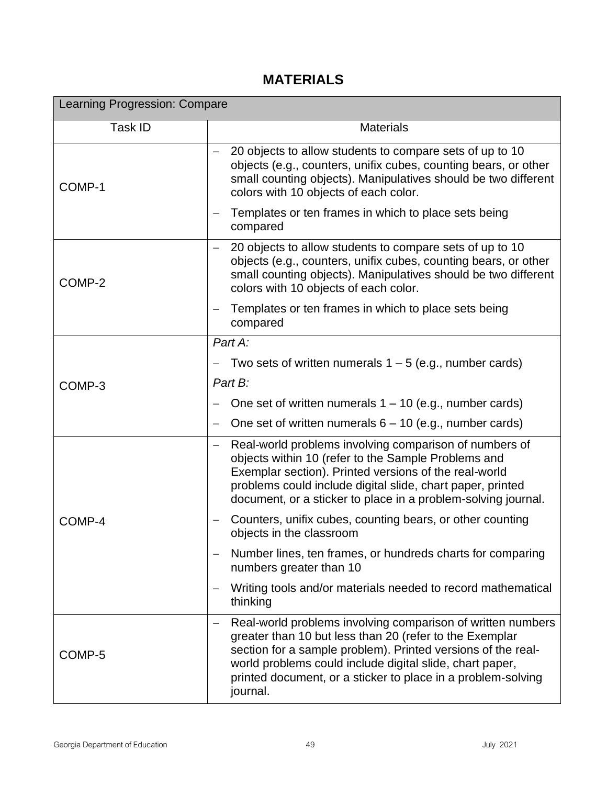# **MATERIALS**

| Learning Progression: Compare |                                                                                                                                                                                                                                                                                                                                                            |  |
|-------------------------------|------------------------------------------------------------------------------------------------------------------------------------------------------------------------------------------------------------------------------------------------------------------------------------------------------------------------------------------------------------|--|
| Task ID                       | <b>Materials</b>                                                                                                                                                                                                                                                                                                                                           |  |
| COMP-1                        | 20 objects to allow students to compare sets of up to 10<br>objects (e.g., counters, unifix cubes, counting bears, or other<br>small counting objects). Manipulatives should be two different<br>colors with 10 objects of each color.                                                                                                                     |  |
|                               | Templates or ten frames in which to place sets being<br>compared                                                                                                                                                                                                                                                                                           |  |
| COMP-2                        | 20 objects to allow students to compare sets of up to 10<br>objects (e.g., counters, unifix cubes, counting bears, or other<br>small counting objects). Manipulatives should be two different<br>colors with 10 objects of each color.                                                                                                                     |  |
|                               | Templates or ten frames in which to place sets being<br>compared                                                                                                                                                                                                                                                                                           |  |
|                               | Part A:                                                                                                                                                                                                                                                                                                                                                    |  |
|                               | Two sets of written numerals $1 - 5$ (e.g., number cards)                                                                                                                                                                                                                                                                                                  |  |
| COMP-3                        | Part B:                                                                                                                                                                                                                                                                                                                                                    |  |
|                               | One set of written numerals $1 - 10$ (e.g., number cards)                                                                                                                                                                                                                                                                                                  |  |
|                               | One set of written numerals $6 - 10$ (e.g., number cards)<br>$\overline{\phantom{m}}$                                                                                                                                                                                                                                                                      |  |
|                               | Real-world problems involving comparison of numbers of<br>$\overline{\phantom{m}}$<br>objects within 10 (refer to the Sample Problems and<br>Exemplar section). Printed versions of the real-world<br>problems could include digital slide, chart paper, printed<br>document, or a sticker to place in a problem-solving journal.                          |  |
| COMP-4                        | Counters, unifix cubes, counting bears, or other counting<br>objects in the classroom                                                                                                                                                                                                                                                                      |  |
|                               | Number lines, ten frames, or hundreds charts for comparing<br>numbers greater than 10                                                                                                                                                                                                                                                                      |  |
|                               | Writing tools and/or materials needed to record mathematical<br>thinking                                                                                                                                                                                                                                                                                   |  |
| COMP-5                        | Real-world problems involving comparison of written numbers<br>$\overline{\phantom{m}}$<br>greater than 10 but less than 20 (refer to the Exemplar<br>section for a sample problem). Printed versions of the real-<br>world problems could include digital slide, chart paper,<br>printed document, or a sticker to place in a problem-solving<br>journal. |  |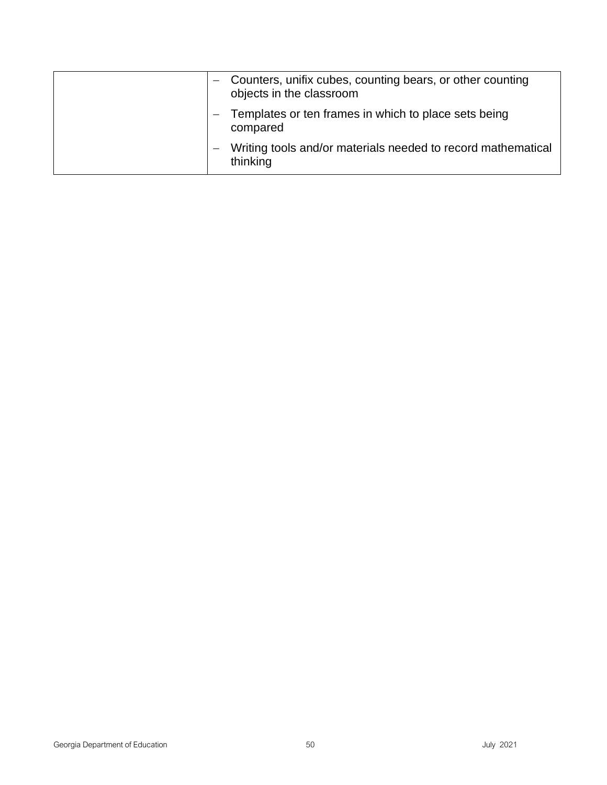|  | Counters, unifix cubes, counting bears, or other counting<br>objects in the classroom |
|--|---------------------------------------------------------------------------------------|
|  | Templates or ten frames in which to place sets being<br>compared                      |
|  | Writing tools and/or materials needed to record mathematical<br>thinking              |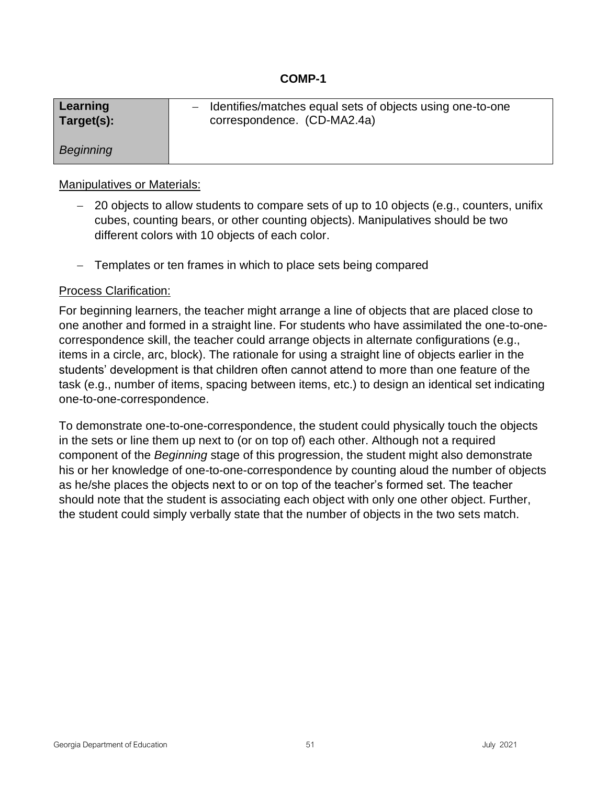| Learning         | - Identifies/matches equal sets of objects using one-to-one |
|------------------|-------------------------------------------------------------|
| Target(s):       | correspondence. (CD-MA2.4a)                                 |
| <b>Beginning</b> |                                                             |

# Manipulatives or Materials:

- − 20 objects to allow students to compare sets of up to 10 objects (e.g., counters, unifix cubes, counting bears, or other counting objects). Manipulatives should be two different colors with 10 objects of each color.
- − Templates or ten frames in which to place sets being compared

# Process Clarification:

For beginning learners, the teacher might arrange a line of objects that are placed close to one another and formed in a straight line. For students who have assimilated the one-to-onecorrespondence skill, the teacher could arrange objects in alternate configurations (e.g., items in a circle, arc, block). The rationale for using a straight line of objects earlier in the students' development is that children often cannot attend to more than one feature of the task (e.g., number of items, spacing between items, etc.) to design an identical set indicating one-to-one-correspondence.

To demonstrate one-to-one-correspondence, the student could physically touch the objects in the sets or line them up next to (or on top of) each other. Although not a required component of the *Beginning* stage of this progression, the student might also demonstrate his or her knowledge of one-to-one-correspondence by counting aloud the number of objects as he/she places the objects next to or on top of the teacher's formed set. The teacher should note that the student is associating each object with only one other object. Further, the student could simply verbally state that the number of objects in the two sets match.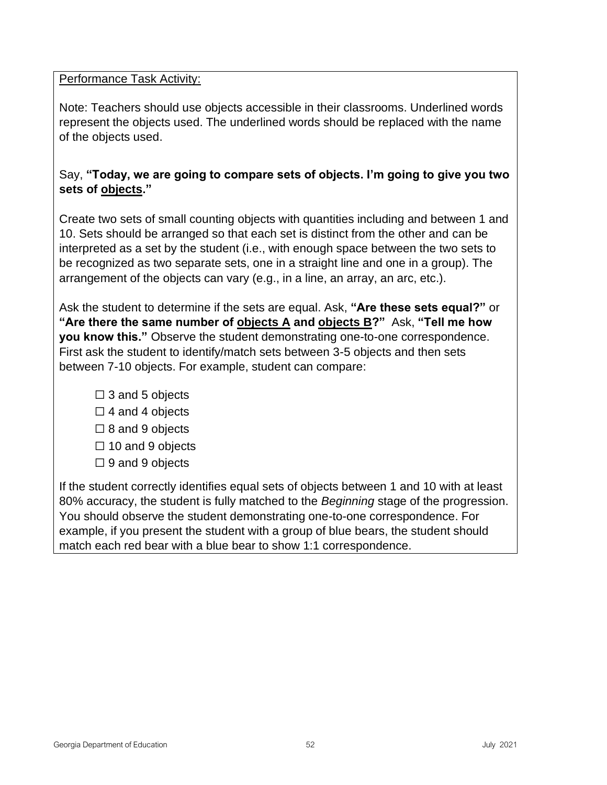## Performance Task Activity:

Note: Teachers should use objects accessible in their classrooms. Underlined words represent the objects used. The underlined words should be replaced with the name of the objects used.

# Say, **"Today, we are going to compare sets of objects. I'm going to give you two sets of objects."**

Create two sets of small counting objects with quantities including and between 1 and 10. Sets should be arranged so that each set is distinct from the other and can be interpreted as a set by the student (i.e., with enough space between the two sets to be recognized as two separate sets, one in a straight line and one in a group). The arrangement of the objects can vary (e.g., in a line, an array, an arc, etc.).

Ask the student to determine if the sets are equal. Ask, **"Are these sets equal?"** or **"Are there the same number of objects A and objects B?"** Ask, **"Tell me how you know this."** Observe the student demonstrating one-to-one correspondence. First ask the student to identify/match sets between 3-5 objects and then sets between 7-10 objects. For example, student can compare:

- $\Box$  3 and 5 objects
- $\Box$  4 and 4 objects
- $\Box$  8 and 9 objects
- ☐ 10 and 9 objects
- $\Box$  9 and 9 objects

If the student correctly identifies equal sets of objects between 1 and 10 with at least 80% accuracy, the student is fully matched to the *Beginning* stage of the progression. You should observe the student demonstrating one-to-one correspondence. For example, if you present the student with a group of blue bears, the student should match each red bear with a blue bear to show 1:1 correspondence.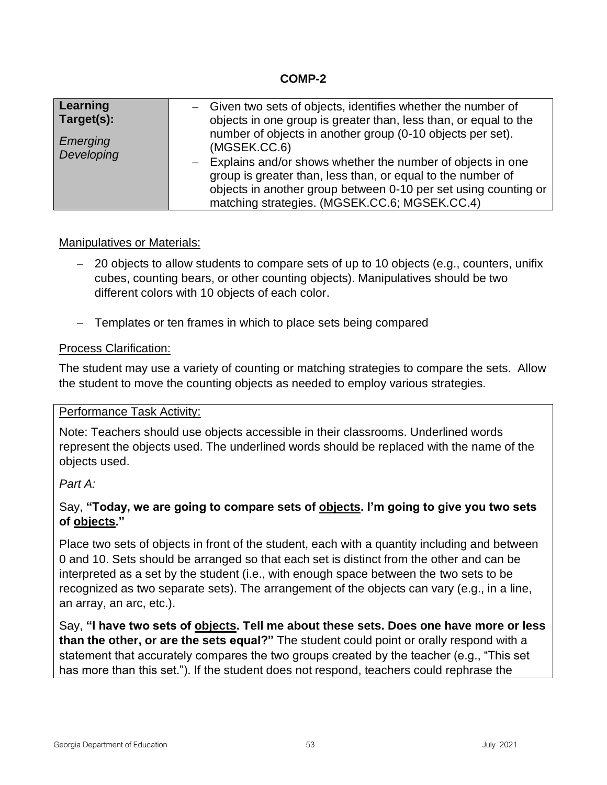## **COMP-2**

| Learning<br>Target(s): | - Given two sets of objects, identifies whether the number of<br>objects in one group is greater than, less than, or equal to the<br>number of objects in another group (0-10 objects per set).                                                                 |
|------------------------|-----------------------------------------------------------------------------------------------------------------------------------------------------------------------------------------------------------------------------------------------------------------|
| Emerging<br>Developing | (MGSEK.CC.6)<br>- Explains and/or shows whether the number of objects in one<br>group is greater than, less than, or equal to the number of<br>objects in another group between 0-10 per set using counting or<br>matching strategies. (MGSEK.CC.6; MGSEK.CC.4) |

# Manipulatives or Materials:

- − 20 objects to allow students to compare sets of up to 10 objects (e.g., counters, unifix cubes, counting bears, or other counting objects). Manipulatives should be two different colors with 10 objects of each color.
- − Templates or ten frames in which to place sets being compared

## Process Clarification:

The student may use a variety of counting or matching strategies to compare the sets. Allow the student to move the counting objects as needed to employ various strategies.

## Performance Task Activity:

Note: Teachers should use objects accessible in their classrooms. Underlined words represent the objects used. The underlined words should be replaced with the name of the objects used.

## *Part A:*

# Say, **"Today, we are going to compare sets of objects. I'm going to give you two sets of objects."**

Place two sets of objects in front of the student, each with a quantity including and between 0 and 10. Sets should be arranged so that each set is distinct from the other and can be interpreted as a set by the student (i.e., with enough space between the two sets to be recognized as two separate sets). The arrangement of the objects can vary (e.g., in a line, an array, an arc, etc.).

Say, **"I have two sets of objects. Tell me about these sets. Does one have more or less than the other, or are the sets equal?"** The student could point or orally respond with a statement that accurately compares the two groups created by the teacher (e.g., "This set has more than this set."). If the student does not respond, teachers could rephrase the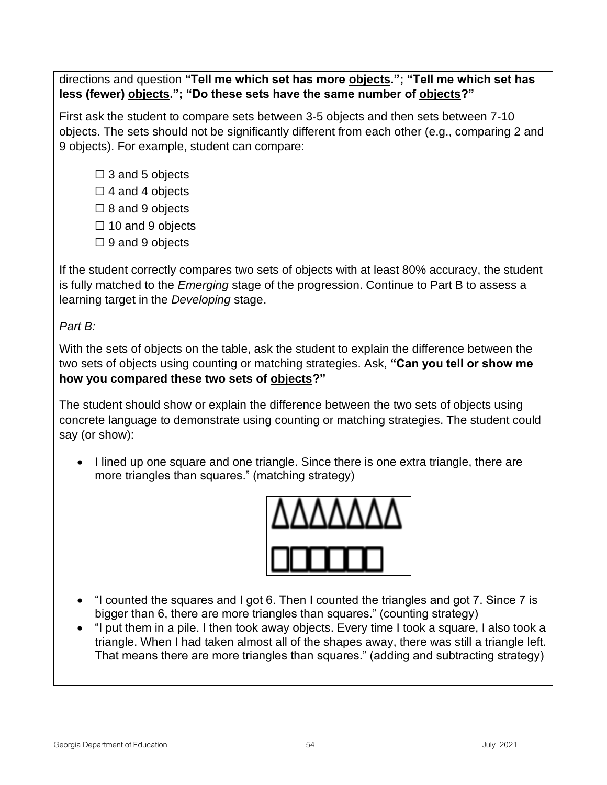directions and question **"Tell me which set has more objects."; "Tell me which set has less (fewer) objects."; "Do these sets have the same number of objects?"**

First ask the student to compare sets between 3-5 objects and then sets between 7-10 objects. The sets should not be significantly different from each other (e.g., comparing 2 and 9 objects). For example, student can compare:

- $\square$  3 and 5 objects
- $\Box$  4 and 4 objects
- $\Box$  8 and 9 objects
- $\Box$  10 and 9 objects
- $\Box$  9 and 9 objects

If the student correctly compares two sets of objects with at least 80% accuracy, the student is fully matched to the *Emerging* stage of the progression. Continue to Part B to assess a learning target in the *Developing* stage.

*Part B:*

With the sets of objects on the table, ask the student to explain the difference between the two sets of objects using counting or matching strategies. Ask, **"Can you tell or show me how you compared these two sets of objects?"**

The student should show or explain the difference between the two sets of objects using concrete language to demonstrate using counting or matching strategies. The student could say (or show):

• I lined up one square and one triangle. Since there is one extra triangle, there are more triangles than squares." (matching strategy)



- "I counted the squares and I got 6. Then I counted the triangles and got 7. Since 7 is bigger than 6, there are more triangles than squares." (counting strategy)
- "I put them in a pile. I then took away objects. Every time I took a square, I also took a triangle. When I had taken almost all of the shapes away, there was still a triangle left. That means there are more triangles than squares." (adding and subtracting strategy)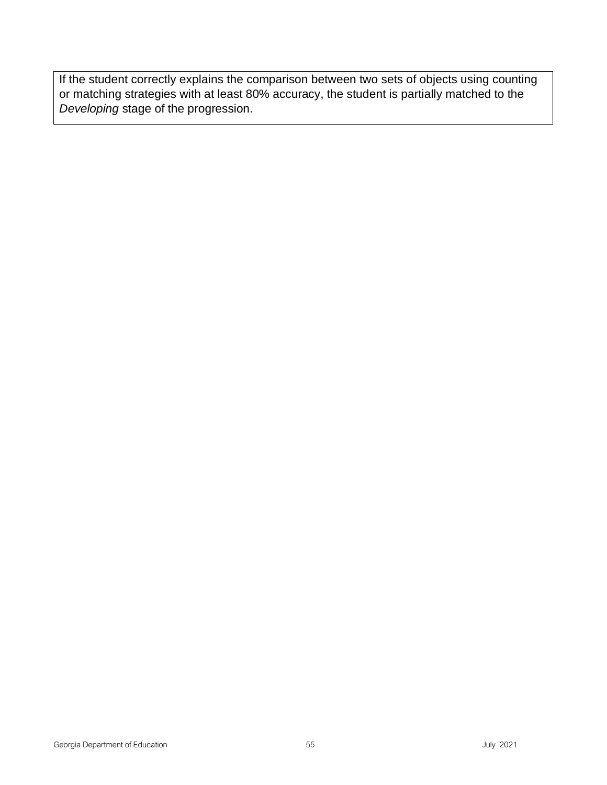If the student correctly explains the comparison between two sets of objects using counting or matching strategies with at least 80% accuracy, the student is partially matched to the *Developing* stage of the progression.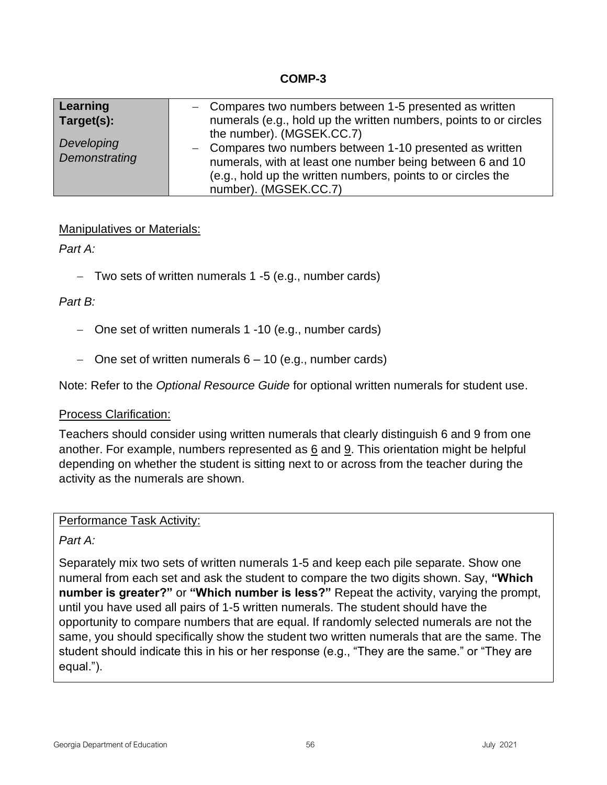## **COMP-3**

| Learning      | - Compares two numbers between 1-5 presented as written           |
|---------------|-------------------------------------------------------------------|
| Target(s):    | numerals (e.g., hold up the written numbers, points to or circles |
|               | the number). (MGSEK.CC.7)                                         |
| Developing    | - Compares two numbers between 1-10 presented as written          |
| Demonstrating | numerals, with at least one number being between 6 and 10         |
|               | (e.g., hold up the written numbers, points to or circles the      |
|               | number). (MGSEK.CC.7)                                             |

# Manipulatives or Materials:

*Part A:*

− Two sets of written numerals 1 -5 (e.g., number cards)

# *Part B:*

- − One set of written numerals 1 -10 (e.g., number cards)
- − One set of written numerals 6 10 (e.g., number cards)

Note: Refer to the *Optional Resource Guide* for optional written numerals for student use.

## Process Clarification:

Teachers should consider using written numerals that clearly distinguish 6 and 9 from one another. For example, numbers represented as  $6$  and  $9$ . This orientation might be helpful depending on whether the student is sitting next to or across from the teacher during the activity as the numerals are shown.

Performance Task Activity:

*Part A:*

Separately mix two sets of written numerals 1-5 and keep each pile separate. Show one numeral from each set and ask the student to compare the two digits shown. Say, **"Which number is greater?"** or **"Which number is less?"** Repeat the activity, varying the prompt, until you have used all pairs of 1-5 written numerals. The student should have the opportunity to compare numbers that are equal. If randomly selected numerals are not the same, you should specifically show the student two written numerals that are the same. The student should indicate this in his or her response (e.g., "They are the same." or "They are equal.").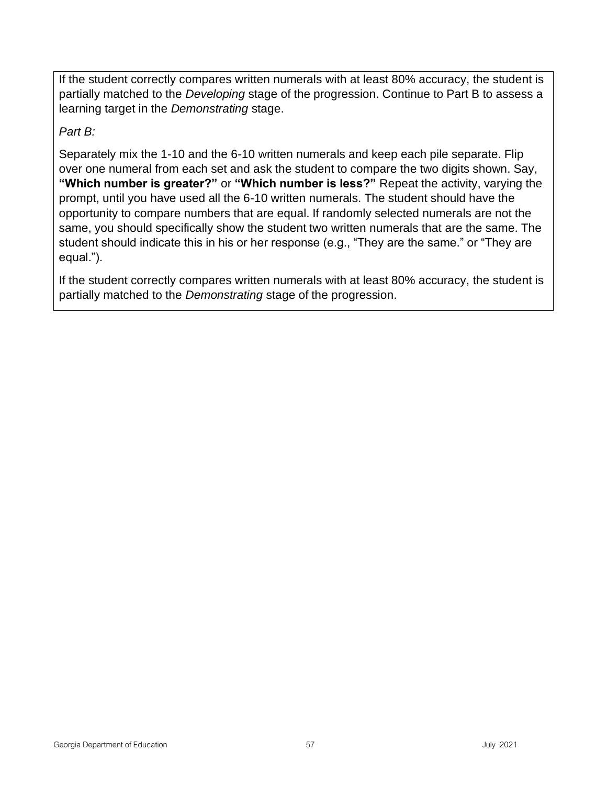If the student correctly compares written numerals with at least 80% accuracy, the student is partially matched to the *Developing* stage of the progression. Continue to Part B to assess a learning target in the *Demonstrating* stage.

*Part B:*

Separately mix the 1-10 and the 6-10 written numerals and keep each pile separate. Flip over one numeral from each set and ask the student to compare the two digits shown. Say, **"Which number is greater?"** or **"Which number is less?"** Repeat the activity, varying the prompt, until you have used all the 6-10 written numerals. The student should have the opportunity to compare numbers that are equal. If randomly selected numerals are not the same, you should specifically show the student two written numerals that are the same. The student should indicate this in his or her response (e.g., "They are the same." or "They are equal.").

If the student correctly compares written numerals with at least 80% accuracy, the student is partially matched to the *Demonstrating* stage of the progression.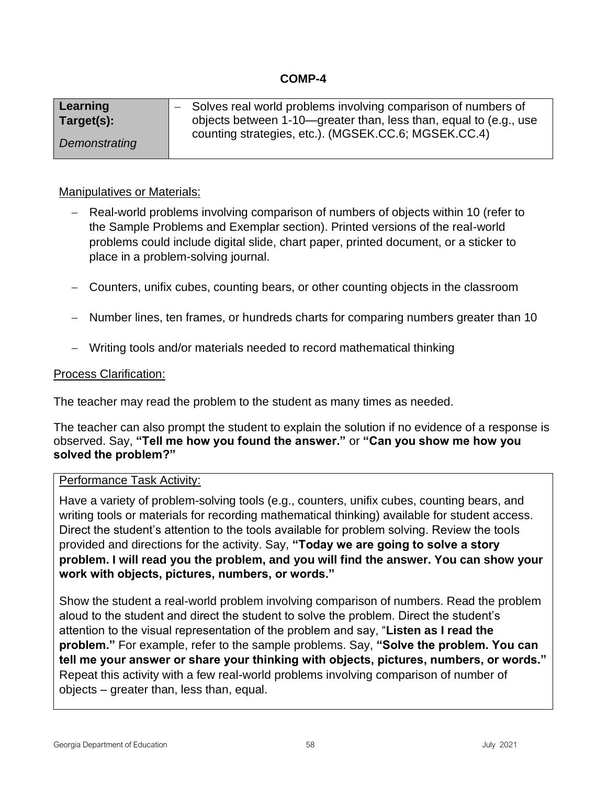## **COMP-4**

| Learning      | - Solves real world problems involving comparison of numbers of   |
|---------------|-------------------------------------------------------------------|
| Target(s):    | objects between 1-10—greater than, less than, equal to (e.g., use |
| Demonstrating | counting strategies, etc.). (MGSEK.CC.6; MGSEK.CC.4)              |

## Manipulatives or Materials:

- − Real-world problems involving comparison of numbers of objects within 10 (refer to the Sample Problems and Exemplar section). Printed versions of the real-world problems could include digital slide, chart paper, printed document, or a sticker to place in a problem-solving journal.
- − Counters, unifix cubes, counting bears, or other counting objects in the classroom
- − Number lines, ten frames, or hundreds charts for comparing numbers greater than 10
- − Writing tools and/or materials needed to record mathematical thinking

#### Process Clarification:

The teacher may read the problem to the student as many times as needed.

The teacher can also prompt the student to explain the solution if no evidence of a response is observed. Say, **"Tell me how you found the answer."** or **"Can you show me how you solved the problem?"**

## Performance Task Activity:

Have a variety of problem-solving tools (e.g., counters, unifix cubes, counting bears, and writing tools or materials for recording mathematical thinking) available for student access. Direct the student's attention to the tools available for problem solving. Review the tools provided and directions for the activity. Say, **"Today we are going to solve a story problem. I will read you the problem, and you will find the answer. You can show your work with objects, pictures, numbers, or words."** 

Show the student a real-world problem involving comparison of numbers. Read the problem aloud to the student and direct the student to solve the problem. Direct the student's attention to the visual representation of the problem and say, "**Listen as I read the problem."** For example, refer to the sample problems. Say, **"Solve the problem. You can tell me your answer or share your thinking with objects, pictures, numbers, or words."** Repeat this activity with a few real-world problems involving comparison of number of objects – greater than, less than, equal.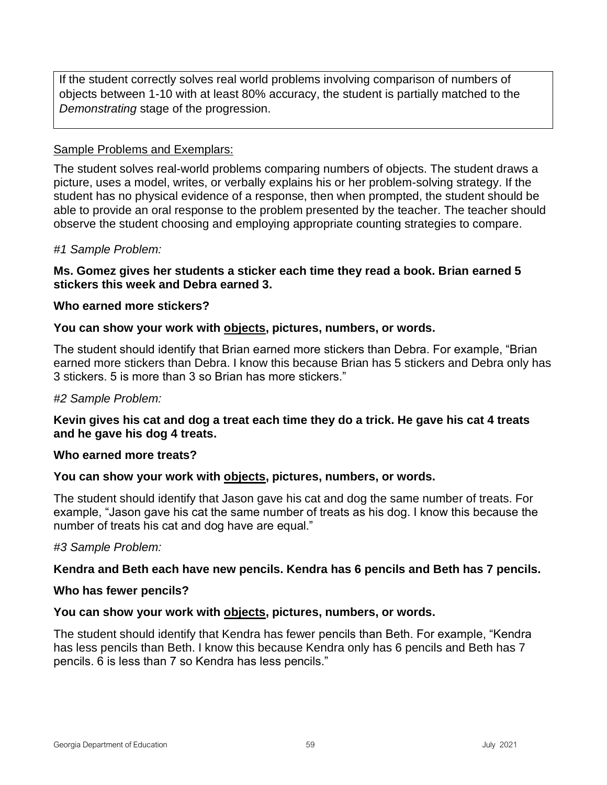If the student correctly solves real world problems involving comparison of numbers of objects between 1-10 with at least 80% accuracy, the student is partially matched to the *Demonstrating* stage of the progression.

## Sample Problems and Exemplars:

The student solves real-world problems comparing numbers of objects. The student draws a picture, uses a model, writes, or verbally explains his or her problem-solving strategy. If the student has no physical evidence of a response, then when prompted, the student should be able to provide an oral response to the problem presented by the teacher. The teacher should observe the student choosing and employing appropriate counting strategies to compare.

#### *#1 Sample Problem:*

#### **Ms. Gomez gives her students a sticker each time they read a book. Brian earned 5 stickers this week and Debra earned 3.**

#### **Who earned more stickers?**

#### **You can show your work with objects, pictures, numbers, or words.**

The student should identify that Brian earned more stickers than Debra. For example, "Brian earned more stickers than Debra. I know this because Brian has 5 stickers and Debra only has 3 stickers. 5 is more than 3 so Brian has more stickers."

#### *#2 Sample Problem:*

## **Kevin gives his cat and dog a treat each time they do a trick. He gave his cat 4 treats and he gave his dog 4 treats.**

#### **Who earned more treats?**

#### **You can show your work with objects, pictures, numbers, or words.**

The student should identify that Jason gave his cat and dog the same number of treats. For example, "Jason gave his cat the same number of treats as his dog. I know this because the number of treats his cat and dog have are equal."

#### *#3 Sample Problem:*

## **Kendra and Beth each have new pencils. Kendra has 6 pencils and Beth has 7 pencils.**

#### **Who has fewer pencils?**

#### **You can show your work with objects, pictures, numbers, or words.**

The student should identify that Kendra has fewer pencils than Beth. For example, "Kendra has less pencils than Beth. I know this because Kendra only has 6 pencils and Beth has 7 pencils. 6 is less than 7 so Kendra has less pencils."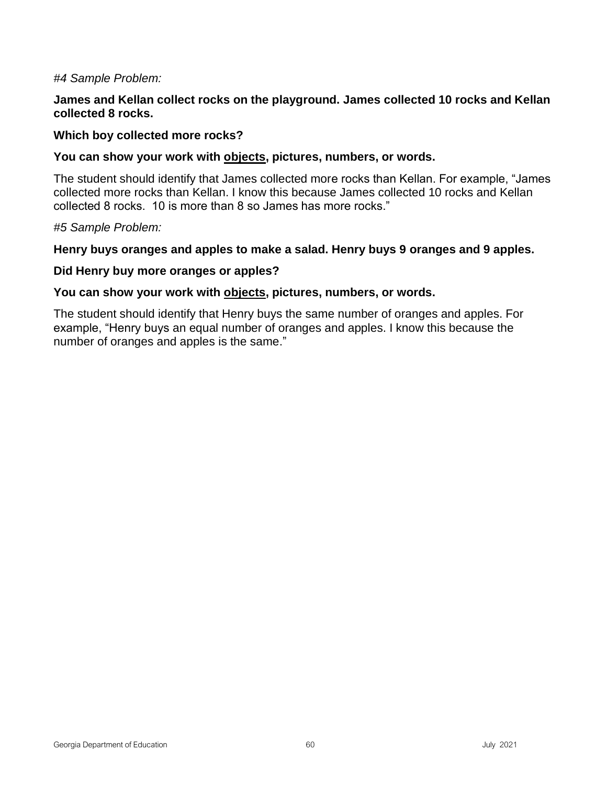#### *#4 Sample Problem:*

#### **James and Kellan collect rocks on the playground. James collected 10 rocks and Kellan collected 8 rocks.**

#### **Which boy collected more rocks?**

#### **You can show your work with objects, pictures, numbers, or words.**

The student should identify that James collected more rocks than Kellan. For example, "James collected more rocks than Kellan. I know this because James collected 10 rocks and Kellan collected 8 rocks. 10 is more than 8 so James has more rocks."

#### *#5 Sample Problem:*

#### **Henry buys oranges and apples to make a salad. Henry buys 9 oranges and 9 apples.**

#### **Did Henry buy more oranges or apples?**

#### **You can show your work with objects, pictures, numbers, or words.**

The student should identify that Henry buys the same number of oranges and apples. For example, "Henry buys an equal number of oranges and apples. I know this because the number of oranges and apples is the same."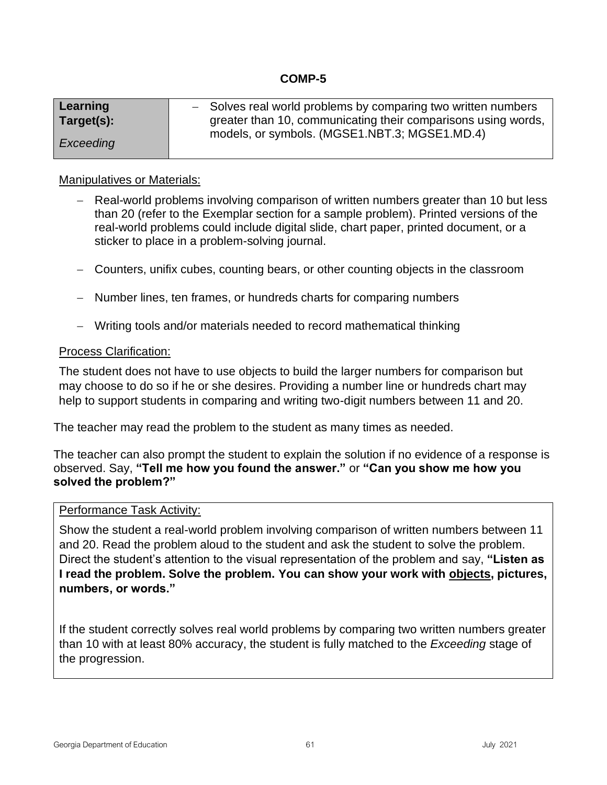# **COMP-5**

| Learning   |                                               | - Solves real world problems by comparing two written numbers |
|------------|-----------------------------------------------|---------------------------------------------------------------|
| Target(s): |                                               | greater than 10, communicating their comparisons using words, |
|            | models, or symbols. (MGSE1.NBT.3; MGSE1.MD.4) |                                                               |
| Exceeding  |                                               |                                                               |

#### Manipulatives or Materials:

- − Real-world problems involving comparison of written numbers greater than 10 but less than 20 (refer to the Exemplar section for a sample problem). Printed versions of the real-world problems could include digital slide, chart paper, printed document, or a sticker to place in a problem-solving journal.
- − Counters, unifix cubes, counting bears, or other counting objects in the classroom
- − Number lines, ten frames, or hundreds charts for comparing numbers
- − Writing tools and/or materials needed to record mathematical thinking

#### Process Clarification:

The student does not have to use objects to build the larger numbers for comparison but may choose to do so if he or she desires. Providing a number line or hundreds chart may help to support students in comparing and writing two-digit numbers between 11 and 20.

The teacher may read the problem to the student as many times as needed.

The teacher can also prompt the student to explain the solution if no evidence of a response is observed. Say, **"Tell me how you found the answer."** or **"Can you show me how you solved the problem?"**

#### Performance Task Activity:

Show the student a real-world problem involving comparison of written numbers between 11 and 20. Read the problem aloud to the student and ask the student to solve the problem. Direct the student's attention to the visual representation of the problem and say, **"Listen as I read the problem. Solve the problem. You can show your work with objects, pictures, numbers, or words."** 

If the student correctly solves real world problems by comparing two written numbers greater than 10 with at least 80% accuracy, the student is fully matched to the *Exceeding* stage of the progression.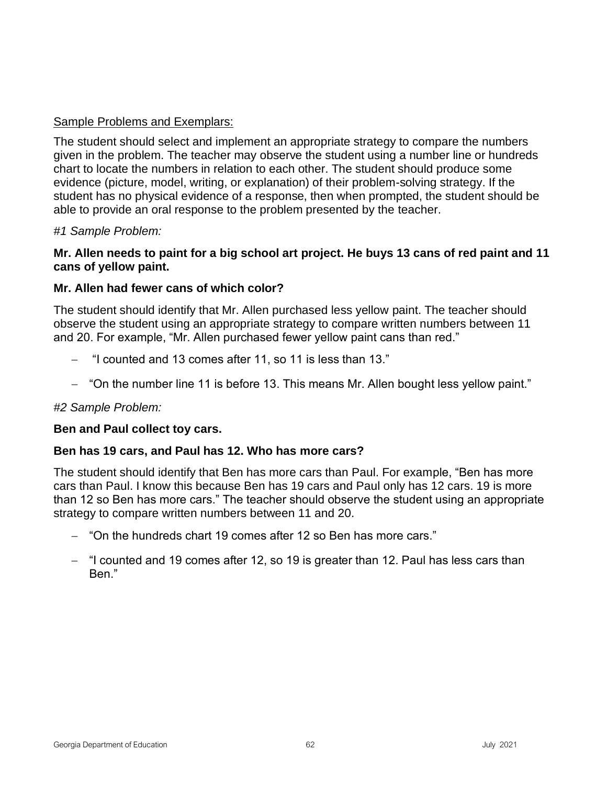# Sample Problems and Exemplars:

The student should select and implement an appropriate strategy to compare the numbers given in the problem. The teacher may observe the student using a number line or hundreds chart to locate the numbers in relation to each other. The student should produce some evidence (picture, model, writing, or explanation) of their problem-solving strategy. If the student has no physical evidence of a response, then when prompted, the student should be able to provide an oral response to the problem presented by the teacher.

#### *#1 Sample Problem:*

## **Mr. Allen needs to paint for a big school art project. He buys 13 cans of red paint and 11 cans of yellow paint.**

#### **Mr. Allen had fewer cans of which color?**

The student should identify that Mr. Allen purchased less yellow paint. The teacher should observe the student using an appropriate strategy to compare written numbers between 11 and 20. For example, "Mr. Allen purchased fewer yellow paint cans than red."

- − "I counted and 13 comes after 11, so 11 is less than 13."
- − "On the number line 11 is before 13. This means Mr. Allen bought less yellow paint."

#### *#2 Sample Problem:*

#### **Ben and Paul collect toy cars.**

#### **Ben has 19 cars, and Paul has 12. Who has more cars?**

The student should identify that Ben has more cars than Paul. For example, "Ben has more cars than Paul. I know this because Ben has 19 cars and Paul only has 12 cars. 19 is more than 12 so Ben has more cars." The teacher should observe the student using an appropriate strategy to compare written numbers between 11 and 20.

- − "On the hundreds chart 19 comes after 12 so Ben has more cars."
- − "I counted and 19 comes after 12, so 19 is greater than 12. Paul has less cars than Ben."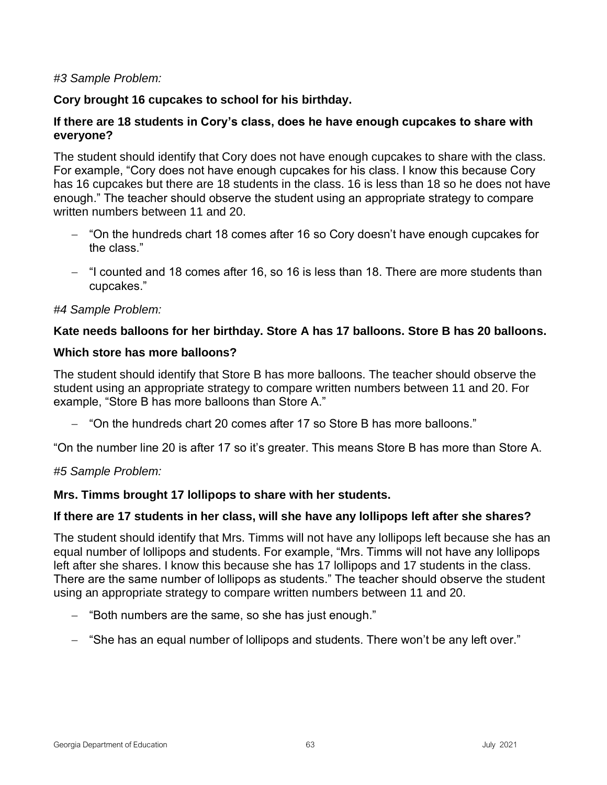## *#3 Sample Problem:*

# **Cory brought 16 cupcakes to school for his birthday.**

## **If there are 18 students in Cory's class, does he have enough cupcakes to share with everyone?**

The student should identify that Cory does not have enough cupcakes to share with the class. For example, "Cory does not have enough cupcakes for his class. I know this because Cory has 16 cupcakes but there are 18 students in the class. 16 is less than 18 so he does not have enough." The teacher should observe the student using an appropriate strategy to compare written numbers between 11 and 20.

- − "On the hundreds chart 18 comes after 16 so Cory doesn't have enough cupcakes for the class."
- − "I counted and 18 comes after 16, so 16 is less than 18. There are more students than cupcakes."

#### *#4 Sample Problem:*

## **Kate needs balloons for her birthday. Store A has 17 balloons. Store B has 20 balloons.**

#### **Which store has more balloons?**

The student should identify that Store B has more balloons. The teacher should observe the student using an appropriate strategy to compare written numbers between 11 and 20. For example, "Store B has more balloons than Store A."

− "On the hundreds chart 20 comes after 17 so Store B has more balloons."

"On the number line 20 is after 17 so it's greater. This means Store B has more than Store A.

## *#5 Sample Problem:*

## **Mrs. Timms brought 17 lollipops to share with her students.**

## **If there are 17 students in her class, will she have any lollipops left after she shares?**

The student should identify that Mrs. Timms will not have any lollipops left because she has an equal number of lollipops and students. For example, "Mrs. Timms will not have any lollipops left after she shares. I know this because she has 17 lollipops and 17 students in the class. There are the same number of lollipops as students." The teacher should observe the student using an appropriate strategy to compare written numbers between 11 and 20.

- − "Both numbers are the same, so she has just enough."
- − "She has an equal number of lollipops and students. There won't be any left over."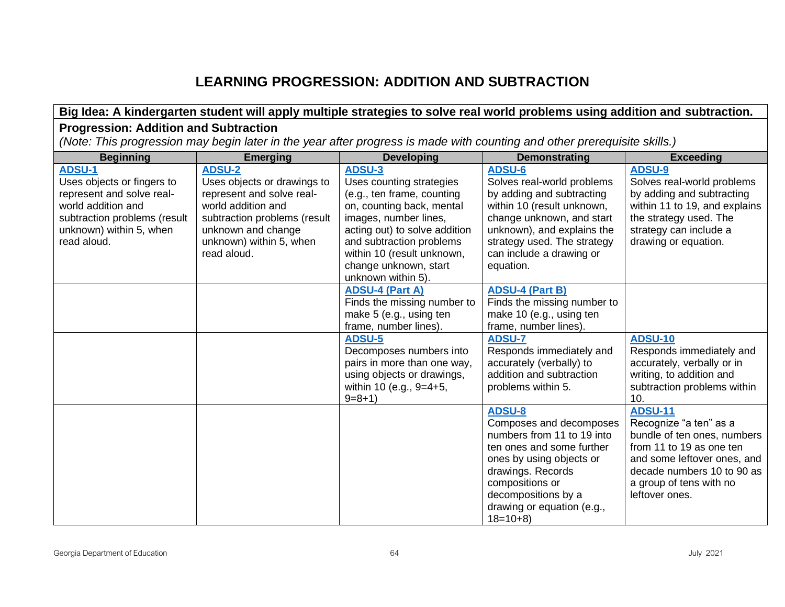# **LEARNING PROGRESSION: ADDITION AND SUBTRACTION**

| Big Idea: A kindergarten student will apply multiple strategies to solve real world problems using addition and subtraction.                                             |                                                                                                                                                                                                 |                                                                                                                                                                                                                                                                  |                                                                                                                                                                                                                                           |                                                                                                                                                                                                               |  |
|--------------------------------------------------------------------------------------------------------------------------------------------------------------------------|-------------------------------------------------------------------------------------------------------------------------------------------------------------------------------------------------|------------------------------------------------------------------------------------------------------------------------------------------------------------------------------------------------------------------------------------------------------------------|-------------------------------------------------------------------------------------------------------------------------------------------------------------------------------------------------------------------------------------------|---------------------------------------------------------------------------------------------------------------------------------------------------------------------------------------------------------------|--|
|                                                                                                                                                                          | <b>Progression: Addition and Subtraction</b>                                                                                                                                                    |                                                                                                                                                                                                                                                                  |                                                                                                                                                                                                                                           |                                                                                                                                                                                                               |  |
|                                                                                                                                                                          | (Note: This progression may begin later in the year after progress is made with counting and other prerequisite skills.)                                                                        |                                                                                                                                                                                                                                                                  |                                                                                                                                                                                                                                           |                                                                                                                                                                                                               |  |
| <b>Beginning</b>                                                                                                                                                         | <b>Emerging</b>                                                                                                                                                                                 | <b>Developing</b>                                                                                                                                                                                                                                                | <b>Demonstrating</b>                                                                                                                                                                                                                      | <b>Exceeding</b>                                                                                                                                                                                              |  |
| <b>ADSU-1</b><br>Uses objects or fingers to<br>represent and solve real-<br>world addition and<br>subtraction problems (result<br>unknown) within 5, when<br>read aloud. | <b>ADSU-2</b><br>Uses objects or drawings to<br>represent and solve real-<br>world addition and<br>subtraction problems (result<br>unknown and change<br>unknown) within 5, when<br>read aloud. | ADSU-3<br>Uses counting strategies<br>(e.g., ten frame, counting<br>on, counting back, mental<br>images, number lines,<br>acting out) to solve addition<br>and subtraction problems<br>within 10 (result unknown,<br>change unknown, start<br>unknown within 5). | ADSU-6<br>Solves real-world problems<br>by adding and subtracting<br>within 10 (result unknown,<br>change unknown, and start<br>unknown), and explains the<br>strategy used. The strategy<br>can include a drawing or<br>equation.        | <b>ADSU-9</b><br>Solves real-world problems<br>by adding and subtracting<br>within 11 to 19, and explains<br>the strategy used. The<br>strategy can include a<br>drawing or equation.                         |  |
|                                                                                                                                                                          |                                                                                                                                                                                                 | <b>ADSU-4 (Part A)</b><br>Finds the missing number to<br>make 5 (e.g., using ten<br>frame, number lines).<br><b>ADSU-5</b><br>Decomposes numbers into<br>pairs in more than one way,<br>using objects or drawings,<br>within 10 (e.g., 9=4+5,<br>$9 = 8 + 1$     | <b>ADSU-4 (Part B)</b><br>Finds the missing number to<br>make 10 (e.g., using ten<br>frame, number lines).<br><b>ADSU-7</b><br>Responds immediately and<br>accurately (verbally) to<br>addition and subtraction<br>problems within 5.     | <b>ADSU-10</b><br>Responds immediately and<br>accurately, verbally or in<br>writing, to addition and<br>subtraction problems within<br>10.                                                                    |  |
|                                                                                                                                                                          |                                                                                                                                                                                                 |                                                                                                                                                                                                                                                                  | <b>ADSU-8</b><br>Composes and decomposes<br>numbers from 11 to 19 into<br>ten ones and some further<br>ones by using objects or<br>drawings. Records<br>compositions or<br>decompositions by a<br>drawing or equation (e.g.,<br>$18=10+8$ | <b>ADSU-11</b><br>Recognize "a ten" as a<br>bundle of ten ones, numbers<br>from 11 to 19 as one ten<br>and some leftover ones, and<br>decade numbers 10 to 90 as<br>a group of tens with no<br>leftover ones. |  |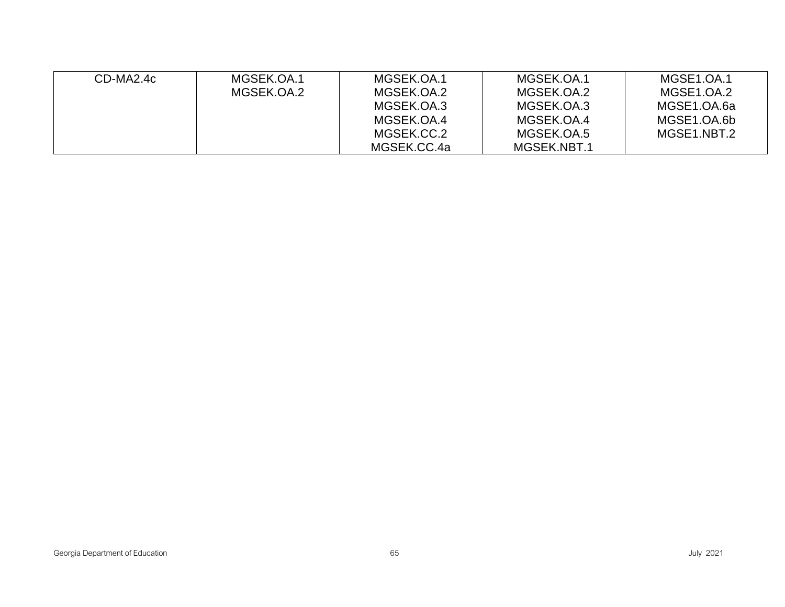| CD-MA2.4c | MGSEK.OA.1 | MGSEK.OA.1  | MGSEK.OA.1  | MGSE1.OA.1  |
|-----------|------------|-------------|-------------|-------------|
|           | MGSEK.OA.2 | MGSEK.OA.2  | MGSEK.OA.2  | MGSE1.OA.2  |
|           |            | MGSEK.OA.3  | MGSEK.OA.3  | MGSE1.OA.6a |
|           |            | MGSEK.OA.4  | MGSEK.OA.4  | MGSE1.OA.6b |
|           |            | MGSEK.CC.2  | MGSEK.OA.5  | MGSE1.NBT.2 |
|           |            | MGSEK.CC.4a | MGSEK.NBT.1 |             |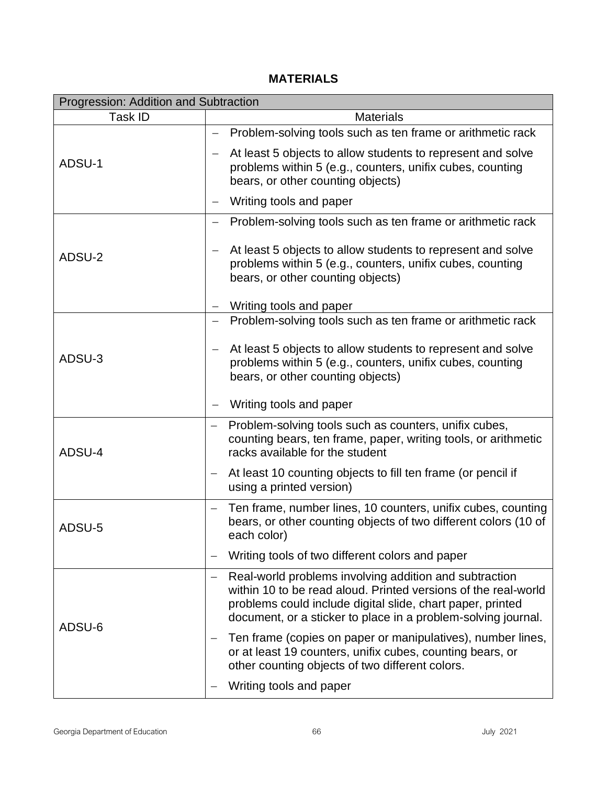# **MATERIALS**

| Progression: Addition and Subtraction |                                                                                                                                                                                                                                                         |  |  |
|---------------------------------------|---------------------------------------------------------------------------------------------------------------------------------------------------------------------------------------------------------------------------------------------------------|--|--|
| Task ID                               | <b>Materials</b>                                                                                                                                                                                                                                        |  |  |
|                                       | Problem-solving tools such as ten frame or arithmetic rack                                                                                                                                                                                              |  |  |
| ADSU-1                                | At least 5 objects to allow students to represent and solve<br>problems within 5 (e.g., counters, unifix cubes, counting<br>bears, or other counting objects)                                                                                           |  |  |
|                                       | Writing tools and paper                                                                                                                                                                                                                                 |  |  |
|                                       | Problem-solving tools such as ten frame or arithmetic rack                                                                                                                                                                                              |  |  |
| ADSU-2                                | At least 5 objects to allow students to represent and solve<br>$\overline{\phantom{m}}$<br>problems within 5 (e.g., counters, unifix cubes, counting<br>bears, or other counting objects)                                                               |  |  |
|                                       | Writing tools and paper                                                                                                                                                                                                                                 |  |  |
|                                       | Problem-solving tools such as ten frame or arithmetic rack<br>$\overline{\phantom{m}}$                                                                                                                                                                  |  |  |
| ADSU-3                                | At least 5 objects to allow students to represent and solve<br>problems within 5 (e.g., counters, unifix cubes, counting<br>bears, or other counting objects)                                                                                           |  |  |
|                                       | Writing tools and paper<br>$\qquad \qquad -$                                                                                                                                                                                                            |  |  |
| ADSU-4                                | Problem-solving tools such as counters, unifix cubes,<br>$\overline{\phantom{m}}$<br>counting bears, ten frame, paper, writing tools, or arithmetic<br>racks available for the student                                                                  |  |  |
|                                       | At least 10 counting objects to fill ten frame (or pencil if<br>$\overline{\phantom{m}}$<br>using a printed version)                                                                                                                                    |  |  |
| ADSU-5                                | Ten frame, number lines, 10 counters, unifix cubes, counting<br>$\overline{\phantom{m}}$<br>bears, or other counting objects of two different colors (10 of<br>each color)                                                                              |  |  |
|                                       | Writing tools of two different colors and paper                                                                                                                                                                                                         |  |  |
| ADSU-6                                | Real-world problems involving addition and subtraction<br>within 10 to be read aloud. Printed versions of the real-world<br>problems could include digital slide, chart paper, printed<br>document, or a sticker to place in a problem-solving journal. |  |  |
|                                       | Ten frame (copies on paper or manipulatives), number lines,<br>or at least 19 counters, unifix cubes, counting bears, or<br>other counting objects of two different colors.                                                                             |  |  |
|                                       | Writing tools and paper                                                                                                                                                                                                                                 |  |  |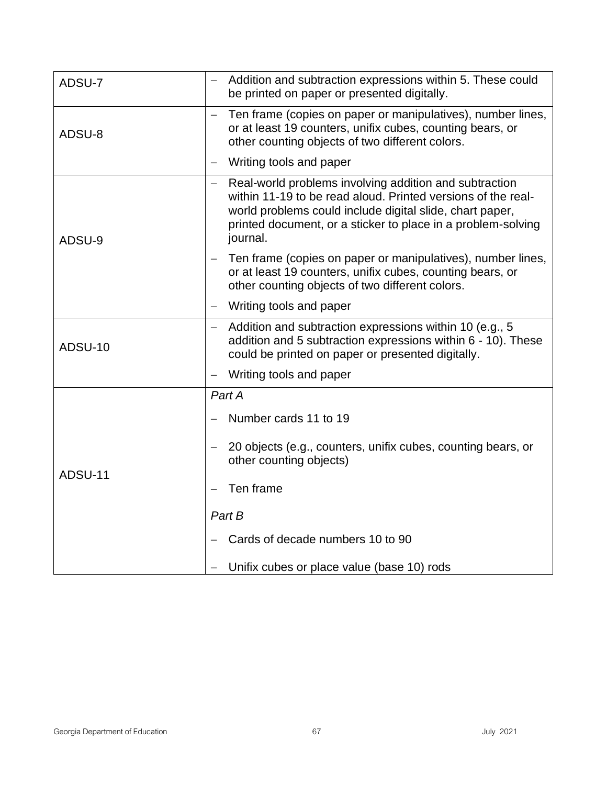| ADSU-7         | Addition and subtraction expressions within 5. These could<br>be printed on paper or presented digitally.                                                                                                                                                      |
|----------------|----------------------------------------------------------------------------------------------------------------------------------------------------------------------------------------------------------------------------------------------------------------|
| ADSU-8         | Ten frame (copies on paper or manipulatives), number lines,<br>or at least 19 counters, unifix cubes, counting bears, or<br>other counting objects of two different colors.                                                                                    |
|                | Writing tools and paper                                                                                                                                                                                                                                        |
| ADSU-9         | Real-world problems involving addition and subtraction<br>within 11-19 to be read aloud. Printed versions of the real-<br>world problems could include digital slide, chart paper,<br>printed document, or a sticker to place in a problem-solving<br>journal. |
|                | Ten frame (copies on paper or manipulatives), number lines,<br>or at least 19 counters, unifix cubes, counting bears, or<br>other counting objects of two different colors.                                                                                    |
|                | Writing tools and paper<br>$\qquad \qquad -$                                                                                                                                                                                                                   |
| <b>ADSU-10</b> | Addition and subtraction expressions within 10 (e.g., 5)<br>$\overline{\phantom{m}}$<br>addition and 5 subtraction expressions within 6 - 10). These<br>could be printed on paper or presented digitally.                                                      |
|                | Writing tools and paper                                                                                                                                                                                                                                        |
|                | Part A                                                                                                                                                                                                                                                         |
|                | Number cards 11 to 19                                                                                                                                                                                                                                          |
| ADSU-11        | 20 objects (e.g., counters, unifix cubes, counting bears, or<br>other counting objects)                                                                                                                                                                        |
|                | Ten frame                                                                                                                                                                                                                                                      |
|                | Part B                                                                                                                                                                                                                                                         |
|                | Cards of decade numbers 10 to 90                                                                                                                                                                                                                               |
|                | Unifix cubes or place value (base 10) rods                                                                                                                                                                                                                     |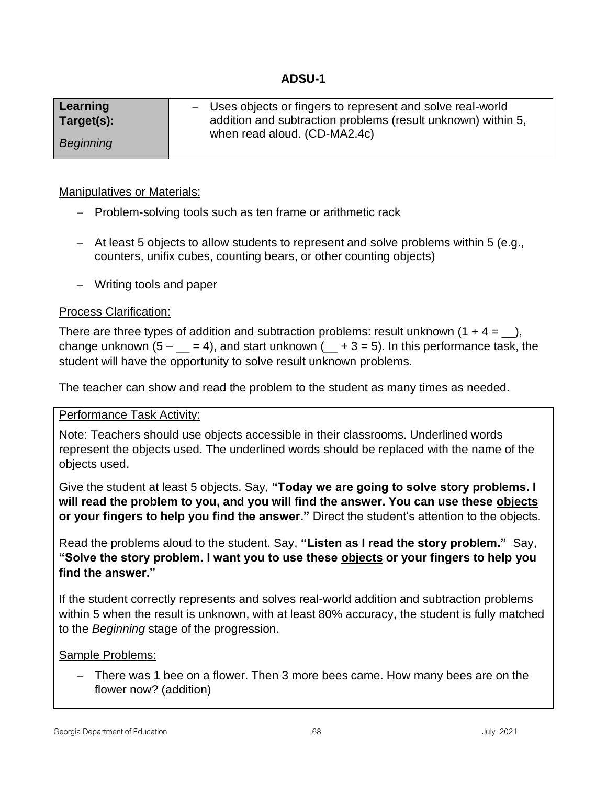# **ADSU-1**

| Learning   | - Uses objects or fingers to represent and solve real-world  |
|------------|--------------------------------------------------------------|
| Target(s): | addition and subtraction problems (result unknown) within 5, |
|            | when read aloud. (CD-MA2.4c)                                 |
| Beginning  |                                                              |
|            |                                                              |

## Manipulatives or Materials:

- − Problem-solving tools such as ten frame or arithmetic rack
- − At least 5 objects to allow students to represent and solve problems within 5 (e.g., counters, unifix cubes, counting bears, or other counting objects)
- − Writing tools and paper

#### Process Clarification:

There are three types of addition and subtraction problems: result unknown  $(1 + 4 = 1)$ , change unknown  $(5 - 2) = 4$ , and start unknown  $(2 + 3) = 5$ . In this performance task, the student will have the opportunity to solve result unknown problems.

The teacher can show and read the problem to the student as many times as needed.

#### Performance Task Activity:

Note: Teachers should use objects accessible in their classrooms. Underlined words represent the objects used. The underlined words should be replaced with the name of the objects used.

Give the student at least 5 objects. Say, **"Today we are going to solve story problems. I will read the problem to you, and you will find the answer. You can use these objects or your fingers to help you find the answer."** Direct the student's attention to the objects.

Read the problems aloud to the student. Say, **"Listen as I read the story problem."** Say, **"Solve the story problem. I want you to use these objects or your fingers to help you find the answer."** 

If the student correctly represents and solves real-world addition and subtraction problems within 5 when the result is unknown, with at least 80% accuracy, the student is fully matched to the *Beginning* stage of the progression.

#### Sample Problems:

− There was 1 bee on a flower. Then 3 more bees came. How many bees are on the flower now? (addition)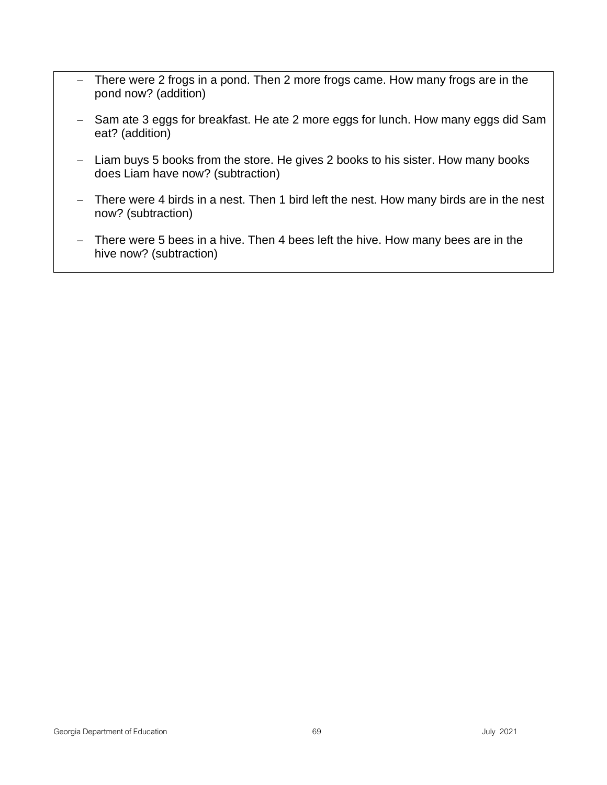- − There were 2 frogs in a pond. Then 2 more frogs came. How many frogs are in the pond now? (addition)
- − Sam ate 3 eggs for breakfast. He ate 2 more eggs for lunch. How many eggs did Sam eat? (addition)
- − Liam buys 5 books from the store. He gives 2 books to his sister. How many books does Liam have now? (subtraction)
- − There were 4 birds in a nest. Then 1 bird left the nest. How many birds are in the nest now? (subtraction)
- − There were 5 bees in a hive. Then 4 bees left the hive. How many bees are in the hive now? (subtraction)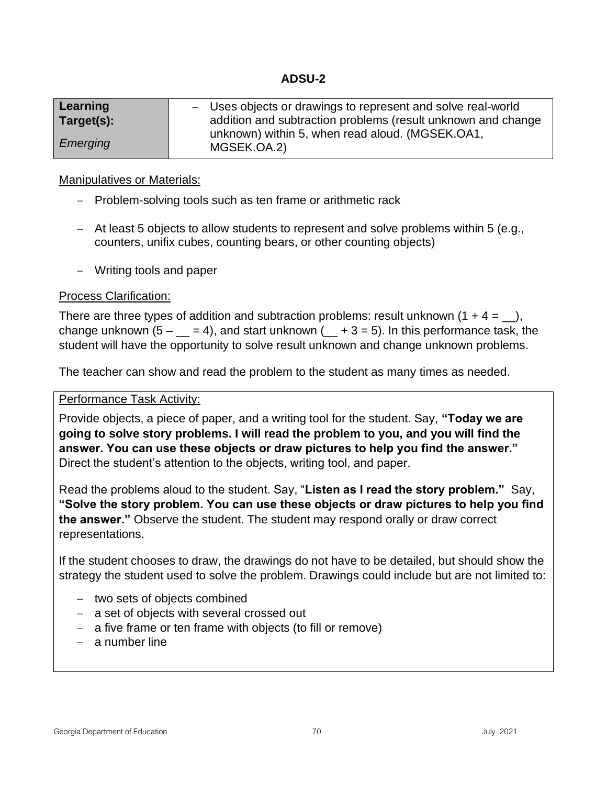# **ADSU-2**

| Learning   | - Uses objects or drawings to represent and solve real-world   |
|------------|----------------------------------------------------------------|
| Target(s): | addition and subtraction problems (result unknown and change   |
| Emerging   | unknown) within 5, when read aloud. (MGSEK.OA1,<br>MGSEK.OA.2) |

#### Manipulatives or Materials:

- − Problem-solving tools such as ten frame or arithmetic rack
- − At least 5 objects to allow students to represent and solve problems within 5 (e.g., counters, unifix cubes, counting bears, or other counting objects)
- − Writing tools and paper

## Process Clarification:

There are three types of addition and subtraction problems: result unknown  $(1 + 4 =$ , change unknown  $(5 - 2) = 4$ , and start unknown  $(2 + 3) = 5$ . In this performance task, the student will have the opportunity to solve result unknown and change unknown problems.

The teacher can show and read the problem to the student as many times as needed.

#### Performance Task Activity:

Provide objects, a piece of paper, and a writing tool for the student. Say, **"Today we are going to solve story problems. I will read the problem to you, and you will find the answer. You can use these objects or draw pictures to help you find the answer."**  Direct the student's attention to the objects, writing tool, and paper.

Read the problems aloud to the student. Say, "**Listen as I read the story problem."** Say, **"Solve the story problem. You can use these objects or draw pictures to help you find the answer."** Observe the student. The student may respond orally or draw correct representations.

If the student chooses to draw, the drawings do not have to be detailed, but should show the strategy the student used to solve the problem. Drawings could include but are not limited to:

- − two sets of objects combined
- − a set of objects with several crossed out
- − a five frame or ten frame with objects (to fill or remove)
- − a number line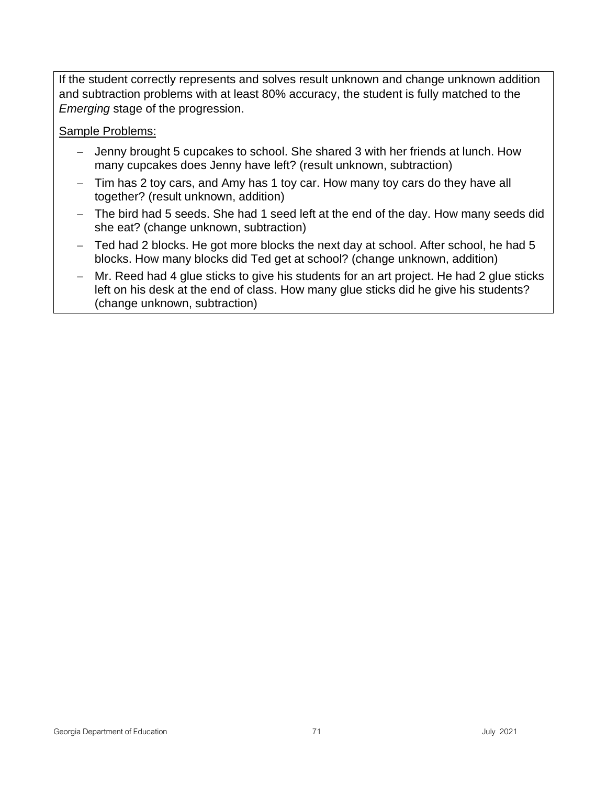If the student correctly represents and solves result unknown and change unknown addition and subtraction problems with at least 80% accuracy, the student is fully matched to the *Emerging* stage of the progression.

Sample Problems:

- − Jenny brought 5 cupcakes to school. She shared 3 with her friends at lunch. How many cupcakes does Jenny have left? (result unknown, subtraction)
- − Tim has 2 toy cars, and Amy has 1 toy car. How many toy cars do they have all together? (result unknown, addition)
- − The bird had 5 seeds. She had 1 seed left at the end of the day. How many seeds did she eat? (change unknown, subtraction)
- − Ted had 2 blocks. He got more blocks the next day at school. After school, he had 5 blocks. How many blocks did Ted get at school? (change unknown, addition)
- − Mr. Reed had 4 glue sticks to give his students for an art project. He had 2 glue sticks left on his desk at the end of class. How many glue sticks did he give his students? (change unknown, subtraction)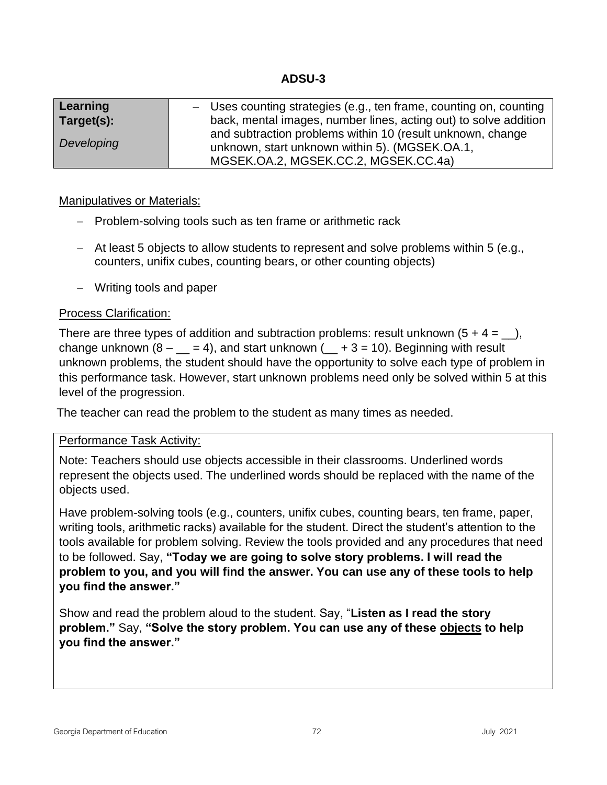# **ADSU-3**

| Learning   | - Uses counting strategies (e.g., ten frame, counting on, counting |
|------------|--------------------------------------------------------------------|
| Target(s): | back, mental images, number lines, acting out) to solve addition   |
| Developing | and subtraction problems within 10 (result unknown, change         |
|            | unknown, start unknown within 5). (MGSEK.OA.1,                     |
|            | MGSEK.OA.2, MGSEK.CC.2, MGSEK.CC.4a)                               |

## Manipulatives or Materials:

- − Problem-solving tools such as ten frame or arithmetic rack
- − At least 5 objects to allow students to represent and solve problems within 5 (e.g., counters, unifix cubes, counting bears, or other counting objects)
- − Writing tools and paper

## Process Clarification:

There are three types of addition and subtraction problems: result unknown  $(5 + 4 = 1)$ , change unknown  $(8 - \underline{\hspace{1cm}} = 4)$ , and start unknown  $( \underline{\hspace{1cm}} + 3 = 10)$ . Beginning with result unknown problems, the student should have the opportunity to solve each type of problem in this performance task. However, start unknown problems need only be solved within 5 at this level of the progression.

The teacher can read the problem to the student as many times as needed.

## Performance Task Activity:

Note: Teachers should use objects accessible in their classrooms. Underlined words represent the objects used. The underlined words should be replaced with the name of the objects used.

Have problem-solving tools (e.g., counters, unifix cubes, counting bears, ten frame, paper, writing tools, arithmetic racks) available for the student. Direct the student's attention to the tools available for problem solving. Review the tools provided and any procedures that need to be followed. Say, **"Today we are going to solve story problems. I will read the problem to you, and you will find the answer. You can use any of these tools to help you find the answer."**

Show and read the problem aloud to the student. Say, "**Listen as I read the story problem."** Say, **"Solve the story problem. You can use any of these objects to help you find the answer."**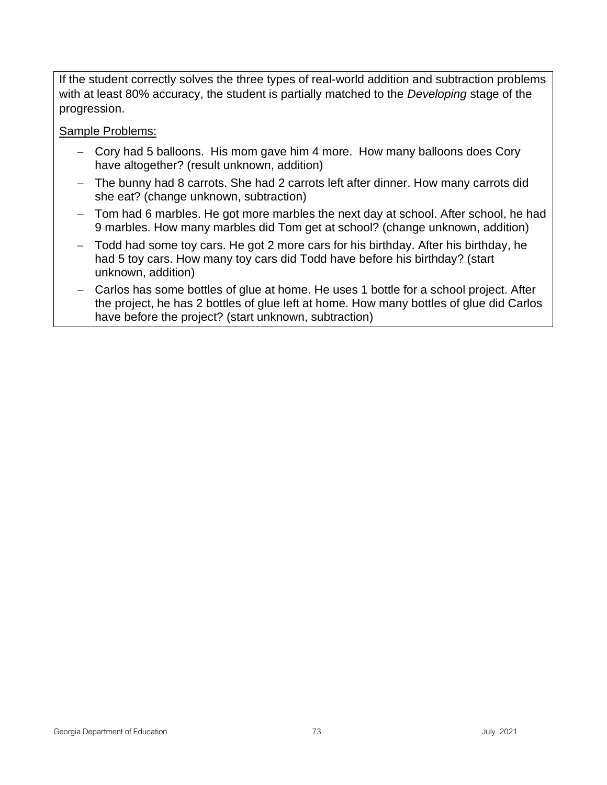If the student correctly solves the three types of real-world addition and subtraction problems with at least 80% accuracy, the student is partially matched to the *Developing* stage of the progression.

Sample Problems:

- − Cory had 5 balloons. His mom gave him 4 more. How many balloons does Cory have altogether? (result unknown, addition)
- − The bunny had 8 carrots. She had 2 carrots left after dinner. How many carrots did she eat? (change unknown, subtraction)
- − Tom had 6 marbles. He got more marbles the next day at school. After school, he had 9 marbles. How many marbles did Tom get at school? (change unknown, addition)
- − Todd had some toy cars. He got 2 more cars for his birthday. After his birthday, he had 5 toy cars. How many toy cars did Todd have before his birthday? (start unknown, addition)
- − Carlos has some bottles of glue at home. He uses 1 bottle for a school project. After the project, he has 2 bottles of glue left at home. How many bottles of glue did Carlos have before the project? (start unknown, subtraction)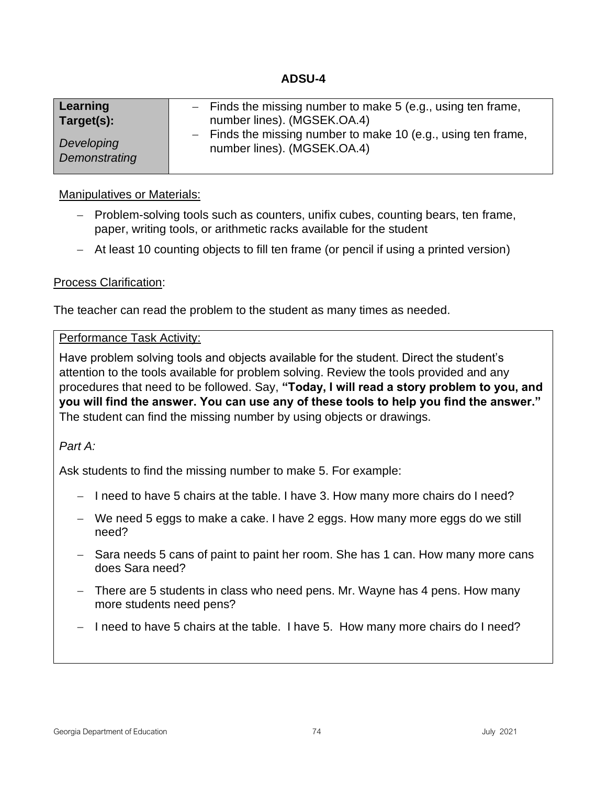| Learning      | $-$ Finds the missing number to make 5 (e.g., using ten frame, |
|---------------|----------------------------------------------------------------|
| Target(s):    | number lines). (MGSEK.OA.4)                                    |
| Developing    | - Finds the missing number to make 10 (e.g., using ten frame,  |
| Demonstrating | number lines). (MGSEK.OA.4)                                    |

#### Manipulatives or Materials:

- − Problem-solving tools such as counters, unifix cubes, counting bears, ten frame, paper, writing tools, or arithmetic racks available for the student
- − At least 10 counting objects to fill ten frame (or pencil if using a printed version)

## Process Clarification:

The teacher can read the problem to the student as many times as needed.

#### Performance Task Activity:

Have problem solving tools and objects available for the student. Direct the student's attention to the tools available for problem solving. Review the tools provided and any procedures that need to be followed. Say, **"Today, I will read a story problem to you, and you will find the answer. You can use any of these tools to help you find the answer."**  The student can find the missing number by using objects or drawings.

#### *Part A:*

Ask students to find the missing number to make 5. For example:

- − I need to have 5 chairs at the table. I have 3. How many more chairs do I need?
- − We need 5 eggs to make a cake. I have 2 eggs. How many more eggs do we still need?
- − Sara needs 5 cans of paint to paint her room. She has 1 can. How many more cans does Sara need?
- − There are 5 students in class who need pens. Mr. Wayne has 4 pens. How many more students need pens?
- − I need to have 5 chairs at the table. I have 5. How many more chairs do I need?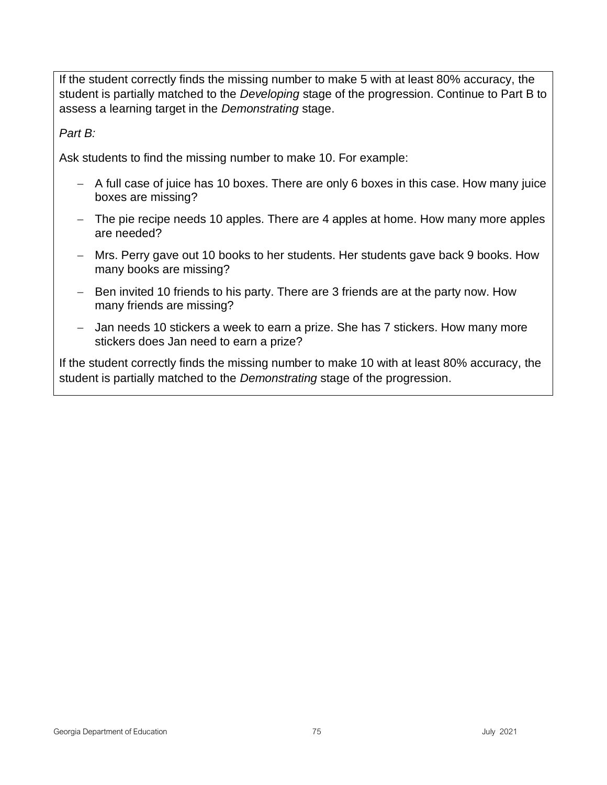If the student correctly finds the missing number to make 5 with at least 80% accuracy, the student is partially matched to the *Developing* stage of the progression. Continue to Part B to assess a learning target in the *Demonstrating* stage.

*Part B:*

Ask students to find the missing number to make 10. For example:

- − A full case of juice has 10 boxes. There are only 6 boxes in this case. How many juice boxes are missing?
- − The pie recipe needs 10 apples. There are 4 apples at home. How many more apples are needed?
- − Mrs. Perry gave out 10 books to her students. Her students gave back 9 books. How many books are missing?
- − Ben invited 10 friends to his party. There are 3 friends are at the party now. How many friends are missing?
- − Jan needs 10 stickers a week to earn a prize. She has 7 stickers. How many more stickers does Jan need to earn a prize?

If the student correctly finds the missing number to make 10 with at least 80% accuracy, the student is partially matched to the *Demonstrating* stage of the progression.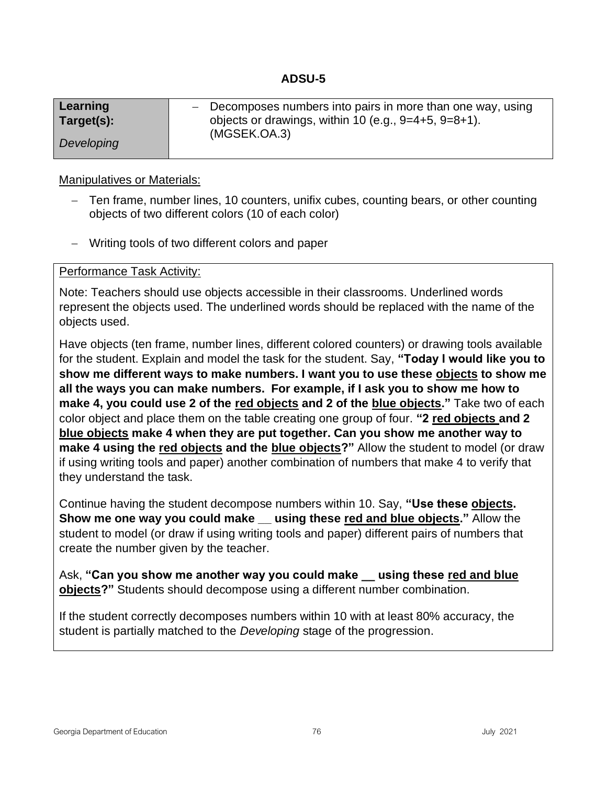| Learning<br>Target(s): | $-$ Decomposes numbers into pairs in more than one way, using<br>objects or drawings, within 10 (e.g., $9=4+5$ , $9=8+1$ ). |  |
|------------------------|-----------------------------------------------------------------------------------------------------------------------------|--|
|                        | (MGSEK.OA.3)                                                                                                                |  |
| Developing             |                                                                                                                             |  |

#### Manipulatives or Materials:

- − Ten frame, number lines, 10 counters, unifix cubes, counting bears, or other counting objects of two different colors (10 of each color)
- − Writing tools of two different colors and paper

#### Performance Task Activity:

Note: Teachers should use objects accessible in their classrooms. Underlined words represent the objects used. The underlined words should be replaced with the name of the objects used.

Have objects (ten frame, number lines, different colored counters) or drawing tools available for the student. Explain and model the task for the student. Say, **"Today I would like you to show me different ways to make numbers. I want you to use these objects to show me all the ways you can make numbers. For example, if I ask you to show me how to make 4, you could use 2 of the red objects and 2 of the blue objects."** Take two of each color object and place them on the table creating one group of four. **"2 red objects and 2 blue objects make 4 when they are put together. Can you show me another way to make 4 using the red objects and the blue objects?"** Allow the student to model (or draw if using writing tools and paper) another combination of numbers that make 4 to verify that they understand the task.

Continue having the student decompose numbers within 10. Say, **"Use these objects. Show me one way you could make using these red and blue objects."** Allow the student to model (or draw if using writing tools and paper) different pairs of numbers that create the number given by the teacher.

Ask, **"Can you show me another way you could make \_\_ using these red and blue objects?"** Students should decompose using a different number combination.

If the student correctly decomposes numbers within 10 with at least 80% accuracy, the student is partially matched to the *Developing* stage of the progression.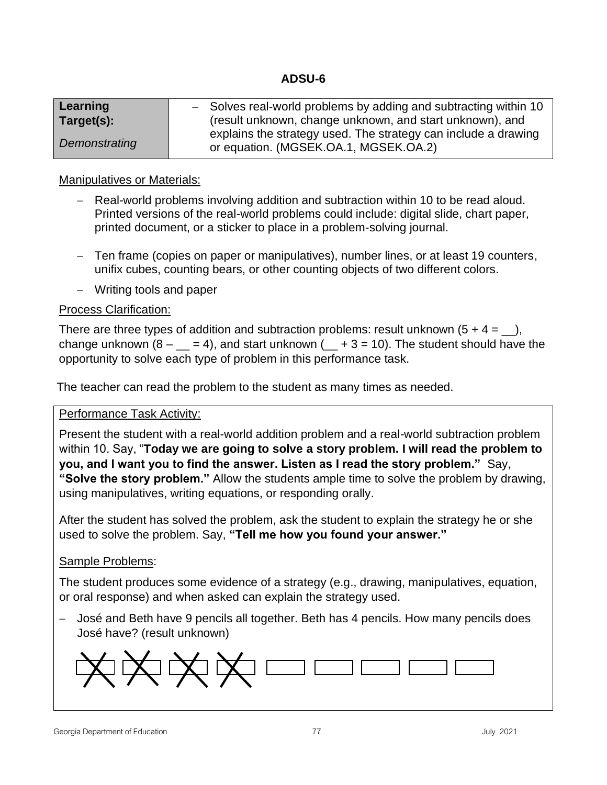| Learning      | - Solves real-world problems by adding and subtracting within 10                                        |  |  |  |
|---------------|---------------------------------------------------------------------------------------------------------|--|--|--|
| Target(s):    | (result unknown, change unknown, and start unknown), and                                                |  |  |  |
| Demonstrating | explains the strategy used. The strategy can include a drawing<br>or equation. (MGSEK.OA.1, MGSEK.OA.2) |  |  |  |

## Manipulatives or Materials:

- − Real-world problems involving addition and subtraction within 10 to be read aloud. Printed versions of the real-world problems could include: digital slide, chart paper, printed document, or a sticker to place in a problem-solving journal.
- − Ten frame (copies on paper or manipulatives), number lines, or at least 19 counters, unifix cubes, counting bears, or other counting objects of two different colors.
- − Writing tools and paper

## Process Clarification:

There are three types of addition and subtraction problems: result unknown  $(5 + 4 = 1)$ , change unknown  $(8 - 4)$ , and start unknown  $(4 + 3 = 10)$ . The student should have the opportunity to solve each type of problem in this performance task.

The teacher can read the problem to the student as many times as needed.

## Performance Task Activity:

Present the student with a real-world addition problem and a real-world subtraction problem within 10. Say, "**Today we are going to solve a story problem. I will read the problem to you, and I want you to find the answer. Listen as I read the story problem."** Say, **"Solve the story problem."** Allow the students ample time to solve the problem by drawing, using manipulatives, writing equations, or responding orally.

After the student has solved the problem, ask the student to explain the strategy he or she used to solve the problem. Say, **"Tell me how you found your answer."**

## Sample Problems:

The student produces some evidence of a strategy (e.g., drawing, manipulatives, equation, or oral response) and when asked can explain the strategy used.

− José and Beth have 9 pencils all together. Beth has 4 pencils. How many pencils does José have? (result unknown)

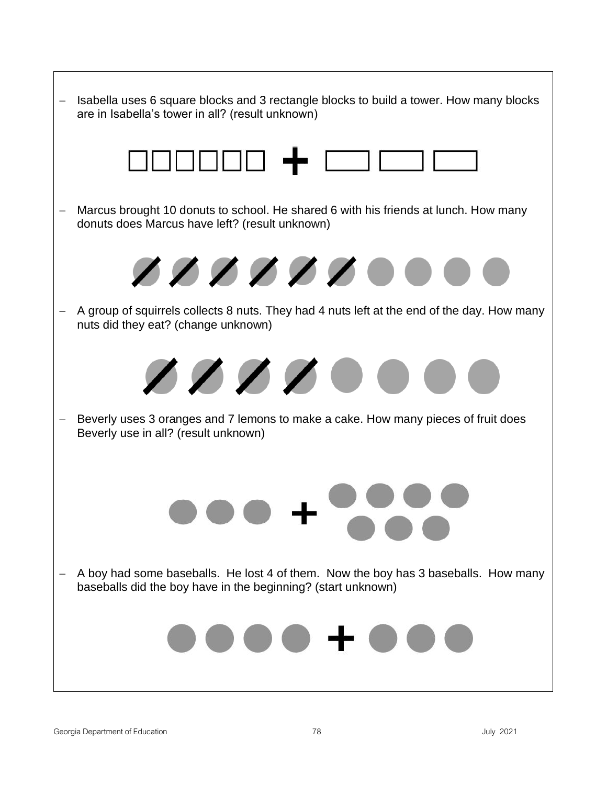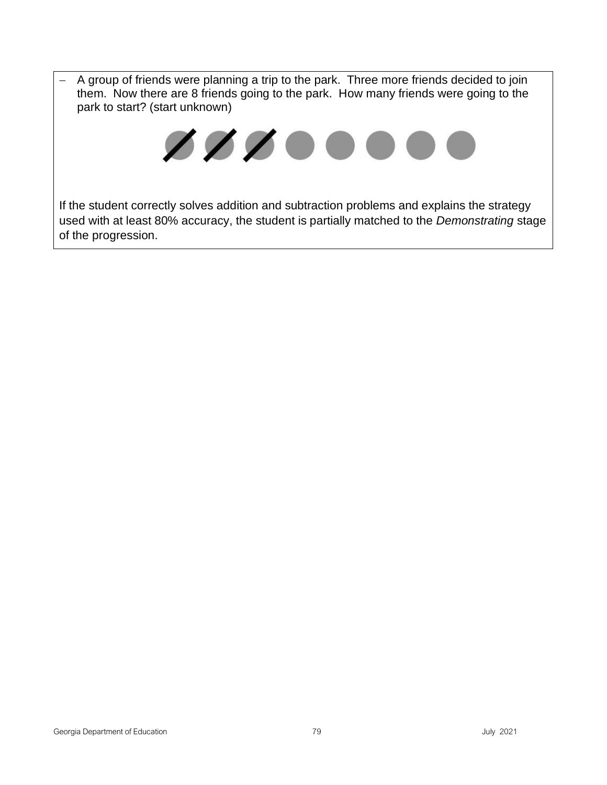− A group of friends were planning a trip to the park. Three more friends decided to join them. Now there are 8 friends going to the park. How many friends were going to the park to start? (start unknown)



If the student correctly solves addition and subtraction problems and explains the strategy used with at least 80% accuracy, the student is partially matched to the *Demonstrating* stage of the progression.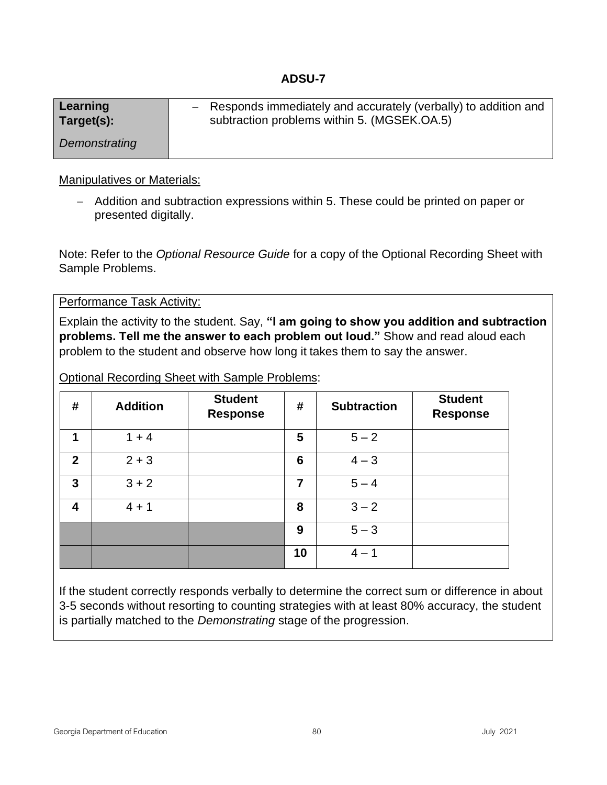| Learning      | - Responds immediately and accurately (verbally) to addition and |
|---------------|------------------------------------------------------------------|
| Target(s):    | subtraction problems within 5. (MGSEK.OA.5)                      |
| Demonstrating |                                                                  |

#### Manipulatives or Materials:

− Addition and subtraction expressions within 5. These could be printed on paper or presented digitally.

Note: Refer to the *Optional Resource Guide* for a copy of the Optional Recording Sheet with Sample Problems.

Performance Task Activity:

Explain the activity to the student. Say, **"I am going to show you addition and subtraction problems. Tell me the answer to each problem out loud."** Show and read aloud each problem to the student and observe how long it takes them to say the answer.

Optional Recording Sheet with Sample Problems:

| #                       | <b>Addition</b> | <b>Student</b><br><b>Response</b> | #  | <b>Subtraction</b> | <b>Student</b><br><b>Response</b> |
|-------------------------|-----------------|-----------------------------------|----|--------------------|-----------------------------------|
| 1                       | $1 + 4$         |                                   | 5  | $5 - 2$            |                                   |
| $\mathbf{2}$            | $2 + 3$         |                                   | 6  | $4 - 3$            |                                   |
| 3                       | $3 + 2$         |                                   | 7  | $5 - 4$            |                                   |
| $\overline{\mathbf{4}}$ | $4 + 1$         |                                   | 8  | $3 - 2$            |                                   |
|                         |                 |                                   | 9  | $5 - 3$            |                                   |
|                         |                 |                                   | 10 | $4 - 1$            |                                   |

If the student correctly responds verbally to determine the correct sum or difference in about 3-5 seconds without resorting to counting strategies with at least 80% accuracy, the student is partially matched to the *Demonstrating* stage of the progression.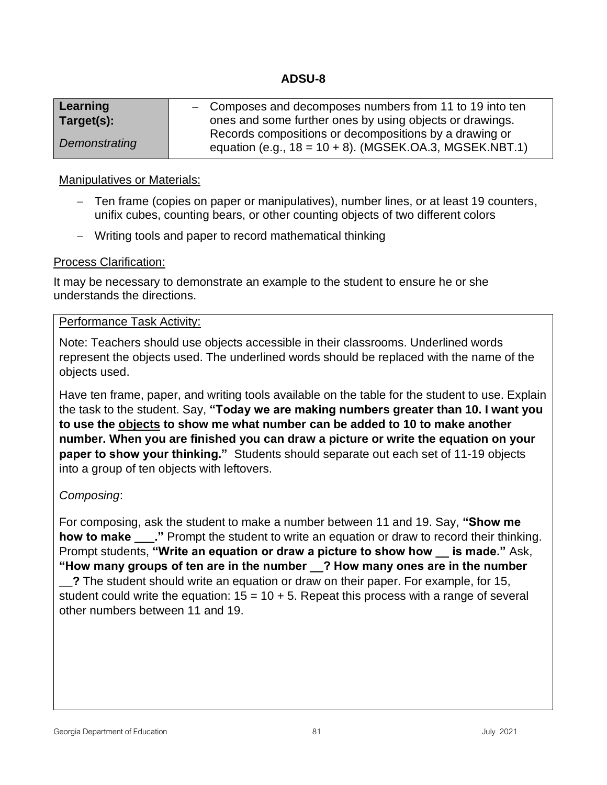| Learning      | - Composes and decomposes numbers from 11 to 19 into ten                                                             |
|---------------|----------------------------------------------------------------------------------------------------------------------|
| Target(s):    | ones and some further ones by using objects or drawings.                                                             |
| Demonstrating | Records compositions or decompositions by a drawing or<br>equation (e.g., $18 = 10 + 8$ ). (MGSEK.OA.3, MGSEK.NBT.1) |

#### Manipulatives or Materials:

- − Ten frame (copies on paper or manipulatives), number lines, or at least 19 counters, unifix cubes, counting bears, or other counting objects of two different colors
- − Writing tools and paper to record mathematical thinking

#### Process Clarification:

It may be necessary to demonstrate an example to the student to ensure he or she understands the directions.

#### Performance Task Activity:

Note: Teachers should use objects accessible in their classrooms. Underlined words represent the objects used. The underlined words should be replaced with the name of the objects used.

Have ten frame, paper, and writing tools available on the table for the student to use. Explain the task to the student. Say, **"Today we are making numbers greater than 10. I want you to use the objects to show me what number can be added to 10 to make another number. When you are finished you can draw a picture or write the equation on your paper to show your thinking."** Students should separate out each set of 11-19 objects into a group of ten objects with leftovers.

## *Composing*:

For composing, ask the student to make a number between 11 and 19. Say, **"Show me how to make** ..." Prompt the student to write an equation or draw to record their thinking. Prompt students, **"Write an equation or draw a picture to show how \_\_ is made."** Ask, **"How many groups of ten are in the number \_\_? How many ones are in the number** 

**\_\_?** The student should write an equation or draw on their paper. For example, for 15, student could write the equation:  $15 = 10 + 5$ . Repeat this process with a range of several other numbers between 11 and 19.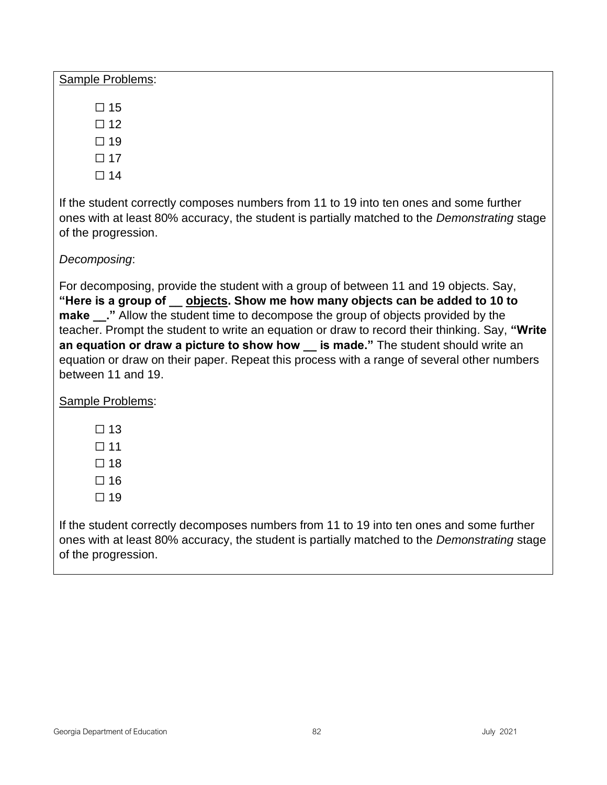Sample Problems:

- $\square$  15
- $\square$  12
- $\square$  19
- ☐ 17
- $\square$  14

If the student correctly composes numbers from 11 to 19 into ten ones and some further ones with at least 80% accuracy, the student is partially matched to the *Demonstrating* stage of the progression.

# *Decomposing*:

For decomposing, provide the student with a group of between 11 and 19 objects. Say, **"Here is a group of \_\_ objects. Show me how many objects can be added to 10 to make** ..." Allow the student time to decompose the group of objects provided by the teacher. Prompt the student to write an equation or draw to record their thinking. Say, **"Write an equation or draw a picture to show how \_\_ is made."** The student should write an equation or draw on their paper. Repeat this process with a range of several other numbers between 11 and 19.

Sample Problems:

- $\Box$  13
- $\square$  11
- $\Box$  18
- ☐ 16
- $\Box$  19

If the student correctly decomposes numbers from 11 to 19 into ten ones and some further ones with at least 80% accuracy, the student is partially matched to the *Demonstrating* stage of the progression.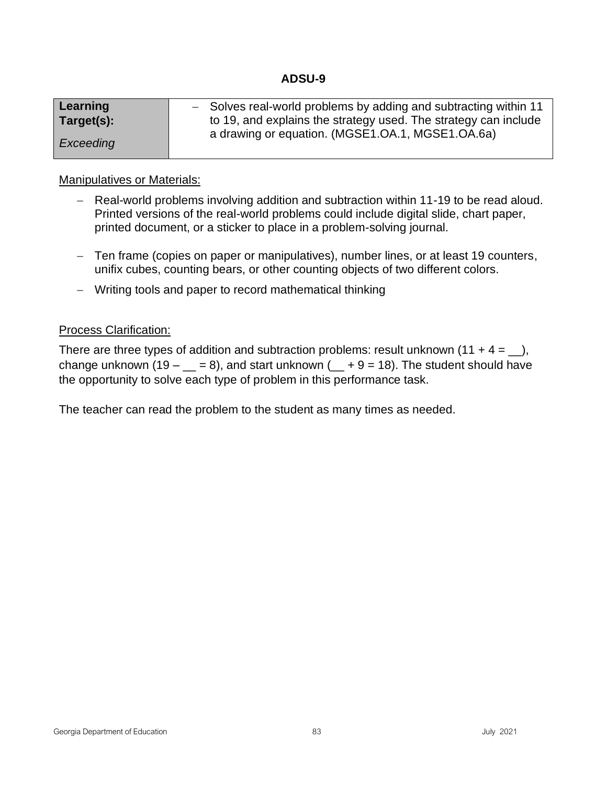| Learning   | - Solves real-world problems by adding and subtracting within 11 |
|------------|------------------------------------------------------------------|
| Target(s): | to 19, and explains the strategy used. The strategy can include  |
|            | a drawing or equation. (MGSE1.OA.1, MGSE1.OA.6a)                 |
| Exceeding  |                                                                  |

## Manipulatives or Materials:

- − Real-world problems involving addition and subtraction within 11-19 to be read aloud. Printed versions of the real-world problems could include digital slide, chart paper, printed document, or a sticker to place in a problem-solving journal.
- − Ten frame (copies on paper or manipulatives), number lines, or at least 19 counters, unifix cubes, counting bears, or other counting objects of two different colors.
- − Writing tools and paper to record mathematical thinking

## Process Clarification:

There are three types of addition and subtraction problems: result unknown  $(11 + 4 = ...)$ , change unknown (19 –  $=$  = 8), and start unknown ( $=$  + 9 = 18). The student should have the opportunity to solve each type of problem in this performance task.

The teacher can read the problem to the student as many times as needed.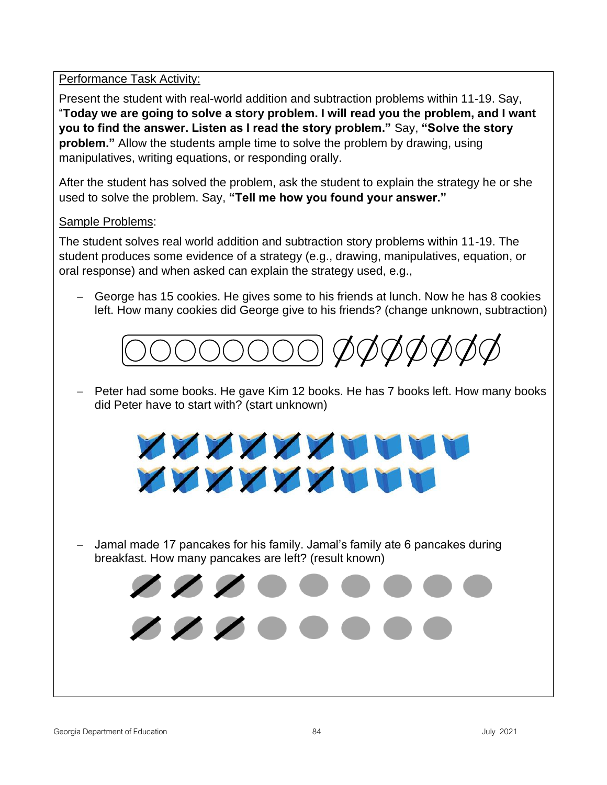Performance Task Activity:

Present the student with real-world addition and subtraction problems within 11-19. Say, "**Today we are going to solve a story problem. I will read you the problem, and I want you to find the answer. Listen as I read the story problem."** Say, **"Solve the story problem."** Allow the students ample time to solve the problem by drawing, using manipulatives, writing equations, or responding orally.

After the student has solved the problem, ask the student to explain the strategy he or she used to solve the problem. Say, **"Tell me how you found your answer."**

# Sample Problems:

The student solves real world addition and subtraction story problems within 11-19. The student produces some evidence of a strategy (e.g., drawing, manipulatives, equation, or oral response) and when asked can explain the strategy used, e.g.,

George has 15 cookies. He gives some to his friends at lunch. Now he has 8 cookies left. How many cookies did George give to his friends? (change unknown, subtraction)



− Peter had some books. He gave Kim 12 books. He has 7 books left. How many books did Peter have to start with? (start unknown)

− Jamal made 17 pancakes for his family. Jamal's family ate 6 pancakes during breakfast. How many pancakes are left? (result known)

**XXXXXXXXXX** 

**XXXXXXXXXX** 

 $\mathcal{L} \times \mathcal{L}$ 

 $\mathcal{L} \times \mathcal{L}$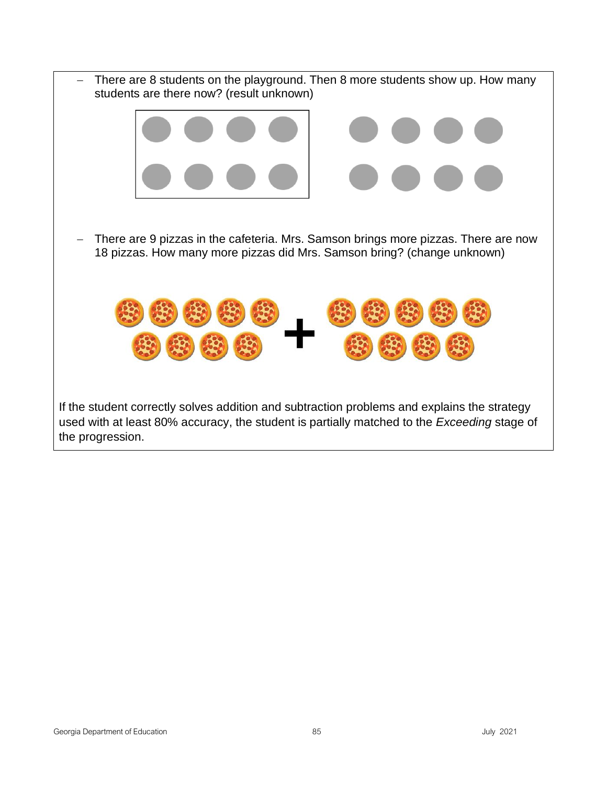− There are 8 students on the playground. Then 8 more students show up. How many students are there now? (result unknown) − There are 9 pizzas in the cafeteria. Mrs. Samson brings more pizzas. There are now 18 pizzas. How many more pizzas did Mrs. Samson bring? (change unknown) If the student correctly solves addition and subtraction problems and explains the strategy used with at least 80% accuracy, the student is partially matched to the *Exceeding* stage of the progression.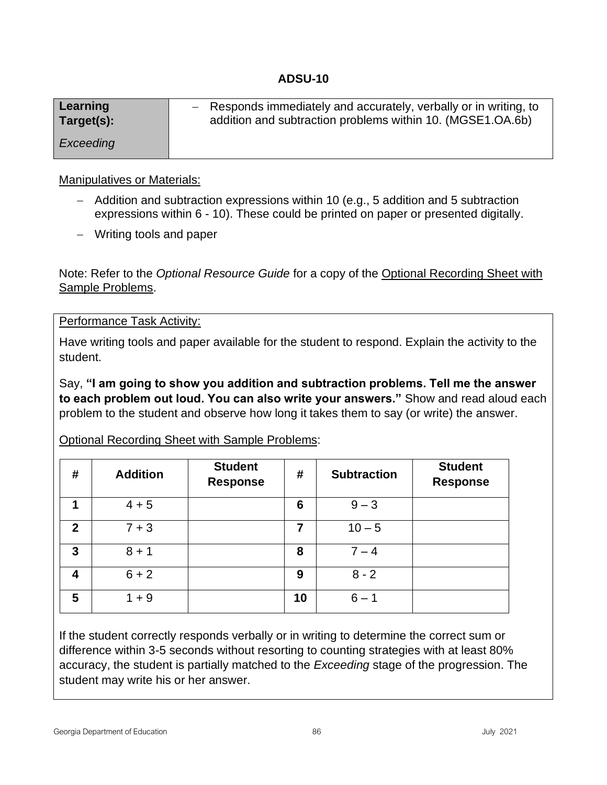| Learning   | - Responds immediately and accurately, verbally or in writing, to |
|------------|-------------------------------------------------------------------|
| Target(s): | addition and subtraction problems within 10. (MGSE1.OA.6b)        |
| Exceeding  |                                                                   |

## Manipulatives or Materials:

- − Addition and subtraction expressions within 10 (e.g., 5 addition and 5 subtraction expressions within 6 - 10). These could be printed on paper or presented digitally.
- − Writing tools and paper

Note: Refer to the *Optional Resource Guide* for a copy of the Optional Recording Sheet with Sample Problems.

Performance Task Activity:

Have writing tools and paper available for the student to respond. Explain the activity to the student.

Say, **"I am going to show you addition and subtraction problems. Tell me the answer to each problem out loud. You can also write your answers."** Show and read aloud each problem to the student and observe how long it takes them to say (or write) the answer.

# Optional Recording Sheet with Sample Problems:

| #            | <b>Addition</b> | <b>Student</b><br><b>Response</b> | #  | <b>Subtraction</b> | <b>Student</b><br><b>Response</b> |
|--------------|-----------------|-----------------------------------|----|--------------------|-----------------------------------|
| 1            | $4 + 5$         |                                   | 6  | $9 - 3$            |                                   |
| $\mathbf{2}$ | $7 + 3$         |                                   | 7  | $10 - 5$           |                                   |
| 3            | $8 + 1$         |                                   | 8  | $7 - 4$            |                                   |
| 4            | $6 + 2$         |                                   | 9  | $8 - 2$            |                                   |
| 5            | $1 + 9$         |                                   | 10 | $6 - 1$            |                                   |

If the student correctly responds verbally or in writing to determine the correct sum or difference within 3-5 seconds without resorting to counting strategies with at least 80% accuracy, the student is partially matched to the *Exceeding* stage of the progression. The student may write his or her answer.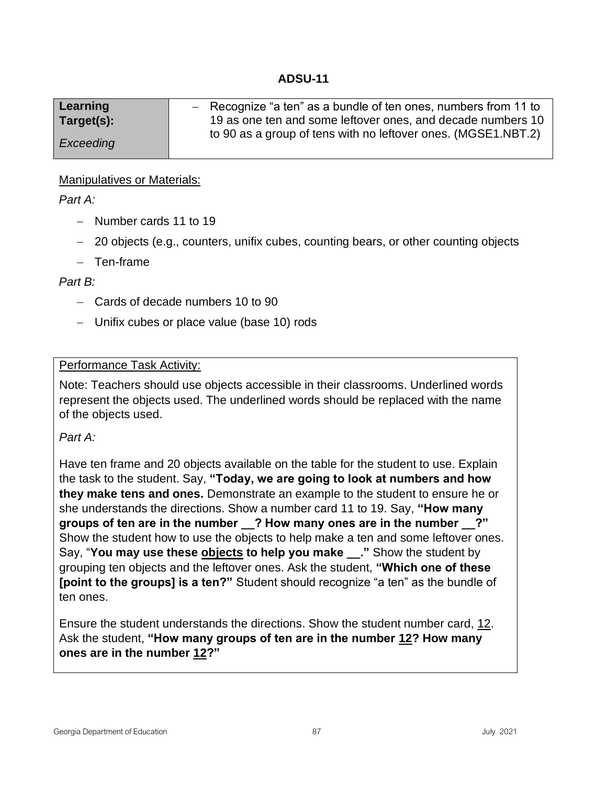| Learning   | $-$ Recognize "a ten" as a bundle of ten ones, numbers from 11 to |
|------------|-------------------------------------------------------------------|
| Target(s): | 19 as one ten and some leftover ones, and decade numbers 10       |
|            | to 90 as a group of tens with no leftover ones. (MGSE1.NBT.2)     |
| Exceeding  |                                                                   |

## Manipulatives or Materials:

## *Part A:*

- − Number cards 11 to 19
- − 20 objects (e.g., counters, unifix cubes, counting bears, or other counting objects
- − Ten-frame

## *Part B:*

- − Cards of decade numbers 10 to 90
- − Unifix cubes or place value (base 10) rods

## Performance Task Activity:

Note: Teachers should use objects accessible in their classrooms. Underlined words represent the objects used. The underlined words should be replaced with the name of the objects used.

## *Part A:*

Have ten frame and 20 objects available on the table for the student to use. Explain the task to the student. Say, **"Today, we are going to look at numbers and how they make tens and ones.** Demonstrate an example to the student to ensure he or she understands the directions. Show a number card 11 to 19. Say, **"How many groups of ten are in the number \_\_? How many ones are in the number \_\_?"**  Show the student how to use the objects to help make a ten and some leftover ones. Say, "**You may use these objects to help you make \_\_."** Show the student by grouping ten objects and the leftover ones. Ask the student, **"Which one of these [point to the groups] is a ten?"** Student should recognize "a ten" as the bundle of ten ones.

Ensure the student understands the directions. Show the student number card, 12. Ask the student, **"How many groups of ten are in the number 12? How many ones are in the number 12?"**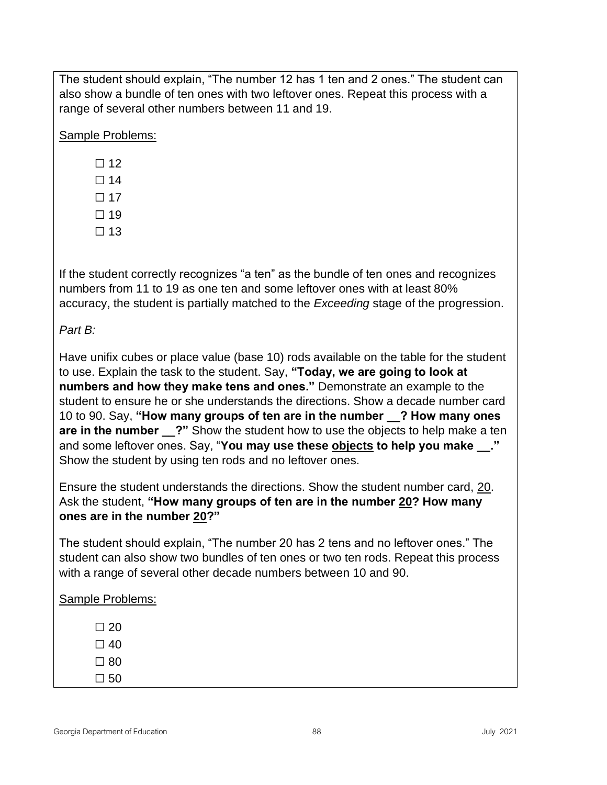The student should explain, "The number 12 has 1 ten and 2 ones." The student can also show a bundle of ten ones with two leftover ones. Repeat this process with a range of several other numbers between 11 and 19.

Sample Problems:

- $\square$  14
- $\Box$  17
- $\Box$  19
- $\Box$  13

If the student correctly recognizes "a ten" as the bundle of ten ones and recognizes numbers from 11 to 19 as one ten and some leftover ones with at least 80% accuracy, the student is partially matched to the *Exceeding* stage of the progression.

# *Part B:*

Have unifix cubes or place value (base 10) rods available on the table for the student to use. Explain the task to the student. Say, **"Today, we are going to look at numbers and how they make tens and ones."** Demonstrate an example to the student to ensure he or she understands the directions. Show a decade number card 10 to 90. Say, **"How many groups of ten are in the number \_\_? How many ones are in the number \_\_?"** Show the student how to use the objects to help make a ten and some leftover ones. Say, "**You may use these objects to help you make \_\_."**  Show the student by using ten rods and no leftover ones.

Ensure the student understands the directions. Show the student number card, 20. Ask the student, **"How many groups of ten are in the number 20? How many ones are in the number 20?"**

The student should explain, "The number 20 has 2 tens and no leftover ones." The student can also show two bundles of ten ones or two ten rods. Repeat this process with a range of several other decade numbers between 10 and 90.

# Sample Problems:

- $\square$  20  $\square$  40  $\square$  80
- $\square$  50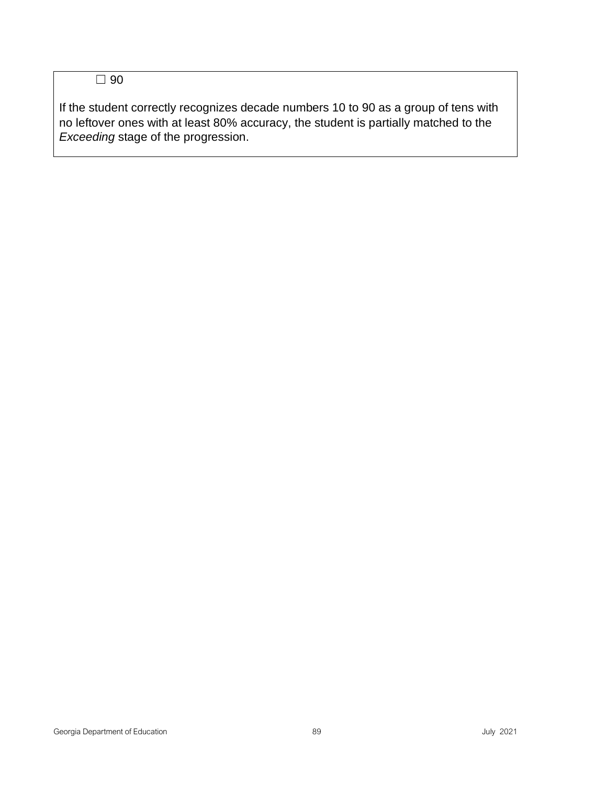☐ 90

If the student correctly recognizes decade numbers 10 to 90 as a group of tens with no leftover ones with at least 80% accuracy, the student is partially matched to the *Exceeding* stage of the progression.